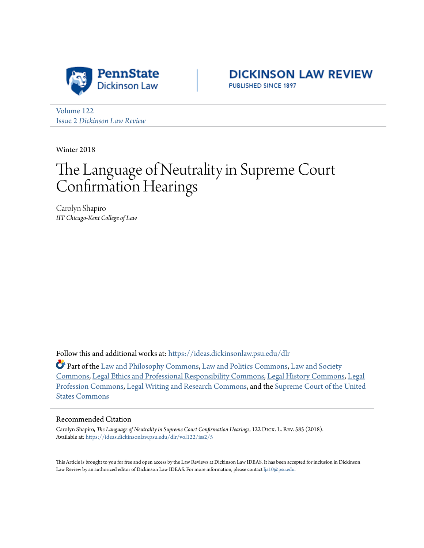



[Volume 122](https://ideas.dickinsonlaw.psu.edu/dlr/vol122?utm_source=ideas.dickinsonlaw.psu.edu%2Fdlr%2Fvol122%2Fiss2%2F5&utm_medium=PDF&utm_campaign=PDFCoverPages) Issue 2 *[Dickinson Law Review](https://ideas.dickinsonlaw.psu.edu/dlr/vol122/iss2?utm_source=ideas.dickinsonlaw.psu.edu%2Fdlr%2Fvol122%2Fiss2%2F5&utm_medium=PDF&utm_campaign=PDFCoverPages)*

Winter 2018

# The Language of Neutrality in Supreme Court Confirmation Hearings

Carolyn Shapiro *IIT Chicago-Kent College of Law*

Follow this and additional works at: [https://ideas.dickinsonlaw.psu.edu/dlr](https://ideas.dickinsonlaw.psu.edu/dlr?utm_source=ideas.dickinsonlaw.psu.edu%2Fdlr%2Fvol122%2Fiss2%2F5&utm_medium=PDF&utm_campaign=PDFCoverPages)

Part of the [Law and Philosophy Commons](http://network.bepress.com/hgg/discipline/1299?utm_source=ideas.dickinsonlaw.psu.edu%2Fdlr%2Fvol122%2Fiss2%2F5&utm_medium=PDF&utm_campaign=PDFCoverPages), [Law and Politics Commons](http://network.bepress.com/hgg/discipline/867?utm_source=ideas.dickinsonlaw.psu.edu%2Fdlr%2Fvol122%2Fiss2%2F5&utm_medium=PDF&utm_campaign=PDFCoverPages), [Law and Society](http://network.bepress.com/hgg/discipline/853?utm_source=ideas.dickinsonlaw.psu.edu%2Fdlr%2Fvol122%2Fiss2%2F5&utm_medium=PDF&utm_campaign=PDFCoverPages) [Commons,](http://network.bepress.com/hgg/discipline/853?utm_source=ideas.dickinsonlaw.psu.edu%2Fdlr%2Fvol122%2Fiss2%2F5&utm_medium=PDF&utm_campaign=PDFCoverPages) [Legal Ethics and Professional Responsibility Commons](http://network.bepress.com/hgg/discipline/895?utm_source=ideas.dickinsonlaw.psu.edu%2Fdlr%2Fvol122%2Fiss2%2F5&utm_medium=PDF&utm_campaign=PDFCoverPages), [Legal History Commons,](http://network.bepress.com/hgg/discipline/904?utm_source=ideas.dickinsonlaw.psu.edu%2Fdlr%2Fvol122%2Fiss2%2F5&utm_medium=PDF&utm_campaign=PDFCoverPages) [Legal](http://network.bepress.com/hgg/discipline/1075?utm_source=ideas.dickinsonlaw.psu.edu%2Fdlr%2Fvol122%2Fiss2%2F5&utm_medium=PDF&utm_campaign=PDFCoverPages) [Profession Commons](http://network.bepress.com/hgg/discipline/1075?utm_source=ideas.dickinsonlaw.psu.edu%2Fdlr%2Fvol122%2Fiss2%2F5&utm_medium=PDF&utm_campaign=PDFCoverPages), [Legal Writing and Research Commons](http://network.bepress.com/hgg/discipline/614?utm_source=ideas.dickinsonlaw.psu.edu%2Fdlr%2Fvol122%2Fiss2%2F5&utm_medium=PDF&utm_campaign=PDFCoverPages), and the [Supreme Court of the United](http://network.bepress.com/hgg/discipline/1350?utm_source=ideas.dickinsonlaw.psu.edu%2Fdlr%2Fvol122%2Fiss2%2F5&utm_medium=PDF&utm_campaign=PDFCoverPages) [States Commons](http://network.bepress.com/hgg/discipline/1350?utm_source=ideas.dickinsonlaw.psu.edu%2Fdlr%2Fvol122%2Fiss2%2F5&utm_medium=PDF&utm_campaign=PDFCoverPages)

#### Recommended Citation

Carolyn Shapiro, *The Language of Neutrality in Supreme Court Confirmation Hearings*, 122 Dick. L. Rev. 585 (2018). Available at: [https://ideas.dickinsonlaw.psu.edu/dlr/vol122/iss2/5](https://ideas.dickinsonlaw.psu.edu/dlr/vol122/iss2/5?utm_source=ideas.dickinsonlaw.psu.edu%2Fdlr%2Fvol122%2Fiss2%2F5&utm_medium=PDF&utm_campaign=PDFCoverPages)

This Article is brought to you for free and open access by the Law Reviews at Dickinson Law IDEAS. It has been accepted for inclusion in Dickinson Law Review by an authorized editor of Dickinson Law IDEAS. For more information, please contact [lja10@psu.edu](mailto:lja10@psu.edu).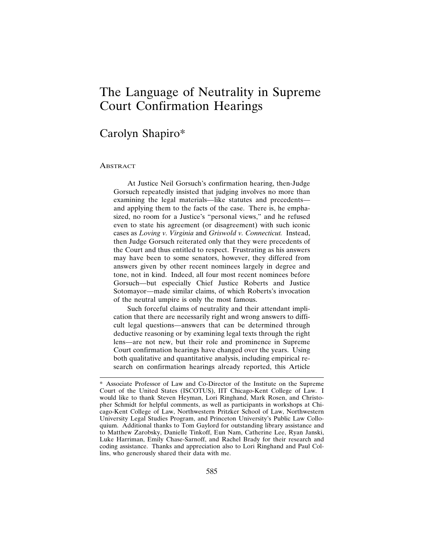## The Language of Neutrality in Supreme Court Confirmation Hearings

### Carolyn Shapiro\*

#### ABSTRACT

At Justice Neil Gorsuch's confirmation hearing, then-Judge Gorsuch repeatedly insisted that judging involves no more than examining the legal materials—like statutes and precedents and applying them to the facts of the case. There is, he emphasized, no room for a Justice's "personal views," and he refused even to state his agreement (or disagreement) with such iconic cases as *Loving v. Virginia* and *Griswold v. Connecticut.* Instead, then Judge Gorsuch reiterated only that they were precedents of the Court and thus entitled to respect. Frustrating as his answers may have been to some senators, however, they differed from answers given by other recent nominees largely in degree and tone, not in kind. Indeed, all four most recent nominees before Gorsuch—but especially Chief Justice Roberts and Justice Sotomayor—made similar claims, of which Roberts's invocation of the neutral umpire is only the most famous.

Such forceful claims of neutrality and their attendant implication that there are necessarily right and wrong answers to difficult legal questions—answers that can be determined through deductive reasoning or by examining legal texts through the right lens—are not new, but their role and prominence in Supreme Court confirmation hearings have changed over the years. Using both qualitative and quantitative analysis, including empirical research on confirmation hearings already reported, this Article

<sup>\*</sup> Associate Professor of Law and Co-Director of the Institute on the Supreme Court of the United States (ISCOTUS), IIT Chicago-Kent College of Law. I would like to thank Steven Heyman, Lori Ringhand, Mark Rosen, and Christopher Schmidt for helpful comments, as well as participants in workshops at Chicago-Kent College of Law, Northwestern Pritzker School of Law, Northwestern University Legal Studies Program, and Princeton University's Public Law Colloquium. Additional thanks to Tom Gaylord for outstanding library assistance and to Matthew Zarobsky, Danielle Tinkoff, Eun Nam, Catherine Lee, Ryan Janski, Luke Harriman, Emily Chase-Sarnoff, and Rachel Brady for their research and coding assistance. Thanks and appreciation also to Lori Ringhand and Paul Collins, who generously shared their data with me.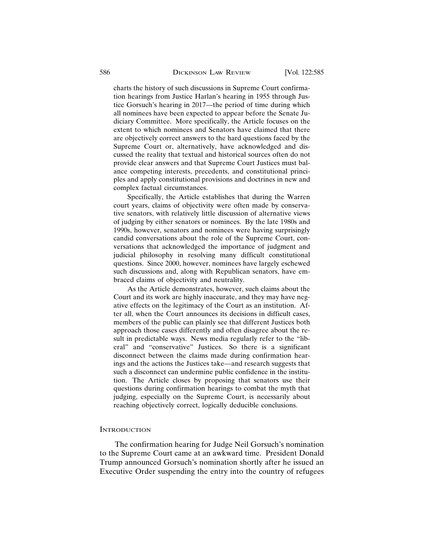charts the history of such discussions in Supreme Court confirmation hearings from Justice Harlan's hearing in 1955 through Justice Gorsuch's hearing in 2017—the period of time during which all nominees have been expected to appear before the Senate Judiciary Committee. More specifically, the Article focuses on the extent to which nominees and Senators have claimed that there are objectively correct answers to the hard questions faced by the Supreme Court or, alternatively, have acknowledged and discussed the reality that textual and historical sources often do not provide clear answers and that Supreme Court Justices must balance competing interests, precedents, and constitutional principles and apply constitutional provisions and doctrines in new and complex factual circumstances.

Specifically, the Article establishes that during the Warren court years, claims of objectivity were often made by conservative senators, with relatively little discussion of alternative views of judging by either senators or nominees. By the late 1980s and 1990s, however, senators and nominees were having surprisingly candid conversations about the role of the Supreme Court, conversations that acknowledged the importance of judgment and judicial philosophy in resolving many difficult constitutional questions. Since 2000, however, nominees have largely eschewed such discussions and, along with Republican senators, have embraced claims of objectivity and neutrality.

As the Article demonstrates, however, such claims about the Court and its work are highly inaccurate, and they may have negative effects on the legitimacy of the Court as an institution. After all, when the Court announces its decisions in difficult cases, members of the public can plainly see that different Justices both approach those cases differently and often disagree about the result in predictable ways. News media regularly refer to the "liberal" and "conservative" Justices. So there is a significant disconnect between the claims made during confirmation hearings and the actions the Justices take—and research suggests that such a disconnect can undermine public confidence in the institution. The Article closes by proposing that senators use their questions during confirmation hearings to combat the myth that judging, especially on the Supreme Court, is necessarily about reaching objectively correct, logically deducible conclusions.

#### **INTRODUCTION**

The confirmation hearing for Judge Neil Gorsuch's nomination to the Supreme Court came at an awkward time. President Donald Trump announced Gorsuch's nomination shortly after he issued an Executive Order suspending the entry into the country of refugees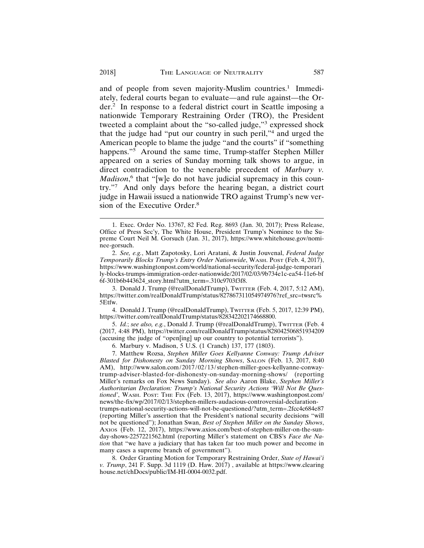and of people from seven majority-Muslim countries.<sup>1</sup> Immediately, federal courts began to evaluate—and rule against—the Order.2 In response to a federal district court in Seattle imposing a nationwide Temporary Restraining Order (TRO), the President tweeted a complaint about the "so-called judge,"<sup>3</sup> expressed shock that the judge had "put our country in such peril,"<sup>4</sup> and urged the American people to blame the judge "and the courts" if "something happens."<sup>5</sup> Around the same time, Trump-staffer Stephen Miller appeared on a series of Sunday morning talk shows to argue, in direct contradiction to the venerable precedent of *Marbury v.* Madison,<sup>6</sup> that "[w]e do not have judicial supremacy in this country."7 And only days before the hearing began, a district court judge in Hawaii issued a nationwide TRO against Trump's new version of the Executive Order.8

3. Donald J. Trump (@realDonaldTrump), TWITTER (Feb. 4, 2017, 5:12 AM), https://twitter.com/realDonaldTrump/status/827867311054974976?ref\_src=twsrc% 5Etfw.

4. Donald J. Trump (@realDonaldTrump), TWITTER (Feb. 5, 2017, 12:39 PM), https://twitter.com/realDonaldTrump/status/828342202174668800.

5. *Id.*; *see also, e.g.*, Donald J. Trump (@realDonaldTrump), TWITTER (Feb. 4 (2017, 4:48 PM), https://twitter.com/realDonaldTrump/status/828042506851934209 (accusing the judge of "open[ing] up our country to potential terrorists").

6. Marbury v. Madison, 5 U.S. (1 Cranch) 137, 177 (1803).

7. Matthew Rozsa, *Stephen Miller Goes Kellyanne Conway: Trump Adviser Blasted for Dishonesty on Sunday Morning Shows*, SALON (Feb. 13, 2017, 8:40 AM), http://www.salon.com/2017/02/13/stephen-miller-goes-kellyanne-conwaytrump-adviser-blasted-for-dishonesty-on-sunday-morning-shows/ (reporting Miller's remarks on Fox News Sunday). *See also* Aaron Blake, *Stephen Miller's Authoritarian Declaration: Trump's National Security Actions 'Will Not Be Questioned'*, WASH. POST: THE FIX (Feb. 13, 2017), https://www.washingtonpost.com/ news/the-fix/wp/2017/02/13/stephen-millers-audacious-controversial-declarationtrumps-national-security-actions-will-not-be-questioned/?utm\_term=.2fcc4c684e87 (reporting Miller's assertion that the President's national security decisions "will not be questioned"); Jonathan Swan, *Best of Stephen Miller on the Sunday Shows*, AXIOS (Feb. 12, 2017), https://www.axios.com/best-of-stephen-miller-on-the-sunday-shows-2257221562.html (reporting Miller's statement on CBS's *Face the Nation* that "we have a judiciary that has taken far too much power and become in many cases a supreme branch of government").

8. Order Granting Motion for Temporary Restraining Order, *State of Hawai'i v. Trump*, 241 F. Supp. 3d 1119 (D. Haw. 2017) , available at https://www.clearing house.net/chDocs/public/IM-HI-0004-0032.pdf.

<sup>1.</sup> Exec. Order No. 13767, 82 Fed. Reg. 8693 (Jan. 30, 2017); Press Release, Office of Press Sec'y, The White House, President Trump's Nominee to the Supreme Court Neil M. Gorsuch (Jan. 31, 2017), https://www.whitehouse.gov/nominee-gorsuch.

<sup>2.</sup> *See, e.g.*, Matt Zapotosky, Lori Aratani, & Justin Jouvenal, *Federal Judge Temporarily Blocks Trump's Entry Order Nationwide*, WASH. POST (Feb. 4, 2017), https://www.washingtonpost.com/world/national-security/federal-judge-temporari ly-blocks-trumps-immigration-order-nationwide/2017/02/03/9b734e1c-ea54-11e6-bf 6f-301b6b443624\_story.html?utm\_term=.310c9703f3f8.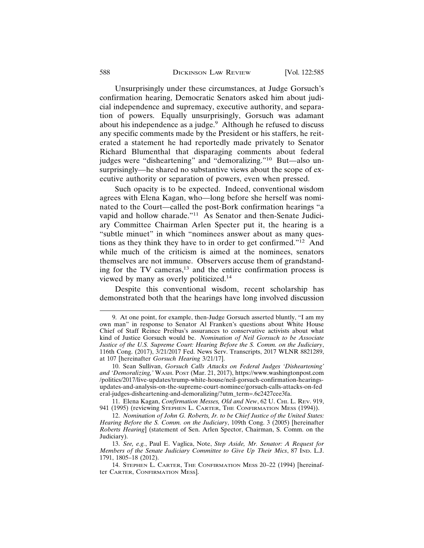Unsurprisingly under these circumstances, at Judge Gorsuch's confirmation hearing, Democratic Senators asked him about judicial independence and supremacy, executive authority, and separation of powers. Equally unsurprisingly, Gorsuch was adamant about his independence as a judge.<sup>9</sup> Although he refused to discuss any specific comments made by the President or his staffers, he reiterated a statement he had reportedly made privately to Senator Richard Blumenthal that disparaging comments about federal judges were "disheartening" and "demoralizing."10 But—also unsurprisingly—he shared no substantive views about the scope of executive authority or separation of powers, even when pressed.

Such opacity is to be expected. Indeed, conventional wisdom agrees with Elena Kagan, who—long before she herself was nominated to the Court—called the post-Bork confirmation hearings "a vapid and hollow charade."11 As Senator and then-Senate Judiciary Committee Chairman Arlen Specter put it, the hearing is a "subtle minuet" in which "nominees answer about as many questions as they think they have to in order to get confirmed."12 And while much of the criticism is aimed at the nominees, senators themselves are not immune. Observers accuse them of grandstanding for the TV cameras, $13$  and the entire confirmation process is viewed by many as overly politicized.14

Despite this conventional wisdom, recent scholarship has demonstrated both that the hearings have long involved discussion

<sup>9.</sup> At one point, for example, then-Judge Gorsuch asserted bluntly, "I am my own man" in response to Senator Al Franken's questions about White House Chief of Staff Reince Preibus's assurances to conservative activists about what kind of Justice Gorsuch would be. *Nomination of Neil Gorsuch to be Associate Justice of the U.S. Supreme Court: Hearing Before the S. Comm. on the Judiciary*, 116th Cong. (2017), 3/21/2017 Fed. News Serv. Transcripts, 2017 WLNR 8821289, at 107 [hereinafter *Gorsuch Hearing* 3/21/17].

<sup>10.</sup> Sean Sullivan, *Gorsuch Calls Attacks on Federal Judges 'Disheartening' and 'Demoralizing,'* WASH. POST (Mar. 21, 2017), https://www.washingtonpost.com /politics/2017/live-updates/trump-white-house/neil-gorsuch-confirmation-hearingsupdates-and-analysis-on-the-supreme-court-nominee/gorsuch-calls-attacks-on-fed eral-judges-disheartening-and-demoralizing/?utm\_term=.6c2427cee3fa.

<sup>11.</sup> Elena Kagan, *Confirmation Messes, Old and New*, 62 U. CHI. L. REV. 919, 941 (1995) (reviewing STEPHEN L. CARTER, THE CONFIRMATION MESS (1994)).

<sup>12.</sup> *Nomination of John G. Roberts, Jr. to be Chief Justice of the United States: Hearing Before the S. Comm. on the Judiciary*, 109th Cong. 3 (2005) [hereinafter *Roberts Hearing*] (statement of Sen. Arlen Spector, Chairman, S. Comm. on the Judiciary).

<sup>13.</sup> *See, e.g.*, Paul E. Vaglica, Note, *Step Aside, Mr. Senator: A Request for Members of the Senate Judiciary Committee to Give Up Their Mics*, 87 IND. L.J. 1791, 1805–18 (2012).

<sup>14.</sup> STEPHEN L. CARTER, THE CONFIRMATION MESS 20–22 (1994) [hereinafter CARTER, CONFIRMATION MESS].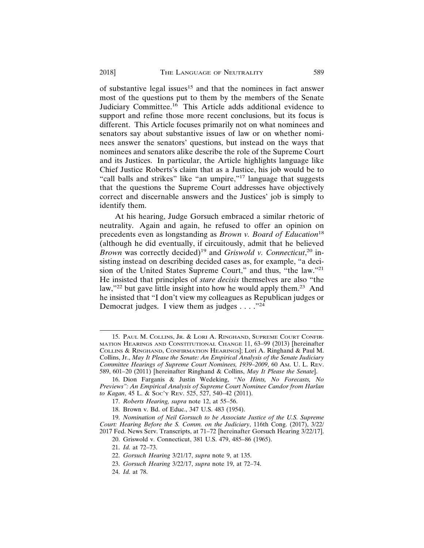of substantive legal issues<sup>15</sup> and that the nominees in fact answer most of the questions put to them by the members of the Senate Judiciary Committee.<sup>16</sup> This Article adds additional evidence to support and refine those more recent conclusions, but its focus is different. This Article focuses primarily not on what nominees and senators say about substantive issues of law or on whether nominees answer the senators' questions, but instead on the ways that nominees and senators alike describe the role of the Supreme Court and its Justices. In particular, the Article highlights language like Chief Justice Roberts's claim that as a Justice, his job would be to "call balls and strikes" like "an umpire,"<sup>17</sup> language that suggests that the questions the Supreme Court addresses have objectively correct and discernable answers and the Justices' job is simply to identify them.

At his hearing, Judge Gorsuch embraced a similar rhetoric of neutrality. Again and again, he refused to offer an opinion on precedents even as longstanding as *Brown v. Board of Education*<sup>18</sup> (although he did eventually, if circuitously, admit that he believed Brown was correctly decided)<sup>19</sup> and *Griswold v. Connecticut*,<sup>20</sup> insisting instead on describing decided cases as, for example, "a decision of the United States Supreme Court," and thus, "the law."21 He insisted that principles of *stare decisis* themselves are also "the law,"<sup>22</sup> but gave little insight into how he would apply them.<sup>23</sup> And he insisted that "I don't view my colleagues as Republican judges or Democrat judges. I view them as judges  $\dots$ ."<sup>24</sup>

<sup>15.</sup> PAUL M. COLLINS, JR. & LORI A. RINGHAND, SUPREME COURT CONFIR-MATION HEARINGS AND CONSTITUTIONAL CHANGE 11, 63–99 (2013) [hereinafter COLLINS & RINGHAND, CONFIRMATION HEARINGS]; Lori A. Ringhand & Paul M. Collins, Jr., *May It Please the Senate: An Empirical Analysis of the Senate Judiciary Committee Hearings of Supreme Court Nominees, 1939–2009*, 60 AM. U. L. REV. 589, 601–20 (2011) [hereinafter Ringhand & Collins, *May It Please the Senate*].

<sup>16.</sup> Dion Farganis & Justin Wedeking, *"No Hints, No Forecasts, No Previews": An Empirical Analysis of Supreme Court Nominee Candor from Harlan to Kagan*, 45 L. & SOC'Y REV. 525, 527, 540–42 (2011).

<sup>17.</sup> *Roberts Hearing, supra* note 12, at 55–56.

<sup>18.</sup> Brown v. Bd. of Educ., 347 U.S. 483 (1954).

<sup>19.</sup> *Nomination of Neil Gorsuch to be Associate Justice of the U.S. Supreme Court: Hearing Before the S. Comm. on the Judiciary*, 116th Cong. (2017), 3/22/ 2017 Fed. News Serv. Transcripts, at 71–72 [hereinafter Gorsuch Hearing 3/22/17].

<sup>20.</sup> Griswold v. Connecticut, 381 U.S. 479, 485–86 (1965).

<sup>21.</sup> *Id.* at 72–73.

<sup>22.</sup> *Gorsuch Hearing* 3/21/17, *supra* note 9, at 135.

<sup>23.</sup> *Gorsuch Hearing* 3/22/17, *supra* note 19, at 72–74.

<sup>24.</sup> *Id.* at 78.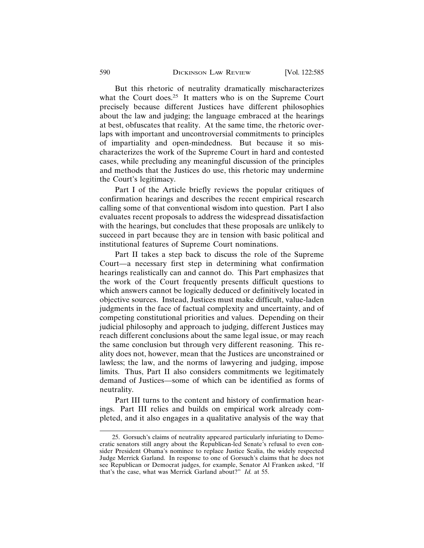But this rhetoric of neutrality dramatically mischaracterizes what the Court does.<sup>25</sup> It matters who is on the Supreme Court precisely because different Justices have different philosophies about the law and judging; the language embraced at the hearings at best, obfuscates that reality. At the same time, the rhetoric overlaps with important and uncontroversial commitments to principles of impartiality and open-mindedness. But because it so mischaracterizes the work of the Supreme Court in hard and contested cases, while precluding any meaningful discussion of the principles and methods that the Justices do use, this rhetoric may undermine the Court's legitimacy.

Part I of the Article briefly reviews the popular critiques of confirmation hearings and describes the recent empirical research calling some of that conventional wisdom into question. Part I also evaluates recent proposals to address the widespread dissatisfaction with the hearings, but concludes that these proposals are unlikely to succeed in part because they are in tension with basic political and institutional features of Supreme Court nominations.

Part II takes a step back to discuss the role of the Supreme Court—a necessary first step in determining what confirmation hearings realistically can and cannot do. This Part emphasizes that the work of the Court frequently presents difficult questions to which answers cannot be logically deduced or definitively located in objective sources. Instead, Justices must make difficult, value-laden judgments in the face of factual complexity and uncertainty, and of competing constitutional priorities and values. Depending on their judicial philosophy and approach to judging, different Justices may reach different conclusions about the same legal issue, or may reach the same conclusion but through very different reasoning. This reality does not, however, mean that the Justices are unconstrained or lawless; the law, and the norms of lawyering and judging, impose limits. Thus, Part II also considers commitments we legitimately demand of Justices—some of which can be identified as forms of neutrality.

Part III turns to the content and history of confirmation hearings. Part III relies and builds on empirical work already completed, and it also engages in a qualitative analysis of the way that

<sup>25.</sup> Gorsuch's claims of neutrality appeared particularly infuriating to Democratic senators still angry about the Republican-led Senate's refusal to even consider President Obama's nominee to replace Justice Scalia, the widely respected Judge Merrick Garland. In response to one of Gorsuch's claims that he does not see Republican or Democrat judges, for example, Senator Al Franken asked, "If that's the case, what was Merrick Garland about?" *Id.* at 55.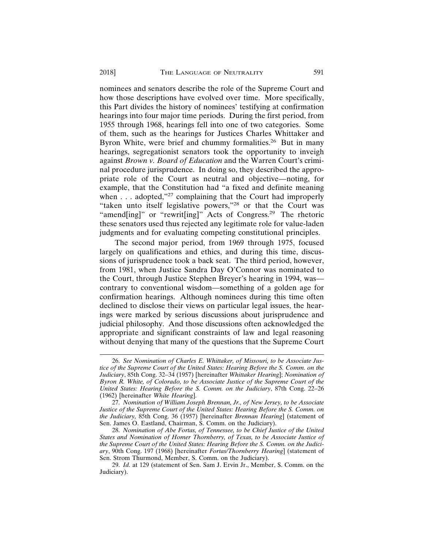nominees and senators describe the role of the Supreme Court and how those descriptions have evolved over time. More specifically, this Part divides the history of nominees' testifying at confirmation hearings into four major time periods. During the first period, from 1955 through 1968, hearings fell into one of two categories. Some of them, such as the hearings for Justices Charles Whittaker and Byron White, were brief and chummy formalities.<sup>26</sup> But in many hearings, segregationist senators took the opportunity to inveigh against *Brown v. Board of Education* and the Warren Court's criminal procedure jurisprudence. In doing so, they described the appropriate role of the Court as neutral and objective—noting, for example, that the Constitution had "a fixed and definite meaning when  $\dots$  adopted,"<sup>27</sup> complaining that the Court had improperly "taken unto itself legislative powers,"28 or that the Court was "amend[ing]" or "rewrit[ing]" Acts of Congress.<sup>29</sup> The rhetoric these senators used thus rejected any legitimate role for value-laden judgments and for evaluating competing constitutional principles.

The second major period, from 1969 through 1975, focused largely on qualifications and ethics, and during this time, discussions of jurisprudence took a back seat. The third period, however, from 1981, when Justice Sandra Day O'Connor was nominated to the Court, through Justice Stephen Breyer's hearing in 1994, was contrary to conventional wisdom—something of a golden age for confirmation hearings. Although nominees during this time often declined to disclose their views on particular legal issues, the hearings were marked by serious discussions about jurisprudence and judicial philosophy. And those discussions often acknowledged the appropriate and significant constraints of law and legal reasoning without denying that many of the questions that the Supreme Court

<sup>26.</sup> *See Nomination of Charles E. Whittaker, of Missouri, to be Associate Justice of the Supreme Court of the United States: Hearing Before the S. Comm. on the Judiciary*, 85th Cong. 32–34 (1957) [hereinafter *Whittaker Hearing*]; *Nomination of Byron R. White, of Colorado, to be Associate Justice of the Supreme Court of the United States: Hearing Before the S. Comm. on the Judiciary*, 87th Cong. 22–26 (1962) [hereinafter *White Hearing*].

<sup>27.</sup> *Nomination of William Joseph Brennan, Jr., of New Jersey, to be Associate Justice of the Supreme Court of the United States: Hearing Before the S. Comm. on the Judiciary,* 85th Cong. 36 (1957) [hereinafter *Brennan Hearing*] (statement of Sen. James O. Eastland, Chairman, S. Comm. on the Judiciary).

<sup>28.</sup> *Nomination of Abe Fortas, of Tennessee, to be Chief Justice of the United States and Nomination of Homer Thornberry, of Texas, to be Associate Justice of the Supreme Court of the United States: Hearing Before the S. Comm. on the Judiciary*, 90th Cong. 197 (1968) [hereinafter *Fortas/Thornberry Hearing*] (statement of Sen. Strom Thurmond, Member, S. Comm. on the Judiciary).

<sup>29.</sup> *Id.* at 129 (statement of Sen. Sam J. Ervin Jr., Member, S. Comm. on the Judiciary).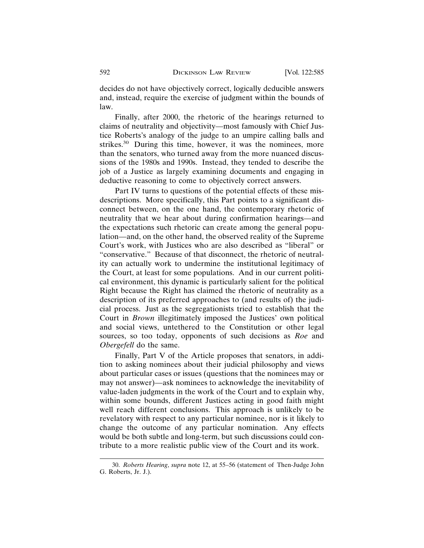decides do not have objectively correct, logically deducible answers and, instead, require the exercise of judgment within the bounds of law.

Finally, after 2000, the rhetoric of the hearings returned to claims of neutrality and objectivity—most famously with Chief Justice Roberts's analogy of the judge to an umpire calling balls and strikes.30 During this time, however, it was the nominees, more than the senators, who turned away from the more nuanced discussions of the 1980s and 1990s. Instead, they tended to describe the job of a Justice as largely examining documents and engaging in deductive reasoning to come to objectively correct answers.

Part IV turns to questions of the potential effects of these misdescriptions. More specifically, this Part points to a significant disconnect between, on the one hand, the contemporary rhetoric of neutrality that we hear about during confirmation hearings—and the expectations such rhetoric can create among the general population—and, on the other hand, the observed reality of the Supreme Court's work, with Justices who are also described as "liberal" or "conservative." Because of that disconnect, the rhetoric of neutrality can actually work to undermine the institutional legitimacy of the Court, at least for some populations. And in our current political environment, this dynamic is particularly salient for the political Right because the Right has claimed the rhetoric of neutrality as a description of its preferred approaches to (and results of) the judicial process. Just as the segregationists tried to establish that the Court in *Brown* illegitimately imposed the Justices' own political and social views, untethered to the Constitution or other legal sources, so too today, opponents of such decisions as *Roe* and *Obergefell* do the same.

Finally, Part V of the Article proposes that senators, in addition to asking nominees about their judicial philosophy and views about particular cases or issues (questions that the nominees may or may not answer)—ask nominees to acknowledge the inevitability of value-laden judgments in the work of the Court and to explain why, within some bounds, different Justices acting in good faith might well reach different conclusions. This approach is unlikely to be revelatory with respect to any particular nominee, nor is it likely to change the outcome of any particular nomination. Any effects would be both subtle and long-term, but such discussions could contribute to a more realistic public view of the Court and its work.

<sup>30.</sup> *Roberts Hearing*, *supra* note 12, at 55–56 (statement of Then-Judge John G. Roberts, Jr. J.).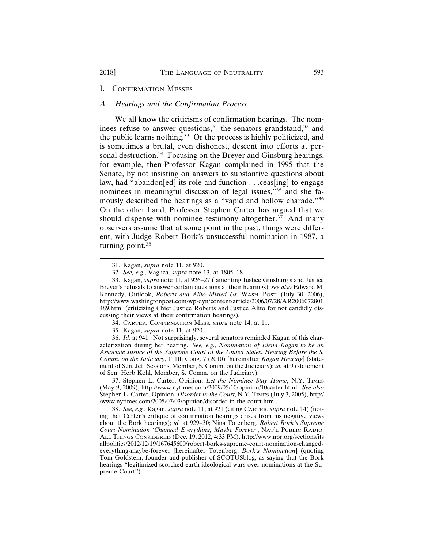#### I. CONFIRMATION MESSES

#### *A. Hearings and the Confirmation Process*

We all know the criticisms of confirmation hearings. The nominees refuse to answer questions, $31$  the senators grandstand, $32$  and the public learns nothing.<sup>33</sup> Or the process is highly politicized, and is sometimes a brutal, even dishonest, descent into efforts at personal destruction.<sup>34</sup> Focusing on the Breyer and Ginsburg hearings, for example, then-Professor Kagan complained in 1995 that the Senate, by not insisting on answers to substantive questions about law, had "abandon[ed] its role and function . . .ceas[ing] to engage nominees in meaningful discussion of legal issues,"35 and she famously described the hearings as a "vapid and hollow charade."36 On the other hand, Professor Stephen Carter has argued that we should dispense with nominee testimony altogether.<sup>37</sup> And many observers assume that at some point in the past, things were different, with Judge Robert Bork's unsuccessful nomination in 1987, a turning point.<sup>38</sup>

36. *Id.* at 941. Not surprisingly, several senators reminded Kagan of this characterization during her hearing. *See, e.g.*, *Nomination of Elena Kagan to be an Associate Justice of the Supreme Court of the United States: Hearing Before the S. Comm. on the Judiciary*, 111th Cong. 7 (2010) [hereinafter *Kagan Hearing*] (statement of Sen. Jeff Sessions, Member, S. Comm. on the Judiciary); *id.* at 9 (statement of Sen. Herb Kohl, Member, S. Comm. on the Judiciary).

37. Stephen L. Carter, Opinion, *Let the Nominee Stay Home*, N.Y. TIMES (May 9, 2009), http://www.nytimes.com/2009/05/10/opinion/10carter.html. *See also* Stephen L. Carter, Opinion, *Disorder in the Court*, N.Y. TIMES (July 3, 2005), http:/ /www.nytimes.com/2005/07/03/opinion/disorder-in-the-court.html.

38. *See, e.g.*, Kagan, *supra* note 11, at 921 (citing CARTER, *supra* note 14) (noting that Carter's critique of confirmation hearings arises from his negative views about the Bork hearings); *id.* at 929–30; Nina Totenberg, *Robert Bork's Supreme Court Nomination 'Changed Everything, Maybe Forever'*, NAT'L PUBLIC RADIO: ALL THINGS CONSIDERED (Dec. 19, 2012, 4:33 PM), http://www.npr.org/sections/its allpolitics/2012/12/19/167645600/robert-borks-supreme-court-nomination-changedeverything-maybe-forever [hereinafter Totenberg, *Bork's Nomination*] (quoting Tom Goldstein, founder and publisher of SCOTUSblog, as saying that the Bork hearings "legitimized scorched-earth ideological wars over nominations at the Supreme Court").

<sup>31.</sup> Kagan, *supra* note 11, at 920.

<sup>32.</sup> *See, e.g.*, Vaglica, *supra* note 13, at 1805–18.

<sup>33.</sup> Kagan, *supra* note 11, at 926–27 (lamenting Justice Ginsburg's and Justice Breyer's refusals to answer certain questions at their hearings); *see also* Edward M. Kennedy, Outlook, *Roberts and Alito Misled Us*, WASH. POST. (July 30. 2006), http://www.washingtonpost.com/wp-dyn/content/article/2006/07/28/AR2006072801 489.html (criticizing Chief Justice Roberts and Justice Alito for not candidly discussing their views at their confirmation hearings).

<sup>34.</sup> CARTER, CONFIRMATION MESS, *supra* note 14, at 11.

<sup>35.</sup> Kagan, *supra* note 11, at 920.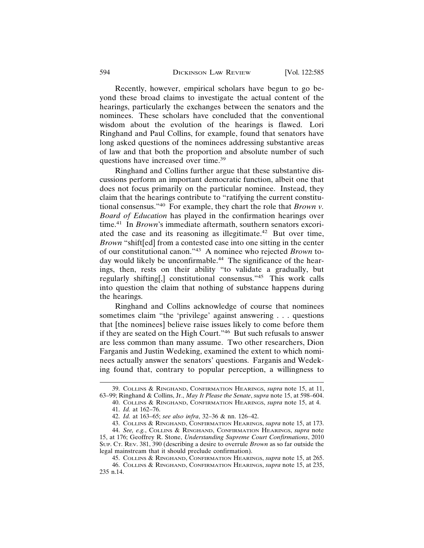Recently, however, empirical scholars have begun to go beyond these broad claims to investigate the actual content of the hearings, particularly the exchanges between the senators and the nominees. These scholars have concluded that the conventional wisdom about the evolution of the hearings is flawed. Lori Ringhand and Paul Collins, for example, found that senators have long asked questions of the nominees addressing substantive areas of law and that both the proportion and absolute number of such questions have increased over time.39

Ringhand and Collins further argue that these substantive discussions perform an important democratic function, albeit one that does not focus primarily on the particular nominee. Instead, they claim that the hearings contribute to "ratifying the current constitutional consensus."40 For example, they chart the role that *Brown v. Board of Education* has played in the confirmation hearings over time.<sup>41</sup> In *Brown*'s immediate aftermath, southern senators excoriated the case and its reasoning as illegitimate.42 But over time, *Brown* "shift[ed] from a contested case into one sitting in the center of our constitutional canon."43 A nominee who rejected *Brown* today would likely be unconfirmable.<sup>44</sup> The significance of the hearings, then, rests on their ability "to validate a gradually, but regularly shifting[,] constitutional consensus."45 This work calls into question the claim that nothing of substance happens during the hearings.

Ringhand and Collins acknowledge of course that nominees sometimes claim "the 'privilege' against answering . . . questions that [the nominees] believe raise issues likely to come before them if they are seated on the High Court."46 But such refusals to answer are less common than many assume. Two other researchers, Dion Farganis and Justin Wedeking, examined the extent to which nominees actually answer the senators' questions. Farganis and Wedeking found that, contrary to popular perception, a willingness to

<sup>39.</sup> COLLINS & RINGHAND, CONFIRMATION HEARINGS, *supra* note 15, at 11, 63–99; Ringhand & Collins, Jr., *May It Please the Senate*, *supra* note 15, at 598–604.

<sup>40.</sup> COLLINS & RINGHAND, CONFIRMATION HEARINGS, *supra* note 15, at 4. 41. *Id.* at 162–76.

<sup>42.</sup> *Id.* at 163–65; *see also infra*, 32–36 & nn. 126–42.

<sup>43.</sup> COLLINS & RINGHAND, CONFIRMATION HEARINGS, *supra* note 15, at 173.

<sup>44.</sup> *See, e.g.*, COLLINS & RINGHAND, CONFIRMATION HEARINGS, *supra* note 15, at 176; Geoffrey R. Stone, *Understanding Supreme Court Confirmations*, 2010 SUP. CT. REV. 381, 390 (describing a desire to overrule *Brown* as so far outside the legal mainstream that it should preclude confirmation).

<sup>45.</sup> COLLINS & RINGHAND, CONFIRMATION HEARINGS, *supra* note 15, at 265.

<sup>46.</sup> COLLINS & RINGHAND, CONFIRMATION HEARINGS, *supra* note 15, at 235, 235 n.14.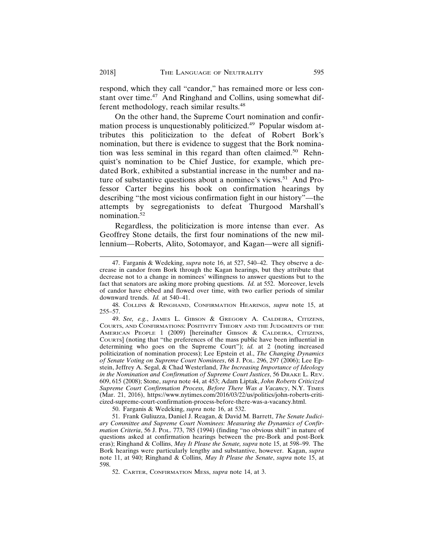respond, which they call "candor," has remained more or less constant over time.47 And Ringhand and Collins, using somewhat different methodology, reach similar results.<sup>48</sup>

On the other hand, the Supreme Court nomination and confirmation process is unquestionably politicized.49 Popular wisdom attributes this politicization to the defeat of Robert Bork's nomination, but there is evidence to suggest that the Bork nomination was less seminal in this regard than often claimed.<sup>50</sup> Rehnquist's nomination to be Chief Justice, for example, which predated Bork, exhibited a substantial increase in the number and nature of substantive questions about a nominee's views.<sup>51</sup> And Professor Carter begins his book on confirmation hearings by describing "the most vicious confirmation fight in our history"—the attempts by segregationists to defeat Thurgood Marshall's nomination.52

Regardless, the politicization is more intense than ever. As Geoffrey Stone details, the first four nominations of the new millennium—Roberts, Alito, Sotomayor, and Kagan—were all signifi-

50. Farganis & Wedeking, *supra* note 16, at 532.

51. Frank Guliuzza, Daniel J. Reagan, & David M. Barrett, *The Senate Judiciary Committee and Supreme Court Nominees: Measuring the Dynamics of Confirmation Criteria*, 56 J. POL. 773, 785 (1994) (finding "no obvious shift" in nature of questions asked at confirmation hearings between the pre-Bork and post-Bork eras); Ringhand & Collins, *May It Please the Senate, supra* note 15, at 598–99. The Bork hearings were particularly lengthy and substantive, however. Kagan, *supra* note 11, at 940; Ringhand & Collins, *May It Please the Senate*, *supra* note 15, at 598.

52. CARTER, CONFIRMATION MESS, *supra* note 14, at 3.

<sup>47.</sup> Farganis & Wedeking, *supra* note 16, at 527, 540–42. They observe a decrease in candor from Bork through the Kagan hearings, but they attribute that decrease not to a change in nominees' willingness to answer questions but to the fact that senators are asking more probing questions. *Id.* at 552. Moreover, levels of candor have ebbed and flowed over time, with two earlier periods of similar downward trends. *Id.* at 540–41.

<sup>48.</sup> COLLINS & RINGHAND, CONFIRMATION HEARINGS, *supra* note 15, at 255–57.

<sup>49.</sup> *See, e.g.*, JAMES L. GIBSON & GREGORY A. CALDEIRA, CITIZENS, COURTS, AND CONFIRMATIONS: POSITIVITY THEORY AND THE JUDGMENTS OF THE AMERICAN PEOPLE 1 (2009) [hereinafter GIBSON & CALDEIRA, CITIZENS, COURTS] (noting that "the preferences of the mass public have been influential in determining who goes on the Supreme Court"); *id.* at 2 (noting increased politicization of nomination process); Lee Epstein et al., *The Changing Dynamics of Senate Voting on Supreme Court Nominees*, 68 J. POL. 296, 297 (2006); Lee Epstein, Jeffrey A. Segal, & Chad Westerland, *The Increasing Importance of Ideology in the Nomination and Confirmation of Supreme Court Justices*, 56 DRAKE L. REV. 609, 615 (2008); Stone, *supra* note 44, at 453; Adam Liptak, *John Roberts Criticized Supreme Court Confirmation Process, Before There Was a Vacancy*, N.Y. TIMES (Mar. 21, 2016), https://www.nytimes.com/2016/03/22/us/politics/john-roberts-criticized-supreme-court-confirmation-process-before-there-was-a-vacancy.html.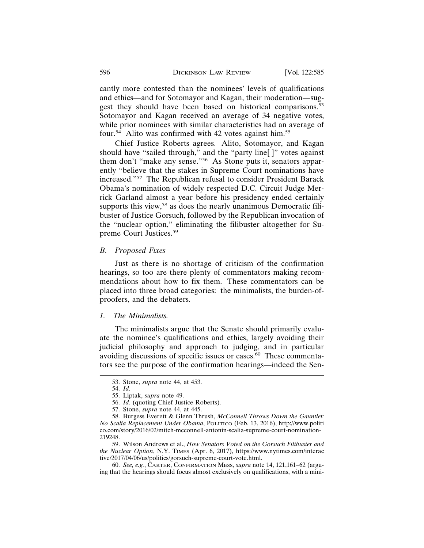cantly more contested than the nominees' levels of qualifications and ethics—and for Sotomayor and Kagan, their moderation—suggest they should have been based on historical comparisons.<sup>53</sup> Sotomayor and Kagan received an average of 34 negative votes, while prior nominees with similar characteristics had an average of four.<sup>54</sup> Alito was confirmed with 42 votes against him.<sup>55</sup>

Chief Justice Roberts agrees. Alito, Sotomayor, and Kagan should have "sailed through," and the "party line[]" votes against them don't "make any sense."56 As Stone puts it, senators apparently "believe that the stakes in Supreme Court nominations have increased."57 The Republican refusal to consider President Barack Obama's nomination of widely respected D.C. Circuit Judge Merrick Garland almost a year before his presidency ended certainly supports this view,<sup>58</sup> as does the nearly unanimous Democratic filibuster of Justice Gorsuch, followed by the Republican invocation of the "nuclear option," eliminating the filibuster altogether for Supreme Court Justices.59

#### *B. Proposed Fixes*

Just as there is no shortage of criticism of the confirmation hearings, so too are there plenty of commentators making recommendations about how to fix them. These commentators can be placed into three broad categories: the minimalists, the burden-ofproofers, and the debaters.

#### *1. The Minimalists.*

The minimalists argue that the Senate should primarily evaluate the nominee's qualifications and ethics, largely avoiding their judicial philosophy and approach to judging, and in particular avoiding discussions of specific issues or cases.<sup>60</sup> These commentators see the purpose of the confirmation hearings—indeed the Sen-

<sup>53.</sup> Stone, *supra* note 44, at 453.

<sup>54.</sup> *Id.*

<sup>55.</sup> Liptak, *supra* note 49.

<sup>56.</sup> *Id.* (quoting Chief Justice Roberts).

<sup>57.</sup> Stone, *supra* note 44, at 445.

<sup>58.</sup> Burgess Everett & Glenn Thrush, *McConnell Throws Down the Gauntlet: No Scalia Replacement Under Obama*, POLITICO (Feb. 13, 2016), http://www.politi co.com/story/2016/02/mitch-mcconnell-antonin-scalia-supreme-court-nomination-219248.

<sup>59.</sup> Wilson Andrews et al., *How Senators Voted on the Gorsuch Filibuster and the Nuclear Option*, N.Y. TIMES (Apr. 6, 2017), https://www.nytimes.com/interac tive/2017/04/06/us/politics/gorsuch-supreme-court-vote.html.

<sup>60.</sup> *See, e.g.*, CARTER, CONFIRMATION MESS, *supra* note 14, 121,161–62 (arguing that the hearings should focus almost exclusively on qualifications, with a mini-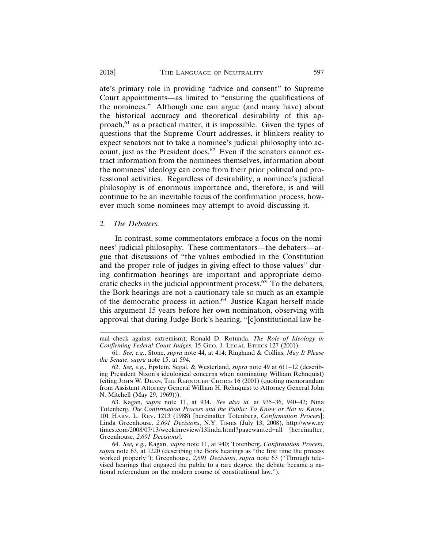ate's primary role in providing "advice and consent" to Supreme Court appointments—as limited to "ensuring the qualifications of the nominees." Although one can argue (and many have) about the historical accuracy and theoretical desirability of this approach,61 as a practical matter, it is impossible. Given the types of questions that the Supreme Court addresses, it blinkers reality to expect senators not to take a nominee's judicial philosophy into account, just as the President does.<sup>62</sup> Even if the senators cannot extract information from the nominees themselves, information about the nominees' ideology can come from their prior political and professional activities. Regardless of desirability, a nominee's judicial philosophy is of enormous importance and, therefore, is and will continue to be an inevitable focus of the confirmation process, however much some nominees may attempt to avoid discussing it.

#### *2. The Debaters.*

In contrast, some commentators embrace a focus on the nominees' judicial philosophy. These commentators—the debaters—argue that discussions of "the values embodied in the Constitution and the proper role of judges in giving effect to those values" during confirmation hearings are important and appropriate democratic checks in the judicial appointment process.63 To the debaters, the Bork hearings are not a cautionary tale so much as an example of the democratic process in action.64 Justice Kagan herself made this argument 15 years before her own nomination, observing with approval that during Judge Bork's hearing, "[c]onstitutional law be-

63. Kagan, *supra* note 11, at 934. *See also id.* at 935–36, 940–42; Nina Totenberg, *The Confirmation Process and the Public: To Know or Not to Know*, 101 HARV. L. REV. 1213 (1988) [hereinafter Totenberg, *Confirmation Process*]; Linda Greenhouse, *2,691 Decisions*, N.Y. TIMES (July 13, 2008), http://www.ny times.com/2008/07/13/weekinreview/13linda.html?pagewanted=all [hereinafter, Greenhouse, *2,691 Decisions*].

64. *See, e.g.*, Kagan, *supra* note 11, at 940; Totenberg, *Confirmation Process*, *supra* note 63, at 1220 (describing the Bork hearings as "the first time the process worked properly"); Greenhouse, *2,691 Decisions*, *supra* note 63 ("Through televised hearings that engaged the public to a rare degree, the debate became a national referendum on the modern course of constitutional law.").

mal check against extremism); Ronald D. Rotunda, *The Role of Ideology in Confirming Federal Court Judges*, 15 GEO. J. LEGAL ETHICS 127 (2001).

<sup>61.</sup> *See, e.g.*, Stone, *supra* note 44, at 414; Ringhand & Collins, *May It Please the Senate*, *supra* note 15, at 594.

<sup>62.</sup> *See, e.g.*, Epstein, Segal, & Westerland, *supra* note 49 at 611–12 (describing President Nixon's ideological concerns when nominating William Rehnquist) (citing JOHN W. DEAN, THE REHNQUIST CHOICE 16 (2001) (quoting memorandum from Assistant Attorney General William H. Rehnquist to Attorney General John N. Mitchell (May 29, 1969))).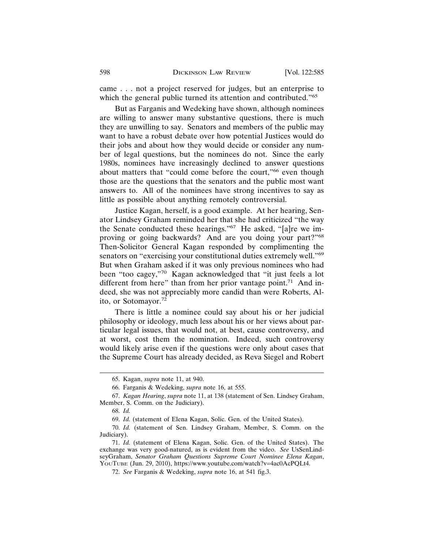came . . . not a project reserved for judges, but an enterprise to which the general public turned its attention and contributed."<sup>65</sup>

But as Farganis and Wedeking have shown, although nominees are willing to answer many substantive questions, there is much they are unwilling to say. Senators and members of the public may want to have a robust debate over how potential Justices would do their jobs and about how they would decide or consider any number of legal questions, but the nominees do not. Since the early 1980s, nominees have increasingly declined to answer questions about matters that "could come before the court,"<sup>66</sup> even though those are the questions that the senators and the public most want answers to. All of the nominees have strong incentives to say as little as possible about anything remotely controversial.

Justice Kagan, herself, is a good example. At her hearing, Senator Lindsey Graham reminded her that she had criticized "the way the Senate conducted these hearings."67 He asked, "[a]re we improving or going backwards? And are you doing your part?"<sup>68</sup> Then-Solicitor General Kagan responded by complimenting the senators on "exercising your constitutional duties extremely well."<sup>69</sup> But when Graham asked if it was only previous nominees who had been "too cagey,"70 Kagan acknowledged that "it just feels a lot different from here" than from her prior vantage point.<sup>71</sup> And indeed, she was not appreciably more candid than were Roberts, Alito, or Sotomayor.72

There is little a nominee could say about his or her judicial philosophy or ideology, much less about his or her views about particular legal issues, that would not, at best, cause controversy, and at worst, cost them the nomination. Indeed, such controversy would likely arise even if the questions were only about cases that the Supreme Court has already decided, as Reva Siegel and Robert

<sup>65.</sup> Kagan, *supra* note 11, at 940.

<sup>66.</sup> Farganis & Wedeking, *supra* note 16, at 555.

<sup>67.</sup> *Kagan Hearing*, *supra* note 11, at 138 (statement of Sen. Lindsey Graham, Member, S. Comm. on the Judiciary).

<sup>68.</sup> *Id.*

<sup>69.</sup> *Id.* (statement of Elena Kagan, Solic. Gen. of the United States).

<sup>70.</sup> *Id.* (statement of Sen. Lindsey Graham, Member, S. Comm. on the Judiciary).

<sup>71.</sup> *Id.* (statement of Elena Kagan, Solic. Gen. of the United States). The exchange was very good-natured, as is evident from the video. *See* UsSenLindseyGraham, *Senator Graham Questions Supreme Court Nominee Elena Kagan*, YOUTUBE (Jun. 29, 2010), https://www.youtube.com/watch?v=4ac0AcPQLt4.

<sup>72.</sup> *See* Farganis & Wedeking, *supra* note 16, at 541 fig.3.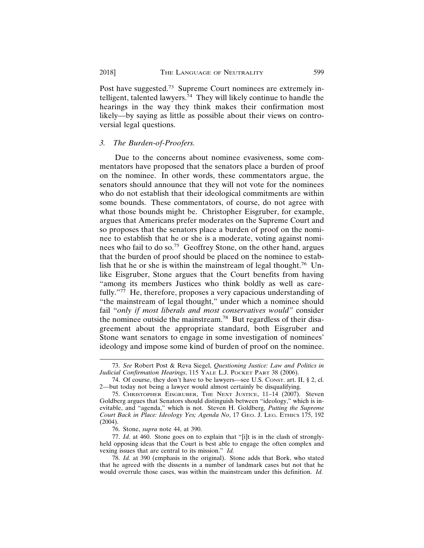Post have suggested.73 Supreme Court nominees are extremely intelligent, talented lawyers. $74$  They will likely continue to handle the hearings in the way they think makes their confirmation most likely—by saying as little as possible about their views on controversial legal questions.

#### *3. The Burden-of-Proofers.*

Due to the concerns about nominee evasiveness, some commentators have proposed that the senators place a burden of proof on the nominee. In other words, these commentators argue, the senators should announce that they will not vote for the nominees who do not establish that their ideological commitments are within some bounds. These commentators, of course, do not agree with what those bounds might be. Christopher Eisgruber, for example, argues that Americans prefer moderates on the Supreme Court and so proposes that the senators place a burden of proof on the nominee to establish that he or she is a moderate, voting against nominees who fail to do so.75 Geoffrey Stone, on the other hand, argues that the burden of proof should be placed on the nominee to establish that he or she is within the mainstream of legal thought.<sup>76</sup> Unlike Eisgruber, Stone argues that the Court benefits from having "among its members Justices who think boldly as well as carefully."<sup>77</sup> He, therefore, proposes a very capacious understanding of "the mainstream of legal thought," under which a nominee should fail "*only if most liberals and most conservatives would"* consider the nominee outside the mainstream.78 But regardless of their disagreement about the appropriate standard, both Eisgruber and Stone want senators to engage in some investigation of nominees' ideology and impose some kind of burden of proof on the nominee.

<sup>73.</sup> *See* Robert Post & Reva Siegel, *Questioning Justice: Law and Politics in Judicial Confirmation Hearings*, 115 YALE L.J. POCKET PART 38 (2006).

<sup>74.</sup> Of course, they don't have to be lawyers—see U.S. CONST. art. II, § 2, cl. 2—but today not being a lawyer would almost certainly be disqualifying.

<sup>75.</sup> CHRISTOPHER EISGRUBER, THE NEXT JUSTICE, 11–14 (2007). Steven Goldberg argues that Senators should distinguish between "ideology," which is inevitable, and "agenda," which is not. Steven H. Goldberg, *Putting the Supreme Court Back in Place: Ideology Yes; Agenda No*, 17 GEO. J. LEG. ETHICS 175, 192 (2004).

<sup>76.</sup> Stone, *supra* note 44, at 390.

<sup>77.</sup> *Id.* at 460. Stone goes on to explain that "[i]t is in the clash of stronglyheld opposing ideas that the Court is best able to engage the often complex and vexing issues that are central to its mission." *Id.*

<sup>78.</sup> *Id.* at 390 (emphasis in the original). Stone adds that Bork, who stated that he agreed with the dissents in a number of landmark cases but not that he would overrule those cases, was within the mainstream under this definition. *Id.*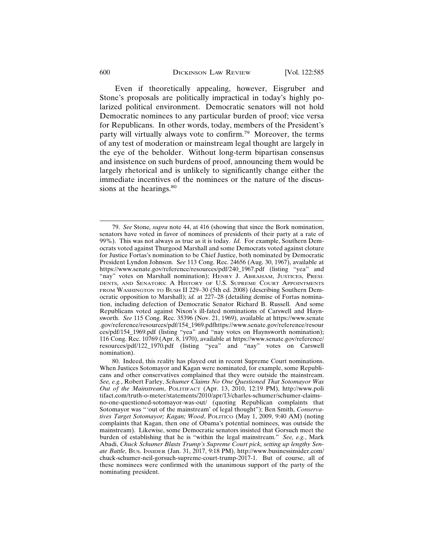Even if theoretically appealing, however, Eisgruber and Stone's proposals are politically impractical in today's highly polarized political environment. Democratic senators will not hold Democratic nominees to any particular burden of proof; vice versa for Republicans. In other words, today, members of the President's party will virtually always vote to confirm.79 Moreover, the terms of any test of moderation or mainstream legal thought are largely in the eye of the beholder. Without long-term bipartisan consensus and insistence on such burdens of proof, announcing them would be largely rhetorical and is unlikely to significantly change either the immediate incentives of the nominees or the nature of the discussions at the hearings.<sup>80</sup>

<sup>79.</sup> *See* Stone*, supra* note 44, at 416 (showing that since the Bork nomination, senators have voted in favor of nominees of presidents of their party at a rate of 99%). This was not always as true as it is today. *Id.* For example, Southern Democrats voted against Thurgood Marshall and some Democrats voted against cloture for Justice Fortas's nomination to be Chief Justice, both nominated by Democratic President Lyndon Johnson. S*ee* 113 Cong. Rec. 24656 (Aug. 30, 1967), available at https://www.senate.gov/reference/resources/pdf/240\_1967.pdf (listing "yea" and "nay" votes on Marshall nomination); HENRY J. ABRAHAM, JUSTICES, PRESI-DENTS, AND SENATORS: A HISTORY OF U.S. SUPREME COURT APPOINTMENTS FROM WASHINGTON TO BUSH II 229–30 (5th ed. 2008) (describing Southern Democratic opposition to Marshall); *id.* at 227–28 (detailing demise of Fortas nomination, including defection of Democratic Senator Richard B. Russell. And some Republicans voted against Nixon's ill-fated nominations of Carswell and Haynsworth. *See* 115 Cong. Rec. 35396 (Nov. 21, 1969), available at https://www.senate .gov/reference/resources/pdf/154\_1969.pdfhttps://www.senate.gov/reference/resour ces/pdf/154\_1969.pdf (listing "yea" and "nay votes on Haynsworth nomination); 116 Cong. Rec. 10769 (Apr. 8, 1970), available at https://www.senate.gov/reference/ resources/pdf/122\_1970.pdf (listing "yea" and "nay" votes on Carswell nomination).

<sup>80.</sup> Indeed, this reality has played out in recent Supreme Court nominations. When Justices Sotomayor and Kagan were nominated, for example, some Republicans and other conservatives complained that they were outside the mainstream. *See, e.g.*, Robert Farley, *Schumer Claims No One Questioned That Sotomayor Was Out of the Mainstream*, POLITIFACT (Apr. 13, 2010, 12:19 PM), http://www.poli tifact.com/truth-o-meter/statements/2010/apr/13/charles-schumer/schumer-claimsno-one-questioned-sotomayor-was-out/ (quoting Republican complaints that Sotomayor was "'out of the mainstream' of legal thought"); Ben Smith, *Conservatives Target Sotomayor; Kagan; Wood*, POLITICO (May 1, 2009, 9:40 AM) (noting complaints that Kagan, then one of Obama's potential nominees, was outside the mainstream). Likewise, some Democratic senators insisted that Gorsuch meet the burden of establishing that he is "within the legal mainstream." *See, e.g.*, Mark Abadi, *Chuck Schumer Blasts Trump's Supreme Court pick, setting up lengthy Senate Battle*, BUS. INSIDER (Jan. 31, 2017, 9:18 PM), http://www.businessinsider.com/ chuck-schumer-neil-gorsuch-supreme-court-trump-2017-1. But of course, all of these nominees were confirmed with the unanimous support of the party of the nominating president.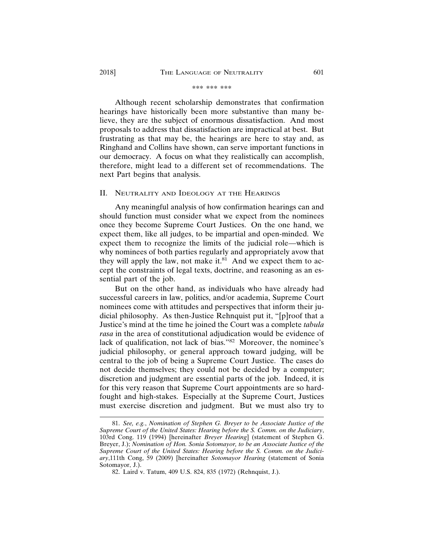#### \*\*\* \*\*\* \*\*\*

Although recent scholarship demonstrates that confirmation hearings have historically been more substantive than many believe, they are the subject of enormous dissatisfaction. And most proposals to address that dissatisfaction are impractical at best. But frustrating as that may be, the hearings are here to stay and, as Ringhand and Collins have shown, can serve important functions in our democracy. A focus on what they realistically can accomplish, therefore, might lead to a different set of recommendations. The next Part begins that analysis.

#### II. NEUTRALITY AND IDEOLOGY AT THE HEARINGS

Any meaningful analysis of how confirmation hearings can and should function must consider what we expect from the nominees once they become Supreme Court Justices. On the one hand, we expect them, like all judges, to be impartial and open-minded. We expect them to recognize the limits of the judicial role—which is why nominees of both parties regularly and appropriately avow that they will apply the law, not make it. $81$  And we expect them to accept the constraints of legal texts, doctrine, and reasoning as an essential part of the job.

But on the other hand, as individuals who have already had successful careers in law, politics, and/or academia, Supreme Court nominees come with attitudes and perspectives that inform their judicial philosophy. As then-Justice Rehnquist put it, "[p]roof that a Justice's mind at the time he joined the Court was a complete *tabula rasa* in the area of constitutional adjudication would be evidence of lack of qualification, not lack of bias."82 Moreover, the nominee's judicial philosophy, or general approach toward judging, will be central to the job of being a Supreme Court Justice. The cases do not decide themselves; they could not be decided by a computer; discretion and judgment are essential parts of the job. Indeed, it is for this very reason that Supreme Court appointments are so hardfought and high-stakes. Especially at the Supreme Court, Justices must exercise discretion and judgment. But we must also try to

<sup>81.</sup> *See, e.g.*, *Nomination of Stephen G. Breyer to be Associate Justice of the Supreme Court of the United States: Hearing before the S. Comm. on the Judiciary*, 103rd Cong. 119 (1994) [hereinafter *Breyer Hearing*] (statement of Stephen G. Breyer, J.); *Nomination of Hon. Sonia Sotomayor, to be an Associate Justice of the Supreme Court of the United States: Hearing before the S. Comm. on the Judiciary*,111th Cong, 59 (2009) [hereinafter *Sotomayor Hearing* (statement of Sonia Sotomayor, J.).

<sup>82.</sup> Laird v. Tatum, 409 U.S. 824, 835 (1972) (Rehnquist, J.).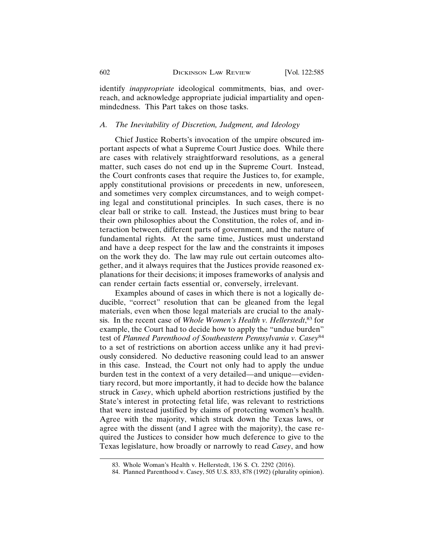identify *inappropriate* ideological commitments, bias, and overreach, and acknowledge appropriate judicial impartiality and openmindedness. This Part takes on those tasks.

#### *A. The Inevitability of Discretion, Judgment, and Ideology*

Chief Justice Roberts's invocation of the umpire obscured important aspects of what a Supreme Court Justice does. While there are cases with relatively straightforward resolutions, as a general matter, such cases do not end up in the Supreme Court. Instead, the Court confronts cases that require the Justices to, for example, apply constitutional provisions or precedents in new, unforeseen, and sometimes very complex circumstances, and to weigh competing legal and constitutional principles. In such cases, there is no clear ball or strike to call. Instead, the Justices must bring to bear their own philosophies about the Constitution, the roles of, and interaction between, different parts of government, and the nature of fundamental rights. At the same time, Justices must understand and have a deep respect for the law and the constraints it imposes on the work they do. The law may rule out certain outcomes altogether, and it always requires that the Justices provide reasoned explanations for their decisions; it imposes frameworks of analysis and can render certain facts essential or, conversely, irrelevant.

Examples abound of cases in which there is not a logically deducible, "correct" resolution that can be gleaned from the legal materials, even when those legal materials are crucial to the analysis. In the recent case of *Whole Women's Health v. Hellerstedt*, 83 for example, the Court had to decide how to apply the "undue burden" test of *Planned Parenthood of Southeastern Pennsylvania v. Casey*<sup>84</sup> to a set of restrictions on abortion access unlike any it had previously considered. No deductive reasoning could lead to an answer in this case. Instead, the Court not only had to apply the undue burden test in the context of a very detailed—and unique—evidentiary record, but more importantly, it had to decide how the balance struck in *Casey*, which upheld abortion restrictions justified by the State's interest in protecting fetal life, was relevant to restrictions that were instead justified by claims of protecting women's health. Agree with the majority, which struck down the Texas laws, or agree with the dissent (and I agree with the majority), the case required the Justices to consider how much deference to give to the Texas legislature, how broadly or narrowly to read *Casey*, and how

<sup>83.</sup> Whole Woman's Health v. Hellerstedt, 136 S. Ct. 2292 (2016).

<sup>84.</sup> Planned Parenthood v. Casey, 505 U.S. 833, 878 (1992) (plurality opinion).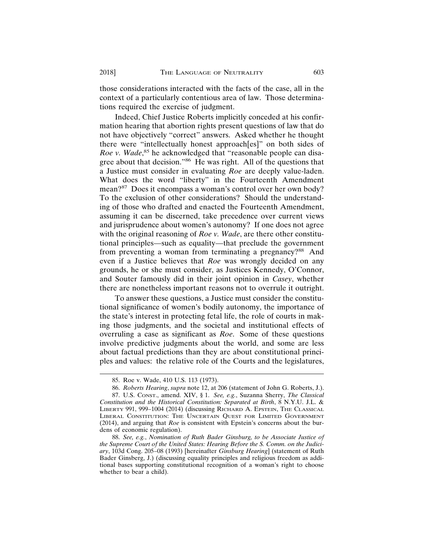those considerations interacted with the facts of the case, all in the context of a particularly contentious area of law. Those determinations required the exercise of judgment.

Indeed, Chief Justice Roberts implicitly conceded at his confirmation hearing that abortion rights present questions of law that do not have objectively "correct" answers. Asked whether he thought there were "intellectually honest approach[es]" on both sides of Roe v. Wade,<sup>85</sup> he acknowledged that "reasonable people can disagree about that decision."86 He was right. All of the questions that a Justice must consider in evaluating *Roe* are deeply value-laden. What does the word "liberty" in the Fourteenth Amendment mean?87 Does it encompass a woman's control over her own body? To the exclusion of other considerations? Should the understanding of those who drafted and enacted the Fourteenth Amendment, assuming it can be discerned, take precedence over current views and jurisprudence about women's autonomy? If one does not agree with the original reasoning of *Roe v. Wade*, are there other constitutional principles—such as equality—that preclude the government from preventing a woman from terminating a pregnancy?<sup>88</sup> And even if a Justice believes that *Roe* was wrongly decided on any grounds, he or she must consider, as Justices Kennedy, O'Connor, and Souter famously did in their joint opinion in *Casey*, whether there are nonetheless important reasons not to overrule it outright.

To answer these questions, a Justice must consider the constitutional significance of women's bodily autonomy, the importance of the state's interest in protecting fetal life, the role of courts in making those judgments, and the societal and institutional effects of overruling a case as significant as *Roe*. Some of these questions involve predictive judgments about the world, and some are less about factual predictions than they are about constitutional principles and values: the relative role of the Courts and the legislatures,

<sup>85.</sup> Roe v. Wade, 410 U.S. 113 (1973).

<sup>86.</sup> *Roberts Hearing*, *supra* note 12, at 206 (statement of John G. Roberts, J.).

<sup>87.</sup> U.S. CONST., amend. XIV, § 1. *See, e.g.*, Suzanna Sherry, *The Classical Constitution and the Historical Constitution: Separated at Birth*, 8 N.Y.U. J.L. & LIBERTY 991, 999–1004 (2014) (discussing RICHARD A. EPSTEIN, THE CLASSICAL LIBERAL CONSTITUTION: THE UNCERTAIN QUEST FOR LIMITED GOVERNMENT (2014), and arguing that *Roe* is consistent with Epstein's concerns about the burdens of economic regulation).

<sup>88.</sup> *See, e.g.*, *Nomination of Ruth Bader Ginsburg, to be Associate Justice of the Supreme Court of the United States: Hearing Before the S. Comm. on the Judiciary*, 103d Cong. 205–08 (1993) [hereinafter *Ginsburg Hearing*] (statement of Ruth Bader Ginsberg, J.) (discussing equality principles and religious freedom as additional bases supporting constitutional recognition of a woman's right to choose whether to bear a child).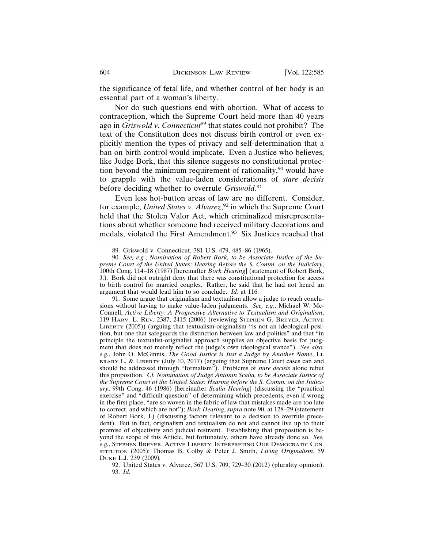the significance of fetal life, and whether control of her body is an essential part of a woman's liberty.

Nor do such questions end with abortion. What of access to contraception, which the Supreme Court held more than 40 years ago in *Griswold v. Connecticut*89 that states could not prohibit? The text of the Constitution does not discuss birth control or even explicitly mention the types of privacy and self-determination that a ban on birth control would implicate. Even a Justice who believes, like Judge Bork, that this silence suggests no constitutional protection beyond the minimum requirement of rationality,<sup>90</sup> would have to grapple with the value-laden considerations of *stare decisis* before deciding whether to overrule Griswold.<sup>91</sup>

Even less hot-button areas of law are no different. Consider, for example, *United States v. Alvarez*, 92 in which the Supreme Court held that the Stolen Valor Act, which criminalized misrepresentations about whether someone had received military decorations and medals, violated the First Amendment.<sup>93</sup> Six Justices reached that

92. United States v. Alvarez, 567 U.S. 709, 729–30 (2012) (plurality opinion). 93. *Id.*

<sup>89.</sup> Griswold v. Connecticut, 381 U.S. 479, 485–86 (1965).

<sup>90.</sup> *See, e.g.*, *Nomination of Robert Bork, to be Associate Justice of the Supreme Court of the United States: Hearing Before the S. Comm. on the Judiciary*, 100th Cong. 114–18 (1987) [hereinafter *Bork Hearing*] (statement of Robert Bork, J.). Bork did not outright deny that there was constitutional protection for access to birth control for married couples. Rather, he said that he had not heard an argument that would lead him to so conclude. *Id.* at 116.

<sup>91.</sup> Some argue that originalism and textualism allow a judge to reach conclusions without having to make value-laden judgments. *See, e.g.*, Michael W. Mc-Connell, *Active Liberty: A Progressive Alternative to Textualism and Originalism*, 119 HARV. L. REV. 2387, 2415 (2006) (reviewing STEPHEN G. BREYER, ACTIVE LIBERTY (2005)) (arguing that textualism-originalism "is not an ideological position, but one that safeguards the distinction between law and politics" and that "in principle the textualist-originalist approach supplies an objective basis for judgment that does not merely reflect the judge's own ideological stance"). *See also, e.g.*, John O. McGinnis, *The Good Justice is Just a Judge by Another Name*, LI-BRARY L. & LIBERTY (July 10, 2017) (arguing that Supreme Court cases can and should be addressed through "formalism"). Problems of *stare decisis* alone rebut this proposition. *Cf. Nomination of Judge Antonin Scalia, to be Associate Justice of the Supreme Court of the United States: Hearing before the S. Comm. on the Judiciary*, 99th Cong. 46 (1986) [hereinafter *Scalia Hearing*] (discussing the "practical exercise" and "difficult question" of determining which precedents, even if wrong in the first place, "are so woven in the fabric of law that mistakes made are too late to correct, and which are not"); *Bork Hearing*, *supra* note 90, at 128–29 (statement of Robert Bork, J.) (discussing factors relevant to a decision to overrule precedent). But in fact, originalism and textualism do not and cannot live up to their promise of objectivity and judicial restraint. Establishing that proposition is beyond the scope of this Article, but fortunately, others have already done so. *See, e.g.*, STEPHEN BREYER, ACTIVE LIBERTY: INTERPRETING OUR DEMOCRATIC CON-STITUTION (2005); Thomas B. Colby & Peter J. Smith, *Living Originalism*, 59 DUKE L.J. 239 (2009)*.*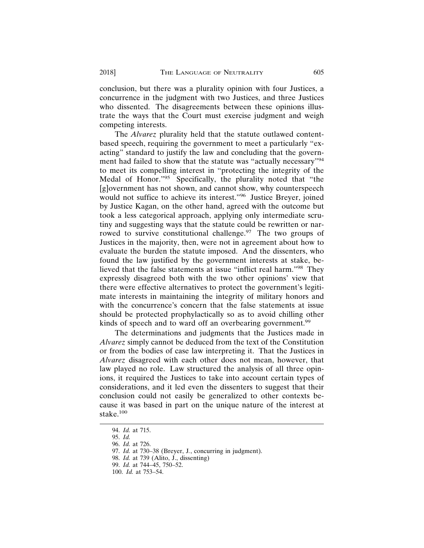conclusion, but there was a plurality opinion with four Justices, a concurrence in the judgment with two Justices, and three Justices who dissented. The disagreements between these opinions illustrate the ways that the Court must exercise judgment and weigh competing interests.

The *Alvarez* plurality held that the statute outlawed contentbased speech, requiring the government to meet a particularly "exacting" standard to justify the law and concluding that the government had failed to show that the statute was "actually necessary"<sup>94</sup> to meet its compelling interest in "protecting the integrity of the Medal of Honor."95 Specifically, the plurality noted that "the [g]overnment has not shown, and cannot show, why counterspeech would not suffice to achieve its interest."96 Justice Breyer, joined by Justice Kagan, on the other hand, agreed with the outcome but took a less categorical approach, applying only intermediate scrutiny and suggesting ways that the statute could be rewritten or narrowed to survive constitutional challenge.<sup>97</sup> The two groups of Justices in the majority, then, were not in agreement about how to evaluate the burden the statute imposed. And the dissenters, who found the law justified by the government interests at stake, believed that the false statements at issue "inflict real harm."98 They expressly disagreed both with the two other opinions' view that there were effective alternatives to protect the government's legitimate interests in maintaining the integrity of military honors and with the concurrence's concern that the false statements at issue should be protected prophylactically so as to avoid chilling other kinds of speech and to ward off an overbearing government.<sup>99</sup>

The determinations and judgments that the Justices made in *Alvarez* simply cannot be deduced from the text of the Constitution or from the bodies of case law interpreting it. That the Justices in *Alvarez* disagreed with each other does not mean, however, that law played no role. Law structured the analysis of all three opinions, it required the Justices to take into account certain types of considerations, and it led even the dissenters to suggest that their conclusion could not easily be generalized to other contexts because it was based in part on the unique nature of the interest at stake.<sup>100</sup>

<sup>94.</sup> *Id.* at 715.

<sup>95.</sup> *Id.*

<sup>96.</sup> *Id.* at 726.

<sup>97.</sup> *Id.* at 730–38 (Breyer, J*.*, concurring in judgment).

<sup>98.</sup> *Id.* at 739 (Alito, J., dissenting)

<sup>99.</sup> *Id.* at 744–45, 750–52.

<sup>100.</sup> *Id.* at 753–54.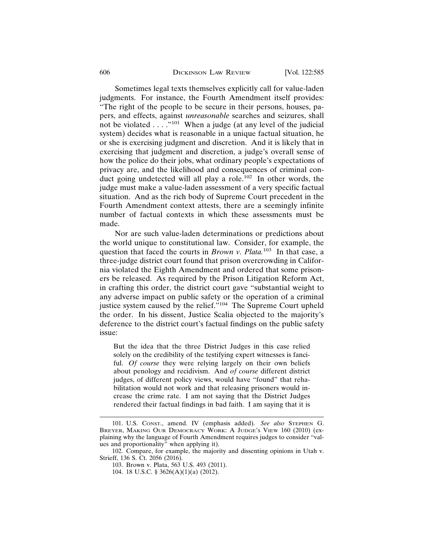#### 606 DICKINSON LAW REVIEW [Vol. 122:585

Sometimes legal texts themselves explicitly call for value-laden judgments. For instance, the Fourth Amendment itself provides: "The right of the people to be secure in their persons, houses, papers, and effects, against *unreasonable* searches and seizures, shall not be violated  $\dots$ ."<sup>101</sup> When a judge (at any level of the judicial system) decides what is reasonable in a unique factual situation, he or she is exercising judgment and discretion. And it is likely that in exercising that judgment and discretion, a judge's overall sense of how the police do their jobs, what ordinary people's expectations of privacy are, and the likelihood and consequences of criminal conduct going undetected will all play a role.102 In other words, the judge must make a value-laden assessment of a very specific factual situation. And as the rich body of Supreme Court precedent in the Fourth Amendment context attests, there are a seemingly infinite number of factual contexts in which these assessments must be made.

Nor are such value-laden determinations or predictions about the world unique to constitutional law. Consider, for example, the question that faced the courts in *Brown v. Plata.*103 In that case, a three-judge district court found that prison overcrowding in California violated the Eighth Amendment and ordered that some prisoners be released. As required by the Prison Litigation Reform Act, in crafting this order, the district court gave "substantial weight to any adverse impact on public safety or the operation of a criminal justice system caused by the relief."<sup>104</sup> The Supreme Court upheld the order. In his dissent, Justice Scalia objected to the majority's deference to the district court's factual findings on the public safety issue:

But the idea that the three District Judges in this case relied solely on the credibility of the testifying expert witnesses is fanciful. *Of course* they were relying largely on their own beliefs about penology and recidivism. And *of course* different district judges, of different policy views, would have "found" that rehabilitation would not work and that releasing prisoners would increase the crime rate. I am not saying that the District Judges rendered their factual findings in bad faith. I am saying that it is

<sup>101.</sup> U.S. CONST., amend. IV (emphasis added). *See also* STEPHEN G. BREYER, MAKING OUR DEMOCRACY WORK: A JUDGE'S VIEW 160 (2010) (explaining why the language of Fourth Amendment requires judges to consider "values and proportionality" when applying it).

<sup>102.</sup> Compare, for example, the majority and dissenting opinions in Utah v. Strieff, 136 S. Ct. 2056 (2016).

<sup>103.</sup> Brown v. Plata, 563 U.S. 493 (2011).

<sup>104. 18</sup> U.S.C. § 3626(A)(1)(a) (2012).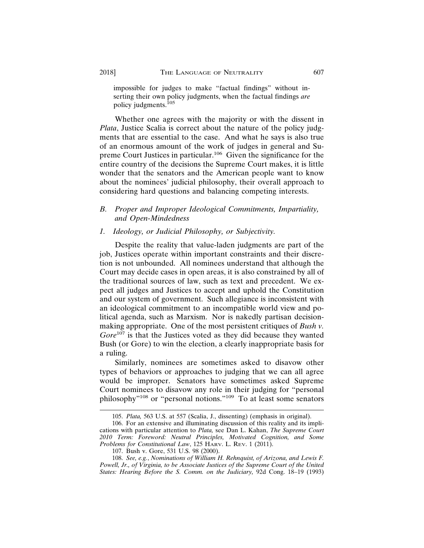impossible for judges to make "factual findings" without inserting their own policy judgments, when the factual findings *are* policy judgments.105

Whether one agrees with the majority or with the dissent in *Plata*, Justice Scalia is correct about the nature of the policy judgments that are essential to the case. And what he says is also true of an enormous amount of the work of judges in general and Supreme Court Justices in particular.106 Given the significance for the entire country of the decisions the Supreme Court makes, it is little wonder that the senators and the American people want to know about the nominees' judicial philosophy, their overall approach to considering hard questions and balancing competing interests.

#### *B. Proper and Improper Ideological Commitments, Impartiality, and Open-Mindedness*

#### *1. Ideology, or Judicial Philosophy, or Subjectivity.*

Despite the reality that value-laden judgments are part of the job, Justices operate within important constraints and their discretion is not unbounded. All nominees understand that although the Court may decide cases in open areas, it is also constrained by all of the traditional sources of law, such as text and precedent. We expect all judges and Justices to accept and uphold the Constitution and our system of government. Such allegiance is inconsistent with an ideological commitment to an incompatible world view and political agenda, such as Marxism. Nor is nakedly partisan decisionmaking appropriate. One of the most persistent critiques of *Bush v. Gore*107 is that the Justices voted as they did because they wanted Bush (or Gore) to win the election, a clearly inappropriate basis for a ruling.

Similarly, nominees are sometimes asked to disavow other types of behaviors or approaches to judging that we can all agree would be improper. Senators have sometimes asked Supreme Court nominees to disavow any role in their judging for "personal philosophy"108 or "personal notions."109 To at least some senators

<sup>105.</sup> *Plata,* 563 U.S. at 557 (Scalia, J., dissenting) (emphasis in original).

<sup>106.</sup> For an extensive and illuminating discussion of this reality and its implications with particular attention to *Plata,* see Dan L. Kahan, *The Supreme Court 2010 Term: Foreword: Neutral Principles, Motivated Cognition, and Some Problems for Constitutional Law*, 125 HARV. L. REV. 1 (2011).

<sup>107.</sup> Bush v. Gore, 531 U.S. 98 (2000).

<sup>108.</sup> *See, e.g.*, *Nominations of William H. Rehnquist, of Arizona, and Lewis F. Powell, Jr., of Virginia, to be Associate Justices of the Supreme Court of the United States: Hearing Before the S. Comm. on the Judiciary,* 92d Cong. 18–19 (1993)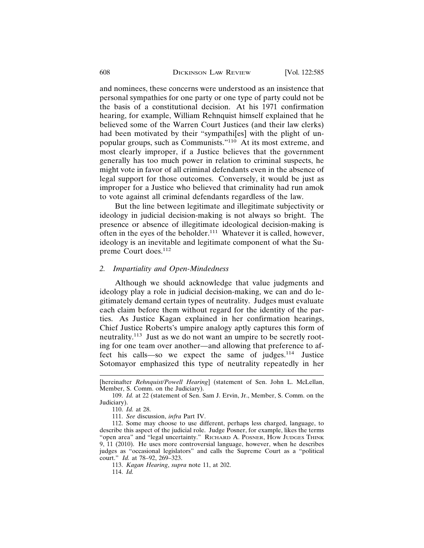and nominees, these concerns were understood as an insistence that personal sympathies for one party or one type of party could not be the basis of a constitutional decision. At his 1971 confirmation hearing, for example, William Rehnquist himself explained that he believed some of the Warren Court Justices (and their law clerks) had been motivated by their "sympathi[es] with the plight of unpopular groups, such as Communists."110 At its most extreme, and most clearly improper, if a Justice believes that the government generally has too much power in relation to criminal suspects, he might vote in favor of all criminal defendants even in the absence of legal support for those outcomes. Conversely, it would be just as improper for a Justice who believed that criminality had run amok to vote against all criminal defendants regardless of the law.

But the line between legitimate and illegitimate subjectivity or ideology in judicial decision-making is not always so bright. The presence or absence of illegitimate ideological decision-making is often in the eyes of the beholder.<sup>111</sup> Whatever it is called, however, ideology is an inevitable and legitimate component of what the Supreme Court does.<sup>112</sup>

#### *2. Impartiality and Open-Mindedness*

Although we should acknowledge that value judgments and ideology play a role in judicial decision-making, we can and do legitimately demand certain types of neutrality. Judges must evaluate each claim before them without regard for the identity of the parties. As Justice Kagan explained in her confirmation hearings, Chief Justice Roberts's umpire analogy aptly captures this form of neutrality.<sup>113</sup> Just as we do not want an umpire to be secretly rooting for one team over another—and allowing that preference to affect his calls—so we expect the same of judges. $114$  Justice Sotomayor emphasized this type of neutrality repeatedly in her

<sup>[</sup>hereinafter *Rehnquist/Powell Hearing*] (statement of Sen. John L. McLellan, Member, S. Comm. on the Judiciary).

<sup>109.</sup> *Id.* at 22 (statement of Sen. Sam J. Ervin, Jr., Member, S. Comm. on the Judiciary).

<sup>110.</sup> *Id.* at 28.

<sup>111.</sup> *See* discussion, *infra* Part IV.

<sup>112.</sup> Some may choose to use different, perhaps less charged, language, to describe this aspect of the judicial role. Judge Posner, for example, likes the terms "open area" and "legal uncertainty." RICHARD A. POSNER, HOW JUDGES THINK 9, 11 (2010). He uses more controversial language, however, when he describes judges as "occasional legislators" and calls the Supreme Court as a "political court." *Id.* at 78–92, 269–323.

<sup>113.</sup> *Kagan Hearing*, *supra* note 11, at 202.

<sup>114.</sup> *Id.*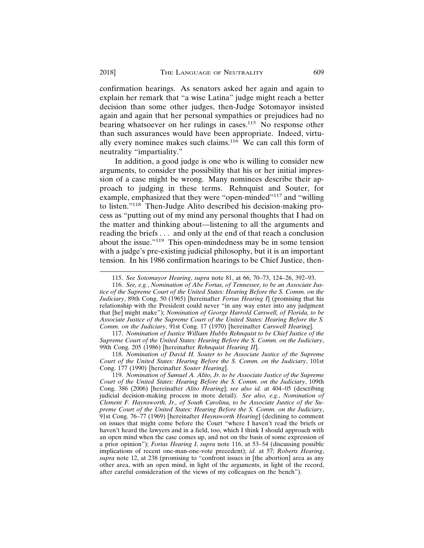confirmation hearings. As senators asked her again and again to explain her remark that "a wise Latina" judge might reach a better decision than some other judges, then-Judge Sotomayor insisted again and again that her personal sympathies or prejudices had no bearing whatsoever on her rulings in cases.<sup>115</sup> No response other than such assurances would have been appropriate. Indeed, virtually every nominee makes such claims.116 We can call this form of neutrality "impartiality."

In addition, a good judge is one who is willing to consider new arguments, to consider the possibility that his or her initial impression of a case might be wrong. Many nominees describe their approach to judging in these terms. Rehnquist and Souter, for example, emphasized that they were "open-minded"117 and "willing to listen."118 Then-Judge Alito described his decision-making process as "putting out of my mind any personal thoughts that I had on the matter and thinking about—listening to all the arguments and reading the briefs . . . and only at the end of that reach a conclusion about the issue."119 This open-mindedness may be in some tension with a judge's pre-existing judicial philosophy, but it is an important tension. In his 1986 confirmation hearings to be Chief Justice, then-

117. *Nomination of Justice William Hubbs Rehnquist to be Chief Justice of the Supreme Court of the United States: Hearing Before the S. Comm. on the Judiciary*, 99th Cong. 205 (1986) [hereinafter *Rehnquist Hearing II*].

118. *Nomination of David H. Souter to be Associate Justice of the Supreme Court of the United States: Hearing Before the S. Comm. on the Judiciary*, 101st Cong. 177 (1990) [hereinafter *Souter Hearing*].

<sup>115.</sup> *See Sotomayor Hearing*, *supra* note 81, at 66, 70–73, 124–26, 392–93.

<sup>116.</sup> *See, e.g.*, *Nomination of Abe Fortas, of Tennessee, to be an Associate Justice of the Supreme Court of the United States: Hearing Before the S. Comm. on the Judiciary*, 89th Cong. 50 (1965) [hereinafter *Fortas Hearing I*] (promising that his relationship with the President could never "in any way enter into any judgment that [he] might make"); *Nomination of George Harrold Carswell, of Florida, to be Associate Justice of the Supreme Court of the United States: Hearing Before the S. Comm. on the Judiciary*, 91st Cong. 17 (1970) [hereinafter *Carswell Hearing*].

<sup>119.</sup> *Nomination of Samuel A. Alito, Jr. to be Associate Justice of the Supreme Court of the United States: Hearing Before the S. Comm. on the Judiciary*, 109th Cong. 386 (2006) [hereinafter *Alito Hearing*]; *see also id.* at 404–05 (describing judicial decision-making process in more detail). *See also, e.g.*, *Nomination of Clement F. Haynsworth, Jr., of South Carolina, to be Associate Justice of the Supreme Court of the United States: Hearing Before the S. Comm. on the Judiciary*, 91st Cong. 76–77 (1969) [hereinafter *Haynsworth Hearing*] (declining to comment on issues that might come before the Court "where I haven't read the briefs or haven't heard the lawyers and in a field, too, which I think I should approach with an open mind when the case comes up, and not on the basis of some expression of a prior opinion"); *Fortas Hearing I*, *supra* note 116, at 53–54 (discussing possible implications of recent one-man-one-vote precedent); *id.* at 57; *Roberts Hearing*, *supra* note 12, at 238 (promising to "confront issues in [the abortion] area as any other area, with an open mind, in light of the arguments, in light of the record, after careful consideration of the views of my colleagues on the bench").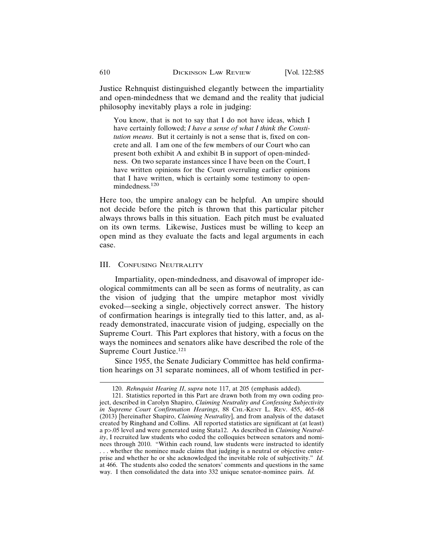Justice Rehnquist distinguished elegantly between the impartiality and open-mindedness that we demand and the reality that judicial philosophy inevitably plays a role in judging:

You know, that is not to say that I do not have ideas, which I have certainly followed; *I have a sense of what I think the Constitution means*. But it certainly is not a sense that is, fixed on concrete and all. I am one of the few members of our Court who can present both exhibit A and exhibit B in support of open-mindedness. On two separate instances since I have been on the Court, I have written opinions for the Court overruling earlier opinions that I have written, which is certainly some testimony to openmindedness.<sup>120</sup>

Here too, the umpire analogy can be helpful. An umpire should not decide before the pitch is thrown that this particular pitcher always throws balls in this situation. Each pitch must be evaluated on its own terms. Likewise, Justices must be willing to keep an open mind as they evaluate the facts and legal arguments in each case.

#### III. CONFUSING NEUTRALITY

Impartiality, open-mindedness, and disavowal of improper ideological commitments can all be seen as forms of neutrality, as can the vision of judging that the umpire metaphor most vividly evoked—seeking a single, objectively correct answer. The history of confirmation hearings is integrally tied to this latter, and, as already demonstrated, inaccurate vision of judging, especially on the Supreme Court. This Part explores that history, with a focus on the ways the nominees and senators alike have described the role of the Supreme Court Justice.<sup>121</sup>

Since 1955, the Senate Judiciary Committee has held confirmation hearings on 31 separate nominees, all of whom testified in per-

<sup>120.</sup> *Rehnquist Hearing II*, *supra* note 117, at 205 (emphasis added).

<sup>121.</sup> Statistics reported in this Part are drawn both from my own coding project, described in Carolyn Shapiro, *Claiming Neutrality and Confessing Subjectivity in Supreme Court Confirmation Hearings*, 88 CHI.-KENT L. REV. 455, 465–68 (2013) [hereinafter Shapiro, *Claiming Neutrality*], and from analysis of the dataset created by Ringhand and Collins. All reported statistics are significant at (at least) a p>.05 level and were generated using Stata12. As described in *Claiming Neutrality*, I recruited law students who coded the colloquies between senators and nominees through 2010. "Within each round, law students were instructed to identify . . . whether the nominee made claims that judging is a neutral or objective enterprise and whether he or she acknowledged the inevitable role of subjectivity." *Id.* at 466. The students also coded the senators' comments and questions in the same way. I then consolidated the data into 332 unique senator-nominee pairs. *Id.*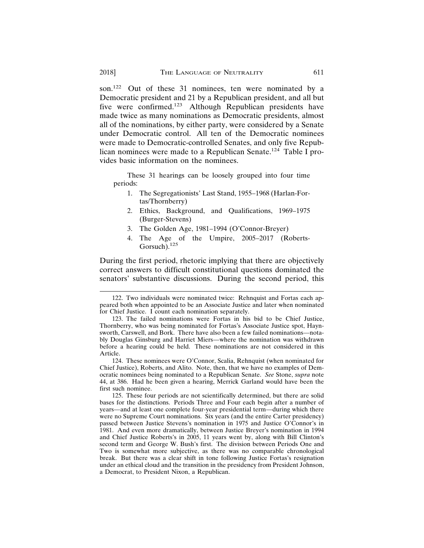son.<sup>122</sup> Out of these 31 nominees, ten were nominated by a Democratic president and 21 by a Republican president, and all but five were confirmed.123 Although Republican presidents have made twice as many nominations as Democratic presidents, almost all of the nominations, by either party, were considered by a Senate under Democratic control. All ten of the Democratic nominees were made to Democratic-controlled Senates, and only five Republican nominees were made to a Republican Senate.124 Table I provides basic information on the nominees.

These 31 hearings can be loosely grouped into four time periods:

- 1. The Segregationists' Last Stand, 1955–1968 (Harlan-Fortas/Thornberry)
- 2. Ethics, Background, and Qualifications, 1969–1975 (Burger-Stevens)
- 3. The Golden Age, 1981–1994 (O'Connor-Breyer)
- 4. The Age of the Umpire, 2005–2017 (Roberts-Gorsuch).<sup>125</sup>

During the first period, rhetoric implying that there are objectively correct answers to difficult constitutional questions dominated the senators' substantive discussions. During the second period, this

<sup>122.</sup> Two individuals were nominated twice: Rehnquist and Fortas each appeared both when appointed to be an Associate Justice and later when nominated for Chief Justice. I count each nomination separately.

<sup>123.</sup> The failed nominations were Fortas in his bid to be Chief Justice, Thornberry, who was being nominated for Fortas's Associate Justice spot, Haynsworth, Carswell, and Bork. There have also been a few failed nominations—notably Douglas Ginsburg and Harriet Miers—where the nomination was withdrawn before a hearing could be held. These nominations are not considered in this Article.

<sup>124.</sup> These nominees were O'Connor, Scalia, Rehnquist (when nominated for Chief Justice), Roberts, and Alito. Note, then, that we have no examples of Democratic nominees being nominated to a Republican Senate. *See* Stone, *supra* note 44, at 386. Had he been given a hearing, Merrick Garland would have been the first such nominee.

<sup>125.</sup> These four periods are not scientifically determined, but there are solid bases for the distinctions. Periods Three and Four each begin after a number of years—and at least one complete four-year presidential term—during which there were no Supreme Court nominations. Six years (and the entire Carter presidency) passed between Justice Stevens's nomination in 1975 and Justice O'Connor's in 1981. And even more dramatically, between Justice Breyer's nomination in 1994 and Chief Justice Roberts's in 2005, 11 years went by, along with Bill Clinton's second term and George W. Bush's first. The division between Periods One and Two is somewhat more subjective, as there was no comparable chronological break. But there was a clear shift in tone following Justice Fortas's resignation under an ethical cloud and the transition in the presidency from President Johnson, a Democrat, to President Nixon, a Republican.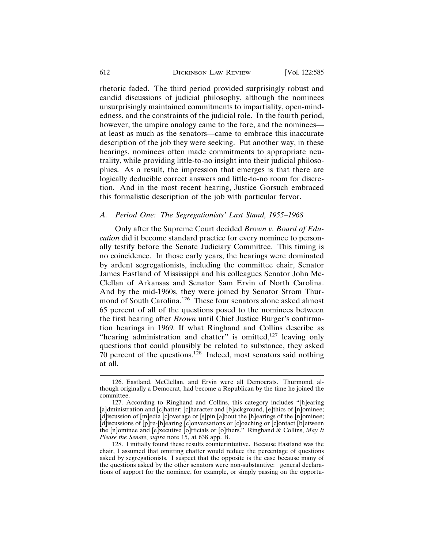rhetoric faded. The third period provided surprisingly robust and candid discussions of judicial philosophy, although the nominees unsurprisingly maintained commitments to impartiality, open-mindedness, and the constraints of the judicial role. In the fourth period, however, the umpire analogy came to the fore, and the nominees at least as much as the senators—came to embrace this inaccurate description of the job they were seeking. Put another way, in these hearings, nominees often made commitments to appropriate neutrality, while providing little-to-no insight into their judicial philosophies. As a result, the impression that emerges is that there are logically deducible correct answers and little-to-no room for discretion. And in the most recent hearing, Justice Gorsuch embraced this formalistic description of the job with particular fervor.

#### *A. Period One: The Segregationists' Last Stand, 1955–1968*

Only after the Supreme Court decided *Brown v. Board of Education* did it become standard practice for every nominee to personally testify before the Senate Judiciary Committee. This timing is no coincidence. In those early years, the hearings were dominated by ardent segregationists, including the committee chair, Senator James Eastland of Mississippi and his colleagues Senator John Mc-Clellan of Arkansas and Senator Sam Ervin of North Carolina. And by the mid-1960s, they were joined by Senator Strom Thurmond of South Carolina.126 These four senators alone asked almost 65 percent of all of the questions posed to the nominees between the first hearing after *Brown* until Chief Justice Burger's confirmation hearings in 1969. If what Ringhand and Collins describe as "hearing administration and chatter" is omitted, $127$  leaving only questions that could plausibly be related to substance, they asked 70 percent of the questions.128 Indeed, most senators said nothing at all.

<sup>126.</sup> Eastland, McClellan, and Ervin were all Democrats. Thurmond, although originally a Democrat, had become a Republican by the time he joined the committee.

<sup>127.</sup> According to Ringhand and Collins, this category includes "[h]earing [a]dministration and [c]hatter; [c]haracter and [b]ackground, [e]thics of [n]ominee; [d]iscussion of [m]edia [c]overage or [s]pin [a]bout the [h]earings of the [n]ominee; [d]iscussions of [p]re-[h]earing [c]onversations or [c]oaching or [c]ontact [b]etween the [n]ominee and [e]xecutive [o]fficials or [o]thers." Ringhand & Collins, *May It Please the Senate*, *supra* note 15, at 638 app. B.

<sup>128.</sup> I initially found these results counterintuitive. Because Eastland was the chair, I assumed that omitting chatter would reduce the percentage of questions asked by segregationists. I suspect that the opposite is the case because many of the questions asked by the other senators were non-substantive: general declarations of support for the nominee, for example, or simply passing on the opportu-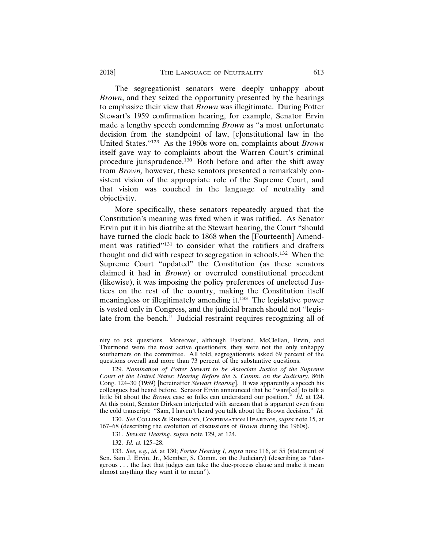The segregationist senators were deeply unhappy about *Brown*, and they seized the opportunity presented by the hearings to emphasize their view that *Brown* was illegitimate. During Potter Stewart's 1959 confirmation hearing, for example, Senator Ervin made a lengthy speech condemning *Brown* as "a most unfortunate decision from the standpoint of law, [c]onstitutional law in the United States."129 As the 1960s wore on, complaints about *Brown* itself gave way to complaints about the Warren Court's criminal procedure jurisprudence.130 Both before and after the shift away from *Brown,* however, these senators presented a remarkably consistent vision of the appropriate role of the Supreme Court, and that vision was couched in the language of neutrality and objectivity.

More specifically, these senators repeatedly argued that the Constitution's meaning was fixed when it was ratified. As Senator Ervin put it in his diatribe at the Stewart hearing, the Court "should have turned the clock back to 1868 when the [Fourteenth] Amendment was ratified"<sup>131</sup> to consider what the ratifiers and drafters thought and did with respect to segregation in schools.132 When the Supreme Court "updated" the Constitution (as these senators claimed it had in *Brown*) or overruled constitutional precedent (likewise), it was imposing the policy preferences of unelected Justices on the rest of the country, making the Constitution itself meaningless or illegitimately amending it.133 The legislative power is vested only in Congress, and the judicial branch should not "legislate from the bench." Judicial restraint requires recognizing all of

130. *See* COLLINS & RINGHAND, CONFIRMATION HEARINGS, *supra* note 15, at 167–68 (describing the evolution of discussions of *Brown* during the 1960s).

nity to ask questions. Moreover, although Eastland, McClellan, Ervin, and Thurmond were the most active questioners, they were not the only unhappy southerners on the committee. All told, segregationists asked 69 percent of the questions overall and more than 73 percent of the substantive questions.

<sup>129.</sup> *Nomination of Potter Stewart to be Associate Justice of the Supreme Court of the United States: Hearing Before the S. Comm. on the Judiciary*, 86th Cong. 124–30 (1959) [hereinafter *Stewart Hearing*]. It was apparently a speech his colleagues had heard before. Senator Ervin announced that he "want[ed] to talk a little bit about the *Brown* case so folks can understand our position." *Id.* at 124. At this point, Senator Dirksen interjected with sarcasm that is apparent even from the cold transcript: "Sam, I haven't heard you talk about the Brown decision." *Id.*

<sup>131.</sup> *Stewart Hearing*, *supra* note 129, at 124.

<sup>132.</sup> *Id.* at 125–28.

<sup>133.</sup> *See, e.g.*, *id.* at 130; *Fortas Hearing I*, *supra* note 116, at 55 (statement of Sen. Sam J. Ervin, Jr., Member, S. Comm. on the Judiciary) (describing as "dangerous . . . the fact that judges can take the due-process clause and make it mean almost anything they want it to mean").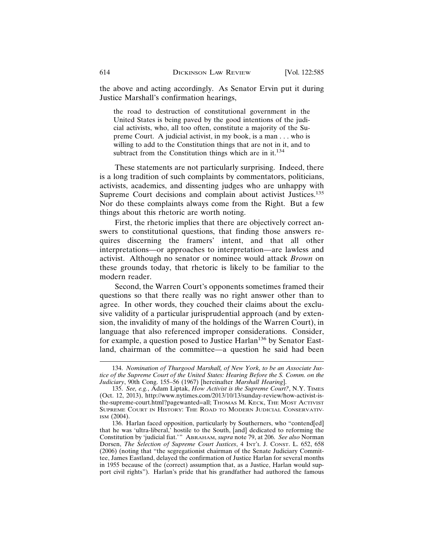the above and acting accordingly. As Senator Ervin put it during Justice Marshall's confirmation hearings,

the road to destruction of constitutional government in the United States is being paved by the good intentions of the judicial activists, who, all too often, constitute a majority of the Supreme Court. A judicial activist, in my book, is a man . . . who is willing to add to the Constitution things that are not in it, and to subtract from the Constitution things which are in it.<sup>134</sup>

These statements are not particularly surprising. Indeed, there is a long tradition of such complaints by commentators, politicians, activists, academics, and dissenting judges who are unhappy with Supreme Court decisions and complain about activist Justices.<sup>135</sup> Nor do these complaints always come from the Right. But a few things about this rhetoric are worth noting.

First, the rhetoric implies that there are objectively correct answers to constitutional questions, that finding those answers requires discerning the framers' intent, and that all other interpretations—or approaches to interpretation—are lawless and activist. Although no senator or nominee would attack *Brown* on these grounds today, that rhetoric is likely to be familiar to the modern reader.

Second, the Warren Court's opponents sometimes framed their questions so that there really was no right answer other than to agree. In other words, they couched their claims about the exclusive validity of a particular jurisprudential approach (and by extension, the invalidity of many of the holdings of the Warren Court), in language that also referenced improper considerations. Consider, for example, a question posed to Justice Harlan<sup>136</sup> by Senator Eastland, chairman of the committee—a question he said had been

<sup>134.</sup> *Nomination of Thurgood Marshall, of New York, to be an Associate Justice of the Supreme Court of the United States: Hearing Before the S. Comm. on the Judiciary*, 90th Cong. 155–56 (1967) [hereinafter *Marshall Hearing*].

<sup>135.</sup> *See, e.g.*, Adam Liptak, *How Activist is the Supreme Court?*, N.Y. TIMES (Oct. 12, 2013), http://www.nytimes.com/2013/10/13/sunday-review/how-activist-isthe-supreme-court.html?pagewanted=all; THOMAS M. KECK, THE MOST ACTIVIST SUPREME COURT IN HISTORY: THE ROAD TO MODERN JUDICIAL CONSERVATIV-ISM (2004).

<sup>136.</sup> Harlan faced opposition, particularly by Southerners, who "contend[ed] that he was 'ultra-liberal,' hostile to the South, [and] dedicated to reforming the Constitution by 'judicial fiat.'" ABRAHAM, *supra* note 79, at 206. *See also* Norman Dorsen, *The Selection of Supreme Court Justices*, 4 INT'L J. CONST. L. 652, 658 (2006) (noting that "the segregationist chairman of the Senate Judiciary Committee, James Eastland, delayed the confirmation of Justice Harlan for several months in 1955 because of the (correct) assumption that, as a Justice, Harlan would support civil rights"). Harlan's pride that his grandfather had authored the famous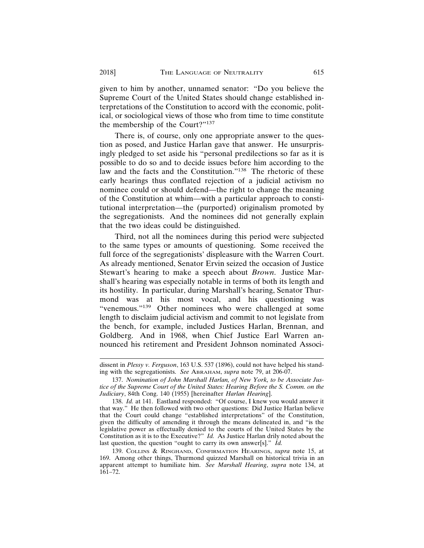given to him by another, unnamed senator: "Do you believe the Supreme Court of the United States should change established interpretations of the Constitution to accord with the economic, political, or sociological views of those who from time to time constitute the membership of the Court?"137

There is, of course, only one appropriate answer to the question as posed, and Justice Harlan gave that answer. He unsurprisingly pledged to set aside his "personal predilections so far as it is possible to do so and to decide issues before him according to the law and the facts and the Constitution."<sup>138</sup> The rhetoric of these early hearings thus conflated rejection of a judicial activism no nominee could or should defend—the right to change the meaning of the Constitution at whim—with a particular approach to constitutional interpretation—the (purported) originalism promoted by the segregationists. And the nominees did not generally explain that the two ideas could be distinguished.

Third, not all the nominees during this period were subjected to the same types or amounts of questioning. Some received the full force of the segregationists' displeasure with the Warren Court. As already mentioned, Senator Ervin seized the occasion of Justice Stewart's hearing to make a speech about *Brown*. Justice Marshall's hearing was especially notable in terms of both its length and its hostility. In particular, during Marshall's hearing, Senator Thurmond was at his most vocal, and his questioning was "venemous."<sup>139</sup> Other nominees who were challenged at some length to disclaim judicial activism and commit to not legislate from the bench, for example, included Justices Harlan, Brennan, and Goldberg. And in 1968, when Chief Justice Earl Warren announced his retirement and President Johnson nominated Associ-

dissent in *Plessy v. Ferguson*, 163 U.S. 537 (1896), could not have helped his standing with the segregationists. *See* ABRAHAM, *supra* note 79, at 206-07.

<sup>137.</sup> *Nomination of John Marshall Harlan, of New York, to be Associate Justice of the Supreme Court of the United States: Hearing Before the S. Comm. on the Judiciary*, 84th Cong. 140 (1955) [hereinafter *Harlan Hearing*].

<sup>138.</sup> *Id.* at 141. Eastland responded: "Of course, I knew you would answer it that way." He then followed with two other questions: Did Justice Harlan believe that the Court could change "established interpretations" of the Constitution, given the difficulty of amending it through the means delineated in, and "is the legislative power as effectually denied to the courts of the United States by the Constitution as it is to the Executive?" *Id.* As Justice Harlan drily noted about the last question, the question "ought to carry its own answer[s]." *Id.*

<sup>139.</sup> COLLINS & RINGHAND, CONFIRMATION HEARINGS, *supra* note 15, at 169. Among other things, Thurmond quizzed Marshall on historical trivia in an apparent attempt to humiliate him. *See Marshall Hearing*, *supra* note 134, at 161–72.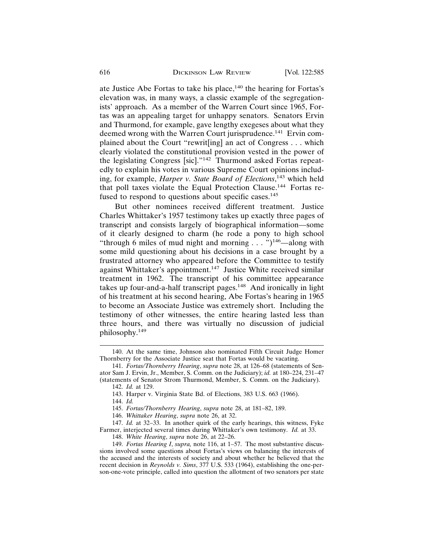ate Justice Abe Fortas to take his place,  $140$  the hearing for Fortas's elevation was, in many ways, a classic example of the segregationists' approach. As a member of the Warren Court since 1965, Fortas was an appealing target for unhappy senators. Senators Ervin and Thurmond, for example, gave lengthy exegeses about what they deemed wrong with the Warren Court jurisprudence.<sup>141</sup> Ervin complained about the Court "rewrit[ing] an act of Congress . . . which clearly violated the constitutional provision vested in the power of the legislating Congress [sic]."142 Thurmond asked Fortas repeatedly to explain his votes in various Supreme Court opinions including, for example, *Harper v. State Board of Elections*, 143 which held that poll taxes violate the Equal Protection Clause.144 Fortas refused to respond to questions about specific cases.<sup>145</sup>

But other nominees received different treatment. Justice Charles Whittaker's 1957 testimony takes up exactly three pages of transcript and consists largely of biographical information—some of it clearly designed to charm (he rode a pony to high school "through 6 miles of mud night and morning  $\ldots$  ")<sup>146</sup>—along with some mild questioning about his decisions in a case brought by a frustrated attorney who appeared before the Committee to testify against Whittaker's appointment.<sup>147</sup> Justice White received similar treatment in 1962. The transcript of his committee appearance takes up four-and-a-half transcript pages.<sup>148</sup> And ironically in light of his treatment at his second hearing, Abe Fortas's hearing in 1965 to become an Associate Justice was extremely short. Including the testimony of other witnesses, the entire hearing lasted less than three hours, and there was virtually no discussion of judicial philosophy.149

144. *Id.*

<sup>140.</sup> At the same time, Johnson also nominated Fifth Circuit Judge Homer Thornberry for the Associate Justice seat that Fortas would be vacating.

<sup>141.</sup> *Fortas/Thornberry Hearing*, *supra* note 28, at 126–68 (statements of Senator Sam J. Ervin, Jr., Member, S. Comm. on the Judiciary); *id.* at 180–224, 231–47 (statements of Senator Strom Thurmond, Member, S. Comm. on the Judiciary).

<sup>142.</sup> *Id.* at 129.

<sup>143.</sup> Harper v. Virginia State Bd. of Elections, 383 U.S. 663 (1966).

<sup>145.</sup> *Fortas/Thornberry Hearing*, *supra* note 28, at 181–82, 189.

<sup>146.</sup> *Whittaker Hearing*, *supra* note 26, at 32.

<sup>147.</sup> *Id.* at 32–33. In another quirk of the early hearings, this witness, Fyke Farmer, interjected several times during Whittaker's own testimony. *Id.* at 33.

<sup>148.</sup> *White Hearing*, *supra* note 26, at 22–26.

<sup>149.</sup> *Fortas Hearing I*, *supra,* note 116, at 1–57. The most substantive discussions involved some questions about Fortas's views on balancing the interests of the accused and the interests of society and about whether he believed that the recent decision in *Reynolds v. Sims*, 377 U.S. 533 (1964), establishing the one-person-one-vote principle, called into question the allotment of two senators per state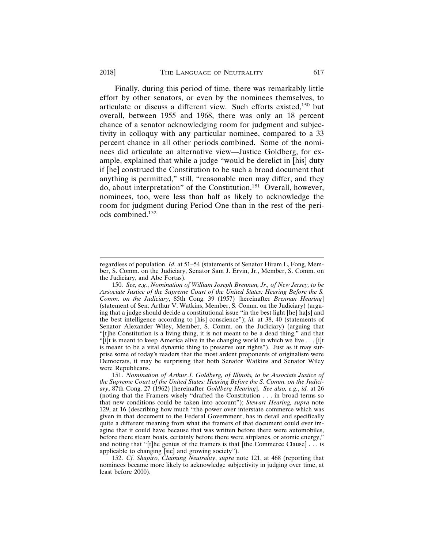#### 2018] THE LANGUAGE OF NEUTRALITY 617

Finally, during this period of time, there was remarkably little effort by other senators, or even by the nominees themselves, to articulate or discuss a different view. Such efforts existed,<sup>150</sup> but overall, between 1955 and 1968, there was only an 18 percent chance of a senator acknowledging room for judgment and subjectivity in colloquy with any particular nominee, compared to a 33 percent chance in all other periods combined. Some of the nominees did articulate an alternative view—Justice Goldberg, for example, explained that while a judge "would be derelict in [his] duty if [he] construed the Constitution to be such a broad document that anything is permitted," still, "reasonable men may differ, and they do, about interpretation" of the Constitution.151 Overall, however, nominees, too, were less than half as likely to acknowledge the room for judgment during Period One than in the rest of the peri-

ods combined.152

regardless of population. *Id.* at 51–54 (statements of Senator Hiram L, Fong, Member, S. Comm. on the Judiciary, Senator Sam J. Ervin, Jr., Member, S. Comm. on the Judiciary, and Abe Fortas).

<sup>150.</sup> *See, e.g.*, *Nomination of William Joseph Brennan, Jr., of New Jersey, to be Associate Justice of the Supreme Court of the United States: Hearing Before the S. Comm. on the Judiciary*, 85th Cong. 39 (1957) [hereinafter *Brennan Hearing*] (statement of Sen. Arthur V. Watkins, Member, S. Comm. on the Judiciary) (arguing that a judge should decide a constitutional issue "in the best light [he] ha[s] and the best intelligence according to [his] conscience"); *id.* at 38, 40 (statements of Senator Alexander Wiley, Member, S. Comm. on the Judiciary) (arguing that "[t]he Constitution is a living thing, it is not meant to be a dead thing," and that " $[i]$ t is meant to keep America alive in the changing world in which we live . . . [i]t is meant to be a vital dynamic thing to preserve our rights"). Just as it may surprise some of today's readers that the most ardent proponents of originalism were Democrats, it may be surprising that both Senator Watkins and Senator Wiley were Republicans.

<sup>151.</sup> *Nomination of Arthur J. Goldberg, of Illinois, to be Associate Justice of the Supreme Court of the United States: Hearing Before the S. Comm. on the Judiciary*, 87th Cong. 27 (1962) [hereinafter *Goldberg Hearing*]. *See also, e.g.*, *id.* at 26 (noting that the Framers wisely "drafted the Constitution . . . in broad terms so that new conditions could be taken into account"); *Stewart Hearing, supra* note 129, at 16 (describing how much "the power over interstate commerce which was given in that document to the Federal Government, has in detail and specifically quite a different meaning from what the framers of that document could ever imagine that it could have because that was written before there were automobiles, before there steam boats, certainly before there were airplanes, or atomic energy," and noting that "[t]he genius of the framers is that [the Commerce Clause] . . . is applicable to changing [sic] and growing society").

<sup>152.</sup> *Cf. Shapiro, Claiming Neutrality*, *supra* note 121, at 468 (reporting that nominees became more likely to acknowledge subjectivity in judging over time, at least before 2000).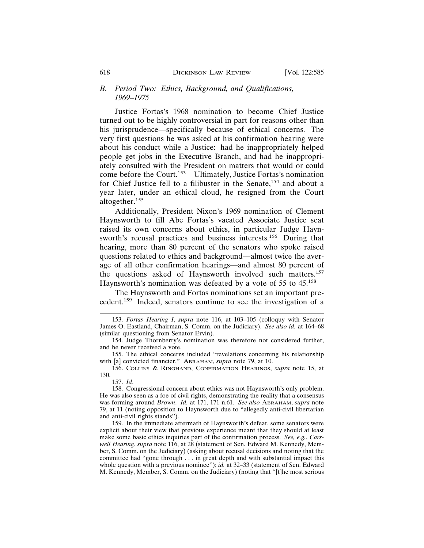#### *B. Period Two: Ethics, Background, and Qualifications, 1969–1975*

Justice Fortas's 1968 nomination to become Chief Justice turned out to be highly controversial in part for reasons other than his jurisprudence—specifically because of ethical concerns. The very first questions he was asked at his confirmation hearing were about his conduct while a Justice: had he inappropriately helped people get jobs in the Executive Branch, and had he inappropriately consulted with the President on matters that would or could come before the Court.153 Ultimately, Justice Fortas's nomination for Chief Justice fell to a filibuster in the Senate,<sup>154</sup> and about a year later, under an ethical cloud, he resigned from the Court altogether.155

Additionally, President Nixon's 1969 nomination of Clement Haynsworth to fill Abe Fortas's vacated Associate Justice seat raised its own concerns about ethics, in particular Judge Haynsworth's recusal practices and business interests.<sup>156</sup> During that hearing, more than 80 percent of the senators who spoke raised questions related to ethics and background—almost twice the average of all other confirmation hearings—and almost 80 percent of the questions asked of Haynsworth involved such matters.157 Haynsworth's nomination was defeated by a vote of 55 to 45.<sup>158</sup>

The Haynsworth and Fortas nominations set an important precedent.159 Indeed, senators continue to see the investigation of a

155. The ethical concerns included "revelations concerning his relationship with [a] convicted financier." ABRAHAM, *supra* note 79, at 10.

156. COLLINS & RINGHAND, CONFIRMATION HEARINGS, *supra* note 15, at 130.

157. *Id*.

158. Congressional concern about ethics was not Haynsworth's only problem. He was also seen as a foe of civil rights, demonstrating the reality that a consensus was forming around *Brown*. *Id.* at 171, 171 n.61. *See also* ABRAHAM, *supra* note 79, at 11 (noting opposition to Haynsworth due to "allegedly anti-civil libertarian and anti-civil rights stands").

159. In the immediate aftermath of Haynsworth's defeat, some senators were explicit about their view that previous experience meant that they should at least make some basic ethics inquiries part of the confirmation process. *See, e.g.*, *Carswell Hearing*, *supra* note 116, at 28 (statement of Sen. Edward M. Kennedy, Member, S. Comm. on the Judiciary) (asking about recusal decisions and noting that the committee had "gone through . . . in great depth and with substantial impact this whole question with a previous nominee"); *id.* at 32-33 (statement of Sen. Edward M. Kennedy, Member, S. Comm. on the Judiciary) (noting that "[t]he most serious

<sup>153.</sup> *Fortas Hearing I*, *supra* note 116, at 103–105 (colloquy with Senator James O. Eastland, Chairman, S. Comm. on the Judiciary). *See also id.* at 164–68 (similar questioning from Senator Ervin).

<sup>154.</sup> Judge Thornberry's nomination was therefore not considered further, and he never received a vote.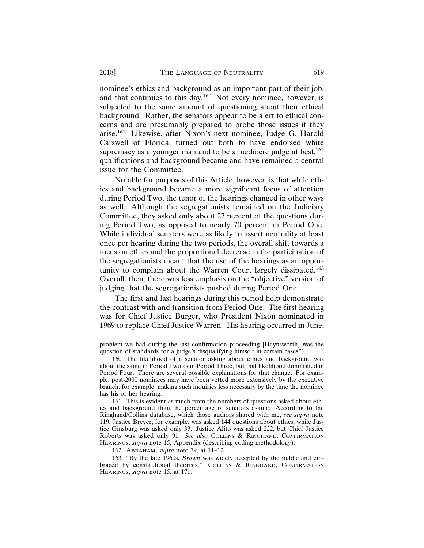nominee's ethics and background as an important part of their job, and that continues to this day.160 Not every nominee, however, is subjected to the same amount of questioning about their ethical background. Rather, the senators appear to be alert to ethical concerns and are presumably prepared to probe those issues if they arise.161 Likewise, after Nixon's next nominee, Judge G. Harold Carswell of Florida, turned out both to have endorsed white supremacy as a younger man and to be a mediocre judge at best, $162$ qualifications and background became and have remained a central issue for the Committee.

Notable for purposes of this Article, however, is that while ethics and background became a more significant focus of attention during Period Two, the tenor of the hearings changed in other ways as well. Although the segregationists remained on the Judiciary Committee, they asked only about 27 percent of the questions during Period Two, as opposed to nearly 70 percent in Period One. While individual senators were as likely to assert neutrality at least once per hearing during the two periods, the overall shift towards a focus on ethics and the proportional decrease in the participation of the segregationists meant that the use of the hearings as an opportunity to complain about the Warren Court largely dissipated.<sup>163</sup> Overall, then, there was less emphasis on the "objective" version of judging that the segregationists pushed during Period One.

The first and last hearings during this period help demonstrate the contrast with and transition from Period One. The first hearing was for Chief Justice Burger, who President Nixon nominated in 1969 to replace Chief Justice Warren. His hearing occurred in June,

problem we had during the last confirmation proceeding [Haynsworth] was the question of standards for a judge's disqualifying himself in certain cases").

<sup>160.</sup> The likelihood of a senator asking about ethics and background was about the same in Period Two as in Period Three, but that likelihood diminished in Period Four. There are several possible explanations for that change. For example, post-2000 nominees may have been vetted more extensively by the executive branch, for example, making such inquiries less necessary by the time the nominee has his or her hearing.

<sup>161.</sup> This is evident as much from the numbers of questions asked about ethics and background than the percentage of senators asking. According to the Ringhand/Collins database, which those authors shared with me, *see supra* note 119, Justice Breyer, for example, was asked 144 questions about ethics, while Justice Ginsburg was asked only 33. Justice Alito was asked 222, but Chief Justice Roberts was asked only 91. *See also* COLLINS & RINGHAND, CONFIRMATION HEARINGS, *supra* note 15, Appendix (describing coding methodology).

<sup>162.</sup> ABRAHAM, *supra* note 79, at 11–12.

<sup>163. &</sup>quot;By the late 1960s, *Brown* was widely accepted by the public and embraced by constitutional theorists." COLLINS & RINGHAND, CONFIRMATION HEARINGS, *supra* note 15, at 171.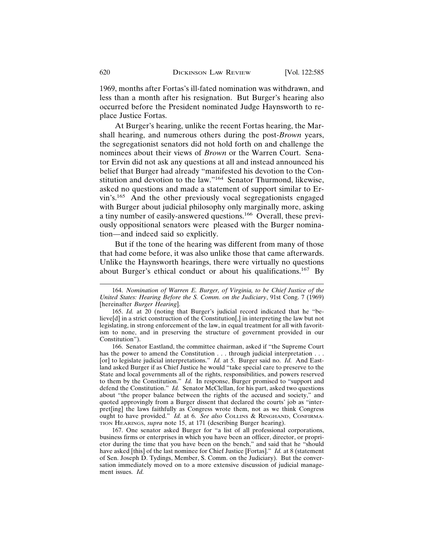1969, months after Fortas's ill-fated nomination was withdrawn, and less than a month after his resignation. But Burger's hearing also occurred before the President nominated Judge Haynsworth to replace Justice Fortas.

At Burger's hearing, unlike the recent Fortas hearing, the Marshall hearing, and numerous others during the post-*Brown* years, the segregationist senators did not hold forth on and challenge the nominees about their views of *Brown* or the Warren Court. Senator Ervin did not ask any questions at all and instead announced his belief that Burger had already "manifested his devotion to the Constitution and devotion to the law."164 Senator Thurmond, likewise, asked no questions and made a statement of support similar to Ervin's.165 And the other previously vocal segregationists engaged with Burger about judicial philosophy only marginally more, asking a tiny number of easily-answered questions.166 Overall, these previously oppositional senators were pleased with the Burger nomination—and indeed said so explicitly.

But if the tone of the hearing was different from many of those that had come before, it was also unlike those that came afterwards. Unlike the Haynsworth hearings, there were virtually no questions about Burger's ethical conduct or about his qualifications.167 By

<sup>164.</sup> *Nomination of Warren E. Burger, of Virginia, to be Chief Justice of the United States: Hearing Before the S. Comm. on the Judiciary*, 91st Cong. 7 (1969) [hereinafter *Burger Hearing*].

<sup>165.</sup> *Id.* at 20 (noting that Burger's judicial record indicated that he "believe[d] in a strict construction of the Constitution[,] in interpreting the law but not legislating, in strong enforcement of the law, in equal treatment for all with favoritism to none, and in preserving the structure of government provided in our Constitution").

<sup>166.</sup> Senator Eastland, the committee chairman, asked if "the Supreme Court has the power to amend the Constitution . . . through judicial interpretation . . . [or] to legislate judicial interpretations." *Id.* at 5. Burger said no. *Id.* And Eastland asked Burger if as Chief Justice he would "take special care to preserve to the State and local governments all of the rights, responsibilities, and powers reserved to them by the Constitution." *Id.* In response, Burger promised to "support and defend the Constitution." *Id.* Senator McClellan, for his part, asked two questions about "the proper balance between the rights of the accused and society," and quoted approvingly from a Burger dissent that declared the courts' job as "interpret[ing] the laws faithfully as Congress wrote them, not as we think Congress ought to have provided." *Id.* at 6. *See also* COLLINS & RINGHAND, CONFIRMA-TION HEARINGS, *supra* note 15, at 171 (describing Burger hearing).

<sup>167.</sup> One senator asked Burger for "a list of all professional corporations, business firms or enterprises in which you have been an officer, director, or proprietor during the time that you have been on the bench," and said that he "should have asked [this] of the last nominee for Chief Justice [Fortas]." *Id.* at 8 (statement of Sen. Joseph D. Tydings, Member, S. Comm. on the Judiciary). But the conversation immediately moved on to a more extensive discussion of judicial management issues. *Id.*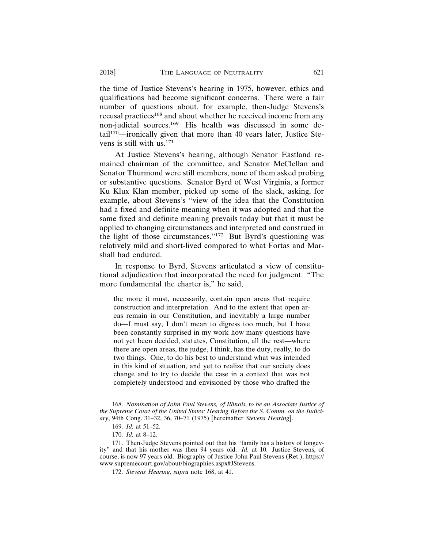the time of Justice Stevens's hearing in 1975, however, ethics and qualifications had become significant concerns. There were a fair number of questions about, for example, then-Judge Stevens's recusal practices<sup>168</sup> and about whether he received income from any non-judicial sources.169 His health was discussed in some detail170—ironically given that more than 40 years later, Justice Stevens is still with  $us.^{171}$ 

At Justice Stevens's hearing, although Senator Eastland remained chairman of the committee, and Senator McClellan and Senator Thurmond were still members, none of them asked probing or substantive questions. Senator Byrd of West Virginia, a former Ku Klux Klan member, picked up some of the slack, asking, for example, about Stevens's "view of the idea that the Constitution had a fixed and definite meaning when it was adopted and that the same fixed and definite meaning prevails today but that it must be applied to changing circumstances and interpreted and construed in the light of those circumstances."172 But Byrd's questioning was relatively mild and short-lived compared to what Fortas and Marshall had endured.

In response to Byrd, Stevens articulated a view of constitutional adjudication that incorporated the need for judgment. "The more fundamental the charter is," he said,

the more it must, necessarily, contain open areas that require construction and interpretation. And to the extent that open areas remain in our Constitution, and inevitably a large number do—I must say, I don't mean to digress too much, but I have been constantly surprised in my work how many questions have not yet been decided, statutes, Constitution, all the rest—where there are open areas, the judge, I think, has the duty, really, to do two things. One, to do his best to understand what was intended in this kind of situation, and yet to realize that our society does change and to try to decide the case in a context that was not completely understood and envisioned by those who drafted the

<sup>168.</sup> *Nomination of John Paul Stevens, of Illinois, to be an Associate Justice of the Supreme Court of the United States: Hearing Before the S. Comm. on the Judiciary*, 94th Cong. 31–32, 36, 70–71 (1975) [hereinafter *Stevens Hearing*].

<sup>169.</sup> *Id.* at 51–52.

<sup>170.</sup> *Id.* at 8–12.

<sup>171.</sup> Then-Judge Stevens pointed out that his "family has a history of longevity" and that his mother was then 94 years old. *Id.* at 10. Justice Stevens, of course, is now 97 years old. Biography of Justice John Paul Stevens (Ret.), https:// www.supremecourt.gov/about/biographies.aspx#JStevens.

<sup>172.</sup> *Stevens Hearing*, *supra* note 168, at 41.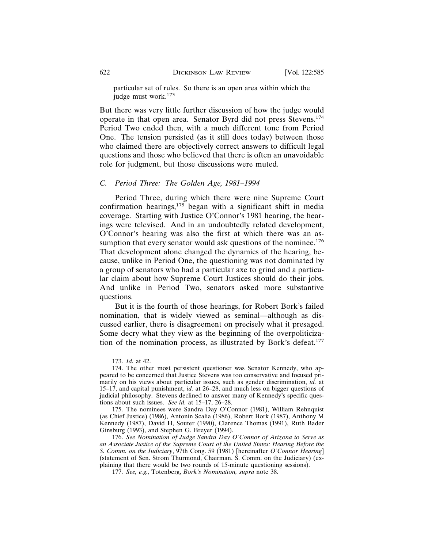particular set of rules. So there is an open area within which the judge must work.<sup>173</sup>

But there was very little further discussion of how the judge would operate in that open area. Senator Byrd did not press Stevens.174 Period Two ended then, with a much different tone from Period One. The tension persisted (as it still does today) between those who claimed there are objectively correct answers to difficult legal questions and those who believed that there is often an unavoidable role for judgment, but those discussions were muted.

#### *C. Period Three: The Golden Age, 1981–1994*

Period Three, during which there were nine Supreme Court confirmation hearings, $175$  began with a significant shift in media coverage. Starting with Justice O'Connor's 1981 hearing, the hearings were televised. And in an undoubtedly related development, O'Connor's hearing was also the first at which there was an assumption that every senator would ask questions of the nominee.<sup>176</sup> That development alone changed the dynamics of the hearing, because, unlike in Period One, the questioning was not dominated by a group of senators who had a particular axe to grind and a particular claim about how Supreme Court Justices should do their jobs. And unlike in Period Two, senators asked more substantive questions.

But it is the fourth of those hearings, for Robert Bork's failed nomination, that is widely viewed as seminal—although as discussed earlier, there is disagreement on precisely what it presaged. Some decry what they view as the beginning of the overpoliticization of the nomination process, as illustrated by Bork's defeat.<sup>177</sup>

175. The nominees were Sandra Day O'Connor (1981), William Rehnquist (as Chief Justice) (1986), Antonin Scalia (1986), Robert Bork (1987), Anthony M Kennedy (1987), David H, Souter (1990), Clarence Thomas (1991), Ruth Bader Ginsburg (1993), and Stephen G. Breyer (1994).

176. *See Nomination of Judge Sandra Day O'Connor of Arizona to Serve as an Associate Justice of the Supreme Court of the United States: Hearing Before the S. Comm. on the Judiciary*, 97th Cong. 59 (1981) [hereinafter *O'Connor Hearing*] (statement of Sen. Strom Thurmond, Chairman, S. Comm. on the Judiciary) (explaining that there would be two rounds of 15-minute questioning sessions).

177. *See, e.g.*, Totenberg, *Bork's Nomination, supra* note 38.

<sup>173.</sup> *Id.* at 42.

<sup>174.</sup> The other most persistent questioner was Senator Kennedy, who appeared to be concerned that Justice Stevens was too conservative and focused primarily on his views about particular issues, such as gender discrimination, *id.* at 15–17, and capital punishment, *id.* at 26–28, and much less on bigger questions of judicial philosophy. Stevens declined to answer many of Kennedy's specific questions about such issues. *See id.* at 15–17, 26–28.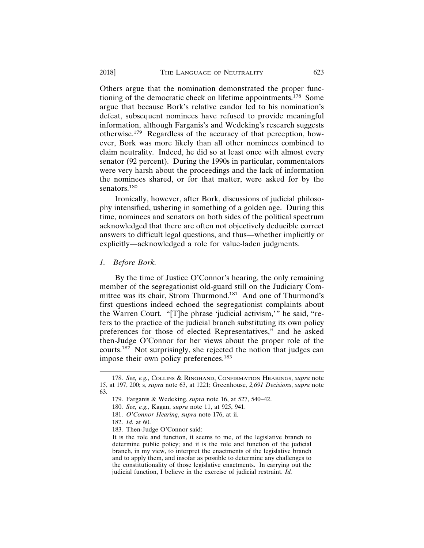Others argue that the nomination demonstrated the proper functioning of the democratic check on lifetime appointments.178 Some argue that because Bork's relative candor led to his nomination's defeat, subsequent nominees have refused to provide meaningful information, although Farganis's and Wedeking's research suggests otherwise.179 Regardless of the accuracy of that perception, however, Bork was more likely than all other nominees combined to claim neutrality. Indeed, he did so at least once with almost every senator (92 percent). During the 1990s in particular, commentators were very harsh about the proceedings and the lack of information the nominees shared, or for that matter, were asked for by the senators.<sup>180</sup>

Ironically, however, after Bork, discussions of judicial philosophy intensified, ushering in something of a golden age. During this time, nominees and senators on both sides of the political spectrum acknowledged that there are often not objectively deducible correct answers to difficult legal questions, and thus—whether implicitly or explicitly—acknowledged a role for value-laden judgments.

*1. Before Bork.*

By the time of Justice O'Connor's hearing, the only remaining member of the segregationist old-guard still on the Judiciary Committee was its chair, Strom Thurmond.181 And one of Thurmond's first questions indeed echoed the segregationist complaints about the Warren Court. "[T]he phrase 'judicial activism,'" he said, "refers to the practice of the judicial branch substituting its own policy preferences for those of elected Representatives," and he asked then-Judge O'Connor for her views about the proper role of the courts.182 Not surprisingly, she rejected the notion that judges can impose their own policy preferences.<sup>183</sup>

<sup>178.</sup> *See, e.g.*, COLLINS & RINGHAND, CONFIRMATION HEARINGS, *supra* note 15, at 197, 200; s, *supra* note 63, at 1221; Greenhouse, *2,691 Decisions*, *supra* note 63.

<sup>179.</sup> Farganis & Wedeking, *supra* note 16, at 527, 540–42.

<sup>180.</sup> *See, e.g.*, Kagan, *supra* note 11, at 925, 941.

<sup>181.</sup> *O'Connor Hearing*, *supra* note 176, at ii.

<sup>182.</sup> *Id.* at 60.

<sup>183.</sup> Then-Judge O'Connor said:

It is the role and function, it seems to me, of the legislative branch to determine public policy; and it is the role and function of the judicial branch, in my view, to interpret the enactments of the legislative branch and to apply them, and insofar as possible to determine any challenges to the constitutionality of those legislative enactments. In carrying out the judicial function, I believe in the exercise of judicial restraint. *Id.*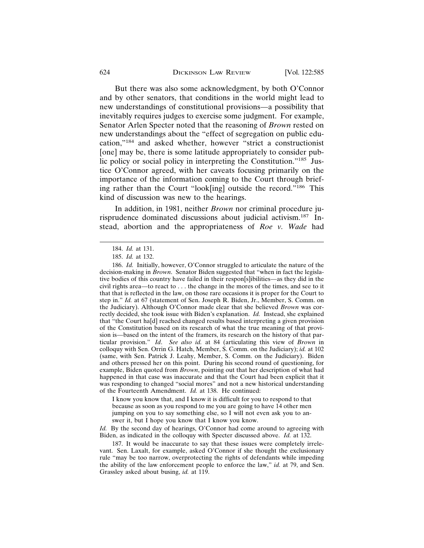But there was also some acknowledgment, by both O'Connor and by other senators, that conditions in the world might lead to new understandings of constitutional provisions—a possibility that inevitably requires judges to exercise some judgment. For example, Senator Arlen Specter noted that the reasoning of *Brown* rested on new understandings about the "effect of segregation on public education,"184 and asked whether, however "strict a constructionist [one] may be, there is some latitude appropriately to consider public policy or social policy in interpreting the Constitution."185 Justice O'Connor agreed, with her caveats focusing primarily on the importance of the information coming to the Court through briefing rather than the Court "look[ing] outside the record."186 This kind of discussion was new to the hearings.

In addition, in 1981, neither *Brown* nor criminal procedure jurisprudence dominated discussions about judicial activism.187 Instead, abortion and the appropriateness of *Roe v. Wade* had

I know you know that, and I know it is difficult for you to respond to that because as soon as you respond to me you are going to have 14 other men jumping on you to say something else, so I will not even ask you to answer it, but I hope you know that I know you know.

*Id.* By the second day of hearings, O'Connor had come around to agreeing with Biden, as indicated in the colloquy with Specter discussed above. *Id.* at 132.

187. It would be inaccurate to say that these issues were completely irrelevant. Sen. Laxalt, for example, asked O'Connor if she thought the exclusionary rule "may be too narrow, overprotecting the rights of defendants while impeding the ability of the law enforcement people to enforce the law," *id.* at 79, and Sen. Grassley asked about busing, *id.* at 119.

<sup>184.</sup> *Id.* at 131.

<sup>185.</sup> *Id.* at 132.

<sup>186.</sup> *Id.* Initially, however, O'Connor struggled to articulate the nature of the decision-making in *Brown*. Senator Biden suggested that "when in fact the legislative bodies of this country have failed in their respon[s]ibilities—as they did in the civil rights area—to react to . . . the change in the mores of the times, and see to it that that is reflected in the law, on those rare occasions it is proper for the Court to step in." *Id.* at 67 (statement of Sen. Joseph R. Biden, Jr., Member, S. Comm. on the Judiciary). Although O'Connor made clear that she believed *Brown* was correctly decided, she took issue with Biden's explanation. *Id.* Instead, she explained that "the Court ha[d] reached changed results based interpreting a given provision of the Constitution based on its research of what the true meaning of that provision is—based on the intent of the framers, its research on the history of that particular provision." *Id*. *See also id.* at 84 (articulating this view of *Brown* in colloquy with Sen. Orrin G. Hatch, Member, S. Comm. on the Judiciary); *id.* at 102 (same, with Sen. Patrick J. Leahy, Member, S. Comm. on the Judiciary). Biden and others pressed her on this point. During his second round of questioning, for example, Biden quoted from *Brown*, pointing out that her description of what had happened in that case was inaccurate and that the Court had been explicit that it was responding to changed "social mores" and not a new historical understanding of the Fourteenth Amendment. *Id.* at 138. He continued: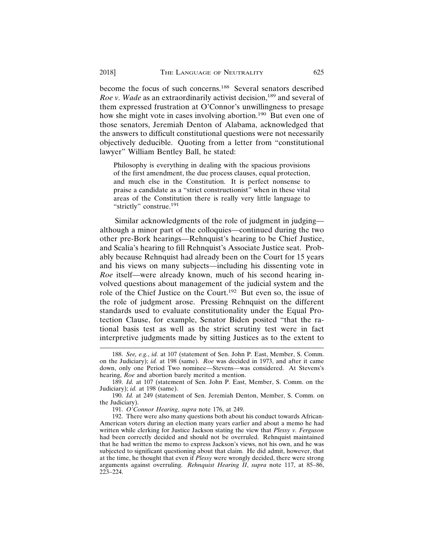become the focus of such concerns.<sup>188</sup> Several senators described *Roe v. Wade* as an extraordinarily activist decision,<sup>189</sup> and several of them expressed frustration at O'Connor's unwillingness to presage how she might vote in cases involving abortion.<sup>190</sup> But even one of those senators, Jeremiah Denton of Alabama, acknowledged that the answers to difficult constitutional questions were not necessarily objectively deducible. Quoting from a letter from "constitutional lawyer" William Bentley Ball, he stated:

Philosophy is everything in dealing with the spacious provisions of the first amendment, the due process clauses, equal protection, and much else in the Constitution. It is perfect nonsense to praise a candidate as a "strict constructionist" when in these vital areas of the Constitution there is really very little language to "strictly" construe.<sup>191</sup>

Similar acknowledgments of the role of judgment in judging although a minor part of the colloquies—continued during the two other pre-Bork hearings—Rehnquist's hearing to be Chief Justice, and Scalia's hearing to fill Rehnquist's Associate Justice seat. Probably because Rehnquist had already been on the Court for 15 years and his views on many subjects—including his dissenting vote in *Roe* itself—were already known, much of his second hearing involved questions about management of the judicial system and the role of the Chief Justice on the Court.<sup>192</sup> But even so, the issue of the role of judgment arose. Pressing Rehnquist on the different standards used to evaluate constitutionality under the Equal Protection Clause, for example, Senator Biden posited "that the rational basis test as well as the strict scrutiny test were in fact interpretive judgments made by sitting Justices as to the extent to

<sup>188.</sup> *See, e.g.*, *id.* at 107 (statement of Sen. John P. East, Member, S. Comm. on the Judiciary); *id.* at 198 (same). *Roe* was decided in 1973, and after it came down, only one Period Two nominee—Stevens—was considered. At Stevens's hearing, *Roe* and abortion barely merited a mention.

<sup>189.</sup> *Id.* at 107 (statement of Sen. John P. East, Member, S. Comm. on the Judiciary); *id.* at 198 (same).

<sup>190.</sup> *Id.* at 249 (statement of Sen. Jeremiah Denton, Member, S. Comm. on the Judiciary).

<sup>191.</sup> *O'Connor Hearing*, *supra* note 176, at 249.

<sup>192.</sup> There were also many questions both about his conduct towards African-American voters during an election many years earlier and about a memo he had written while clerking for Justice Jackson stating the view that *Plessy v. Ferguson* had been correctly decided and should not be overruled. Rehnquist maintained that he had written the memo to express Jackson's views, not his own, and he was subjected to significant questioning about that claim. He did admit, however, that at the time, he thought that even if *Plessy* were wrongly decided, there were strong arguments against overruling. *Rehnquist Hearing II*, *supra* note 117, at 85–86, 223–224.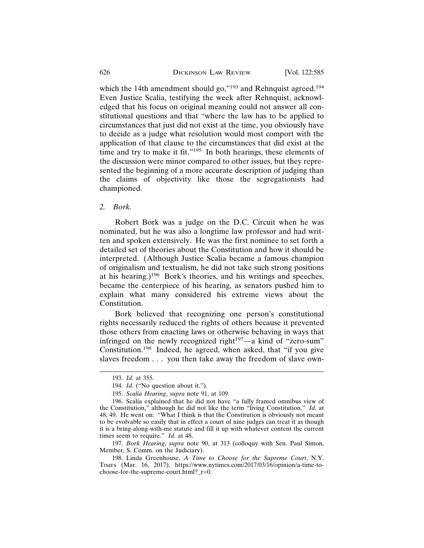which the 14th amendment should go," $193$  and Rehnquist agreed. $194$ Even Justice Scalia, testifying the week after Rehnquist, acknowledged that his focus on original meaning could not answer all constitutional questions and that "where the law has to be applied to circumstances that just did not exist at the time, you obviously have to decide as a judge what resolution would most comport with the application of that clause to the circumstances that did exist at the time and try to make it fit."195 In both hearings, these elements of the discussion were minor compared to other issues, but they represented the beginning of a more accurate description of judging than the claims of objectivity like those the segregationists had championed.

*2. Bork.*

Robert Bork was a judge on the D.C. Circuit when he was nominated, but he was also a longtime law professor and had written and spoken extensively. He was the first nominee to set forth a detailed set of theories about the Constitution and how it should be interpreted. (Although Justice Scalia became a famous champion of originalism and textualism, he did not take such strong positions at his hearing.)<sup>196</sup> Bork's theories, and his writings and speeches, became the centerpiece of his hearing, as senators pushed him to explain what many considered his extreme views about the Constitution.

Bork believed that recognizing one person's constitutional rights necessarily reduced the rights of others because it prevented those others from enacting laws or otherwise behaving in ways that infringed on the newly recognized right $197$ —a kind of "zero-sum" Constitution.198 Indeed, he agreed, when asked, that "if you give slaves freedom . . . you then take away the freedom of slave own-

<sup>193.</sup> *Id.* at 355.

<sup>194.</sup> *Id.* ("No question about it.").

<sup>195.</sup> *Scalia Hearing*, *supra* note 91, at 109.

<sup>196.</sup> Scalia explained that he did not have "a fully framed omnibus view of the Constitution," although he did not like the term "living Constitution." *Id.* at 48, 49. He went on: "What I think is that the Constitution is obviously not meant to be evolvable so easily that in effect a court of nine judges can treat it as though it is a bring-along-with-me statute and fill it up with whatever content the current times seem to require." *Id.* at 48.

<sup>197.</sup> *Bork Hearing*, *supra* note 90, at 313 (colloquy with Sen. Paul Simon, Member, S. Comm. on the Judiciary).

<sup>198.</sup> Linda Greenhouse, *A Time to Choose for the Supreme Court*, N.Y. TIMES (Mar. 16, 2017), https://www.nytimes.com/2017/03/16/opinion/a-time-tochoose-for-the-supreme-court.html?\_r=0.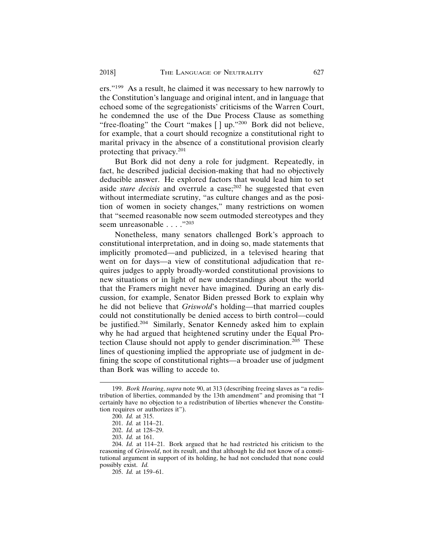ers."199 As a result, he claimed it was necessary to hew narrowly to the Constitution's language and original intent, and in language that echoed some of the segregationists' criticisms of the Warren Court, he condemned the use of the Due Process Clause as something "free-floating" the Court "makes [] up."<sup>200</sup> Bork did not believe, for example, that a court should recognize a constitutional right to marital privacy in the absence of a constitutional provision clearly protecting that privacy.201

But Bork did not deny a role for judgment. Repeatedly, in fact, he described judicial decision-making that had no objectively deducible answer. He explored factors that would lead him to set aside *stare decisis* and overrule a case;<sup>202</sup> he suggested that even without intermediate scrutiny, "as culture changes and as the position of women in society changes," many restrictions on women that "seemed reasonable now seem outmoded stereotypes and they seem unreasonable . . . . "<sup>203</sup>

Nonetheless, many senators challenged Bork's approach to constitutional interpretation, and in doing so, made statements that implicitly promoted—and publicized, in a televised hearing that went on for days—a view of constitutional adjudication that requires judges to apply broadly-worded constitutional provisions to new situations or in light of new understandings about the world that the Framers might never have imagined. During an early discussion, for example, Senator Biden pressed Bork to explain why he did not believe that *Griswold*'s holding—that married couples could not constitutionally be denied access to birth control—could be justified.<sup>204</sup> Similarly, Senator Kennedy asked him to explain why he had argued that heightened scrutiny under the Equal Protection Clause should not apply to gender discrimination.<sup>205</sup> These lines of questioning implied the appropriate use of judgment in defining the scope of constitutional rights—a broader use of judgment than Bork was willing to accede to.

<sup>199.</sup> *Bork Hearing*, *supra* note 90, at 313 (describing freeing slaves as "a redistribution of liberties, commanded by the 13th amendment" and promising that "I certainly have no objection to a redistribution of liberties whenever the Constitution requires or authorizes it").

<sup>200.</sup> *Id.* at 315.

<sup>201.</sup> *Id.* at 114–21.

<sup>202.</sup> *Id.* at 128–29.

<sup>203.</sup> *Id.* at 161.

<sup>204.</sup> *Id.* at 114–21. Bork argued that he had restricted his criticism to the reasoning of *Griswold*, not its result, and that although he did not know of a constitutional argument in support of its holding, he had not concluded that none could possibly exist. *Id.*

<sup>205.</sup> *Id.* at 159–61.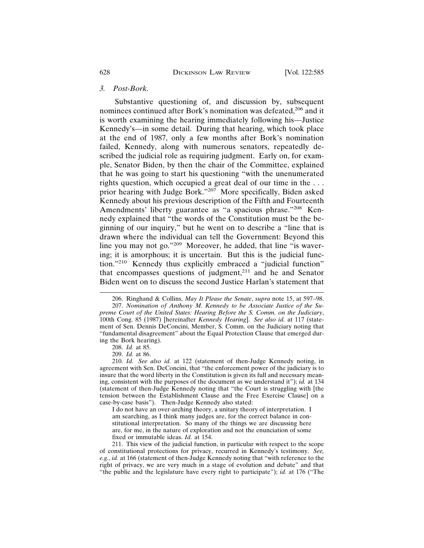#### *3. Post-Bork.*

Substantive questioning of, and discussion by, subsequent nominees continued after Bork's nomination was defeated,<sup>206</sup> and it is worth examining the hearing immediately following his—Justice Kennedy's—in some detail. During that hearing, which took place at the end of 1987, only a few months after Bork's nomination failed, Kennedy, along with numerous senators, repeatedly described the judicial role as requiring judgment. Early on, for example, Senator Biden, by then the chair of the Committee, explained that he was going to start his questioning "with the unenumerated rights question, which occupied a great deal of our time in the . . . prior hearing with Judge Bork."207 More specifically, Biden asked Kennedy about his previous description of the Fifth and Fourteenth Amendments' liberty guarantee as "a spacious phrase."208 Kennedy explained that "the words of the Constitution must be the beginning of our inquiry," but he went on to describe a "line that is drawn where the individual can tell the Government: Beyond this line you may not go."209 Moreover, he added, that line "is wavering; it is amorphous; it is uncertain. But this is the judicial function."210 Kennedy thus explicitly embraced a "judicial function" that encompasses questions of judgment, $2^{11}$  and he and Senator Biden went on to discuss the second Justice Harlan's statement that

I do not have an over-arching theory, a unitary theory of interpretation. I am searching, as I think many judges are, for the correct balance in constitutional interpretation. So many of the things we are discussing here are, for me, in the nature of exploration and not the enunciation of some fixed or immutable ideas. *Id.* at 154.

211. This view of the judicial function, in particular with respect to the scope of constitutional protections for privacy, recurred in Kennedy's testimony. *See, e.g.*, *id.* at 166 (statement of then-Judge Kennedy noting that "with reference to the right of privacy, we are very much in a stage of evolution and debate" and that "the public and the legislature have every right to participate"); *id.* at 176 ("The

<sup>206.</sup> Ringhand & Collins, *May It Please the Senate*, *supra* note 15, at 597–98.

<sup>207.</sup> *Nomination of Anthony M. Kennedy to be Associate Justice of the Supreme Court of the United States: Hearing Before the S. Comm. on the Judiciary*, 100th Cong. 85 (1987) [hereinafter *Kennedy Hearing*]. *See also id.* at 117 (statement of Sen. Dennis DeConcini, Member, S. Comm. on the Judiciary noting that "fundamental disagreement" about the Equal Protection Clause that emerged during the Bork hearing).

<sup>208.</sup> *Id.* at 85.

<sup>209.</sup> *Id.* at 86.

<sup>210.</sup> *Id. See also id.* at 122 (statement of then-Judge Kennedy noting, in agreement with Sen. DeConcini, that "the enforcement power of the judiciary is to insure that the word liberty in the Constitution is given its full and necessary meaning, consistent with the purposes of the document as we understand it"); *id.* at 134 (statement of then-Judge Kennedy noting that "the Court is struggling with [the tension between the Establishment Clause and the Free Exercise Clause] on a case-by-case basis"). Then-Judge Kennedy also stated: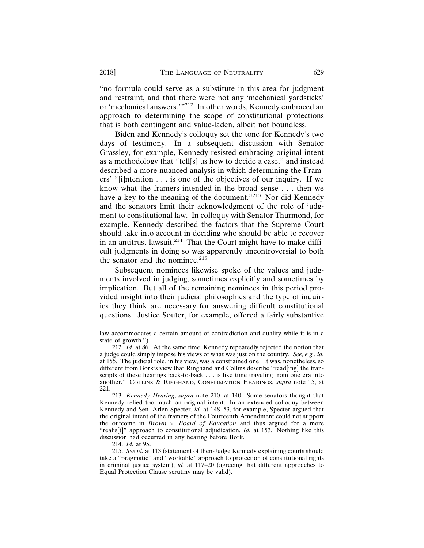"no formula could serve as a substitute in this area for judgment and restraint, and that there were not any 'mechanical yardsticks' or 'mechanical answers.'"<sup>212</sup> In other words, Kennedy embraced an approach to determining the scope of constitutional protections that is both contingent and value-laden, albeit not boundless.

Biden and Kennedy's colloquy set the tone for Kennedy's two days of testimony. In a subsequent discussion with Senator Grassley, for example, Kennedy resisted embracing original intent as a methodology that "tell[s] us how to decide a case," and instead described a more nuanced analysis in which determining the Framers' "[i]ntention . . . is one of the objectives of our inquiry. If we know what the framers intended in the broad sense . . . then we have a key to the meaning of the document."213 Nor did Kennedy and the senators limit their acknowledgment of the role of judgment to constitutional law. In colloquy with Senator Thurmond, for example, Kennedy described the factors that the Supreme Court should take into account in deciding who should be able to recover in an antitrust lawsuit.<sup>214</sup> That the Court might have to make difficult judgments in doing so was apparently uncontroversial to both the senator and the nominee.<sup>215</sup>

Subsequent nominees likewise spoke of the values and judgments involved in judging, sometimes explicitly and sometimes by implication. But all of the remaining nominees in this period provided insight into their judicial philosophies and the type of inquiries they think are necessary for answering difficult constitutional questions. Justice Souter, for example, offered a fairly substantive

214. *Id.* at 95.

law accommodates a certain amount of contradiction and duality while it is in a state of growth.").

<sup>212.</sup> *Id.* at 86. At the same time, Kennedy repeatedly rejected the notion that a judge could simply impose his views of what was just on the country. *See, e.g.*, *id.* at 155. The judicial role, in his view, was a constrained one. It was, nonetheless, so different from Bork's view that Ringhand and Collins describe "read[ing] the transcripts of these hearings back-to-back . . . is like time traveling from one era into another." COLLINS & RINGHAND, CONFIRMATION HEARINGS, *supra* note 15, at 221.

<sup>213.</sup> *Kennedy Hearing*, *supra* note 210*.* at 140. Some senators thought that Kennedy relied too much on original intent. In an extended colloquy between Kennedy and Sen. Arlen Specter, *id.* at 148–53, for example, Specter argued that the original intent of the framers of the Fourteenth Amendment could not support the outcome in *Brown v. Board of Education* and thus argued for a more "realis[t]" approach to constitutional adjudication. *Id.* at 153. Nothing like this discussion had occurred in any hearing before Bork.

<sup>215.</sup> *See id.* at 113 (statement of then-Judge Kennedy explaining courts should take a "pragmatic" and "workable" approach to protection of constitutional rights in criminal justice system); *id.* at 117–20 (agreeing that different approaches to Equal Protection Clause scrutiny may be valid).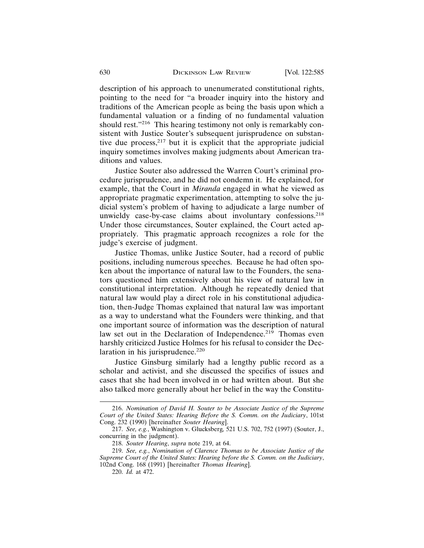description of his approach to unenumerated constitutional rights, pointing to the need for "a broader inquiry into the history and traditions of the American people as being the basis upon which a fundamental valuation or a finding of no fundamental valuation should rest."<sup>216</sup> This hearing testimony not only is remarkably consistent with Justice Souter's subsequent jurisprudence on substantive due process, $2^{17}$  but it is explicit that the appropriate judicial inquiry sometimes involves making judgments about American traditions and values.

Justice Souter also addressed the Warren Court's criminal procedure jurisprudence, and he did not condemn it. He explained, for example, that the Court in *Miranda* engaged in what he viewed as appropriate pragmatic experimentation, attempting to solve the judicial system's problem of having to adjudicate a large number of unwieldy case-by-case claims about involuntary confessions.<sup>218</sup> Under those circumstances, Souter explained, the Court acted appropriately. This pragmatic approach recognizes a role for the judge's exercise of judgment.

Justice Thomas, unlike Justice Souter, had a record of public positions, including numerous speeches. Because he had often spoken about the importance of natural law to the Founders, the senators questioned him extensively about his view of natural law in constitutional interpretation. Although he repeatedly denied that natural law would play a direct role in his constitutional adjudication, then-Judge Thomas explained that natural law was important as a way to understand what the Founders were thinking, and that one important source of information was the description of natural law set out in the Declaration of Independence.<sup>219</sup> Thomas even harshly criticized Justice Holmes for his refusal to consider the Declaration in his jurisprudence.<sup>220</sup>

Justice Ginsburg similarly had a lengthy public record as a scholar and activist, and she discussed the specifics of issues and cases that she had been involved in or had written about. But she also talked more generally about her belief in the way the Constitu-

<sup>216.</sup> *Nomination of David H. Souter to be Associate Justice of the Supreme Court of the United States: Hearing Before the S. Comm. on the Judiciary*, 101st Cong. 232 (1990) [hereinafter *Souter Hearing*].

<sup>217.</sup> *See, e.g.*, Washington v. Glucksberg*,* 521 U.S. 702, 752 (1997) (Souter, J., concurring in the judgment).

<sup>218.</sup> *Souter Hearing*, *supra* note 219, at 64.

<sup>219.</sup> *See, e.g.*, *Nomination of Clarence Thomas to be Associate Justice of the Supreme Court of the United States: Hearing before the S. Comm. on the Judiciary*, 102nd Cong. 168 (1991) [hereinafter *Thomas Hearing*].

<sup>220.</sup> *Id.* at 472.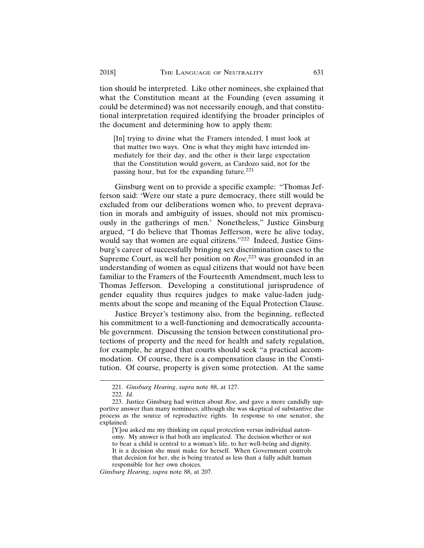tion should be interpreted. Like other nominees, she explained that what the Constitution meant at the Founding (even assuming it could be determined) was not necessarily enough, and that constitutional interpretation required identifying the broader principles of the document and determining how to apply them:

[In] trying to divine what the Framers intended, I must look at that matter two ways. One is what they might have intended immediately for their day, and the other is their large expectation that the Constitution would govern, as Cardozo said, not for the passing hour, but for the expanding future.<sup>221</sup>

Ginsburg went on to provide a specific example: "Thomas Jefferson said: 'Were our state a pure democracy, there still would be excluded from our deliberations women who, to prevent depravation in morals and ambiguity of issues, should not mix promiscuously in the gatherings of men.' Nonetheless," Justice Ginsburg argued, "I do believe that Thomas Jefferson, were he alive today, would say that women are equal citizens."<sup>222</sup> Indeed, Justice Ginsburg's career of successfully bringing sex discrimination cases to the Supreme Court, as well her position on *Roe*, 223 was grounded in an understanding of women as equal citizens that would not have been familiar to the Framers of the Fourteenth Amendment, much less to Thomas Jefferson. Developing a constitutional jurisprudence of gender equality thus requires judges to make value-laden judgments about the scope and meaning of the Equal Protection Clause.

Justice Breyer's testimony also, from the beginning, reflected his commitment to a well-functioning and democratically accountable government. Discussing the tension between constitutional protections of property and the need for health and safety regulation, for example, he argued that courts should seek "a practical accommodation. Of course, there is a compensation clause in the Constitution. Of course, property is given some protection. At the same

<sup>221.</sup> *Ginsburg Hearing*, *supra* note 88, at 127.

<sup>222.</sup> *Id.*

<sup>223.</sup> Justice Ginsburg had written about *Roe*, and gave a more candidly supportive answer than many nominees, although she was skeptical of substantive due process as the source of reproductive rights. In response to one senator, she explained:

<sup>[</sup>Y]ou asked me my thinking on equal protection versus individual autonomy. My answer is that both are implicated. The decision whether or not to bear a child is central to a woman's life, to her well-being and dignity. It is a decision she must make for herself. When Government controls that decision for her, she is being treated as less than a fully adult human responsible for her own choices.

*Ginsburg Hearing*, *supra* note 88, at 207.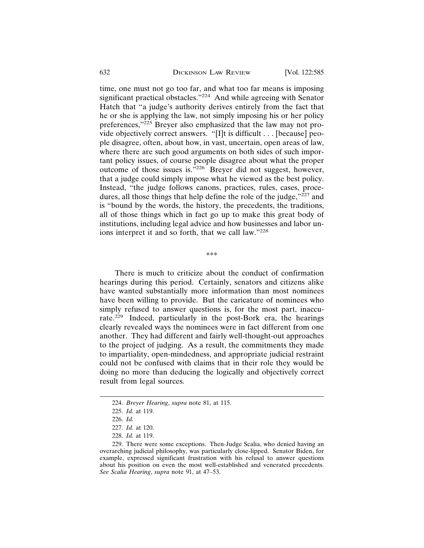time, one must not go too far, and what too far means is imposing significant practical obstacles."<sup>224</sup> And while agreeing with Senator Hatch that "a judge's authority derives entirely from the fact that he or she is applying the law, not simply imposing his or her policy preferences,"225 Breyer also emphasized that the law may not provide objectively correct answers. "[I]t is difficult . . . [because] people disagree, often, about how, in vast, uncertain, open areas of law, where there are such good arguments on both sides of such important policy issues, of course people disagree about what the proper outcome of those issues is."226 Breyer did not suggest, however, that a judge could simply impose what he viewed as the best policy. Instead, "the judge follows canons, practices, rules, cases, procedures, all those things that help define the role of the judge,"227 and is "bound by the words, the history, the precedents, the traditions, all of those things which in fact go up to make this great body of institutions, including legal advice and how businesses and labor unions interpret it and so forth, that we call law."228

\*\*\*

There is much to criticize about the conduct of confirmation hearings during this period. Certainly, senators and citizens alike have wanted substantially more information than most nominees have been willing to provide. But the caricature of nominees who simply refused to answer questions is, for the most part, inaccurate.229 Indeed, particularly in the post-Bork era, the hearings clearly revealed ways the nominees were in fact different from one another. They had different and fairly well-thought-out approaches to the project of judging. As a result, the commitments they made to impartiality, open-mindedness, and appropriate judicial restraint could not be confused with claims that in their role they would be doing no more than deducing the logically and objectively correct result from legal sources.

<sup>224.</sup> *Breyer Hearing*, *supra* note 81, at 115.

<sup>225.</sup> *Id.* at 119.

<sup>226.</sup> *Id.*

<sup>227.</sup> *Id.* at 120.

<sup>228.</sup> *Id.* at 119.

<sup>229.</sup> There were some exceptions. Then-Judge Scalia, who denied having an overarching judicial philosophy, was particularly close-lipped. Senator Biden, for example, expressed significant frustration with his refusal to answer questions about his position on even the most well-established and venerated precedents. *See Scalia Hearing*, *supra* note 91, at 47–53.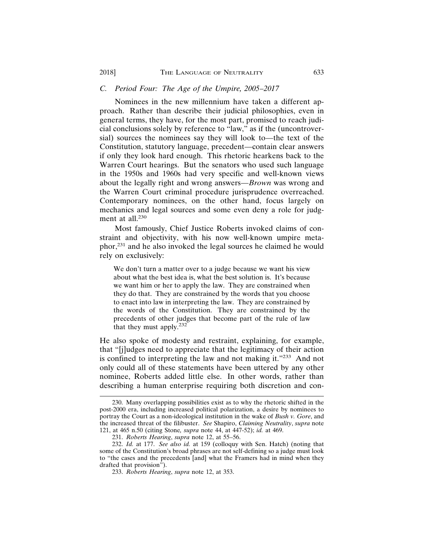#### *C. Period Four: The Age of the Umpire, 2005–2017*

Nominees in the new millennium have taken a different approach. Rather than describe their judicial philosophies, even in general terms, they have, for the most part, promised to reach judicial conclusions solely by reference to "law," as if the (uncontroversial) sources the nominees say they will look to—the text of the Constitution, statutory language, precedent—contain clear answers if only they look hard enough. This rhetoric hearkens back to the Warren Court hearings. But the senators who used such language in the 1950s and 1960s had very specific and well-known views about the legally right and wrong answers—*Brown* was wrong and the Warren Court criminal procedure jurisprudence overreached. Contemporary nominees, on the other hand, focus largely on mechanics and legal sources and some even deny a role for judgment at all.<sup>230</sup>

Most famously, Chief Justice Roberts invoked claims of constraint and objectivity, with his now well-known umpire metaphor,231 and he also invoked the legal sources he claimed he would rely on exclusively:

We don't turn a matter over to a judge because we want his view about what the best idea is, what the best solution is. It's because we want him or her to apply the law. They are constrained when they do that. They are constrained by the words that you choose to enact into law in interpreting the law. They are constrained by the words of the Constitution. They are constrained by the precedents of other judges that become part of the rule of law that they must apply.<sup>232</sup>

He also spoke of modesty and restraint, explaining, for example, that "[j]udges need to appreciate that the legitimacy of their action is confined to interpreting the law and not making it."233 And not only could all of these statements have been uttered by any other nominee, Roberts added little else. In other words, rather than describing a human enterprise requiring both discretion and con-

<sup>230.</sup> Many overlapping possibilities exist as to why the rhetoric shifted in the post-2000 era, including increased political polarization, a desire by nominees to portray the Court as a non-ideological institution in the wake of *Bush v. Gore*, and the increased threat of the filibuster. *See* Shapiro, *Claiming Neutrality*, *supra* note 121, at 465 n.50 (citing Stone*, supra* note 44, at 447-52); *id.* at 469.

<sup>231.</sup> *Roberts Hearing*, *supra* note 12, at 55–56.

<sup>232.</sup> *Id.* at 177. *See also id.* at 159 (colloquy with Sen. Hatch) (noting that some of the Constitution's broad phrases are not self-defining so a judge must look to "the cases and the precedents [and] what the Framers had in mind when they drafted that provision").

<sup>233.</sup> *Roberts Hearing*, *supra* note 12, at 353.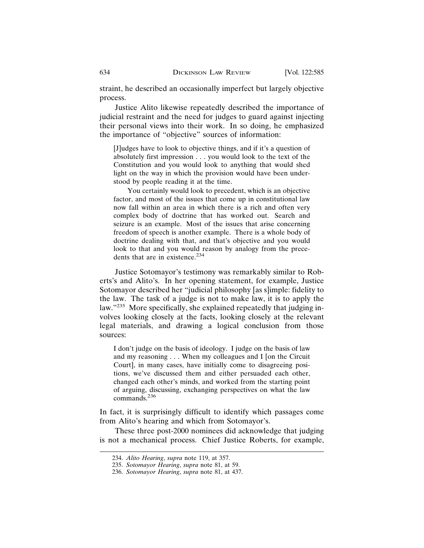straint, he described an occasionally imperfect but largely objective process.

Justice Alito likewise repeatedly described the importance of judicial restraint and the need for judges to guard against injecting their personal views into their work. In so doing, he emphasized the importance of "objective" sources of information:

[J]udges have to look to objective things, and if it's a question of absolutely first impression . . . you would look to the text of the Constitution and you would look to anything that would shed light on the way in which the provision would have been understood by people reading it at the time.

You certainly would look to precedent, which is an objective factor, and most of the issues that come up in constitutional law now fall within an area in which there is a rich and often very complex body of doctrine that has worked out. Search and seizure is an example. Most of the issues that arise concerning freedom of speech is another example. There is a whole body of doctrine dealing with that, and that's objective and you would look to that and you would reason by analogy from the precedents that are in existence.<sup>234</sup>

Justice Sotomayor's testimony was remarkably similar to Roberts's and Alito's. In her opening statement, for example, Justice Sotomayor described her "judicial philosophy [as s]imple: fidelity to the law. The task of a judge is not to make law, it is to apply the law."235 More specifically, she explained repeatedly that judging involves looking closely at the facts, looking closely at the relevant legal materials, and drawing a logical conclusion from those sources:

I don't judge on the basis of ideology. I judge on the basis of law and my reasoning . . . When my colleagues and I [on the Circuit Court], in many cases, have initially come to disagreeing positions, we've discussed them and either persuaded each other, changed each other's minds, and worked from the starting point of arguing, discussing, exchanging perspectives on what the law commands.<sup>236</sup>

In fact, it is surprisingly difficult to identify which passages come from Alito's hearing and which from Sotomayor's.

These three post-2000 nominees did acknowledge that judging is not a mechanical process. Chief Justice Roberts, for example,

<sup>234.</sup> *Alito Hearing*, *supra* note 119, at 357.

<sup>235.</sup> *Sotomayor Hearing*, *supra* note 81, at 59.

<sup>236.</sup> *Sotomayor Hearing*, *supra* note 81, at 437.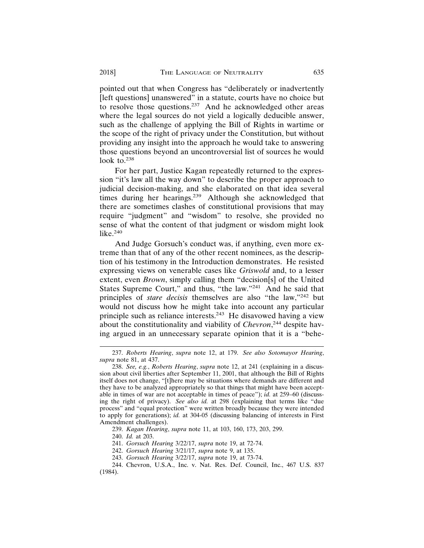pointed out that when Congress has "deliberately or inadvertently [left questions] unanswered" in a statute, courts have no choice but to resolve those questions.<sup>237</sup> And he acknowledged other areas where the legal sources do not yield a logically deducible answer, such as the challenge of applying the Bill of Rights in wartime or the scope of the right of privacy under the Constitution, but without providing any insight into the approach he would take to answering those questions beyond an uncontroversial list of sources he would look to.<sup>238</sup>

For her part, Justice Kagan repeatedly returned to the expression "it's law all the way down" to describe the proper approach to judicial decision-making, and she elaborated on that idea several times during her hearings.<sup>239</sup> Although she acknowledged that there are sometimes clashes of constitutional provisions that may require "judgment" and "wisdom" to resolve, she provided no sense of what the content of that judgment or wisdom might look like. $240$ 

And Judge Gorsuch's conduct was, if anything, even more extreme than that of any of the other recent nominees, as the description of his testimony in the Introduction demonstrates. He resisted expressing views on venerable cases like *Griswold* and, to a lesser extent, even *Brown*, simply calling them "decision[s] of the United States Supreme Court," and thus, "the law."241 And he said that principles of *stare decisis* themselves are also "the law,"242 but would not discuss how he might take into account any particular principle such as reliance interests.243 He disavowed having a view about the constitutionality and viability of *Chevron*, 244 despite having argued in an unnecessary separate opinion that it is a "behe-

<sup>237.</sup> *Roberts Hearing*, *supra* note 12, at 179. *See also Sotomayor Hearing*, *supra* note 81, at 437.

<sup>238.</sup> *See, e.g.*, *Roberts Hearing*, *supra* note 12, at 241 (explaining in a discussion about civil liberties after September 11, 2001, that although the Bill of Rights itself does not change, "[t]here may be situations where demands are different and they have to be analyzed appropriately so that things that might have been acceptable in times of war are not acceptable in times of peace"); *id.* at 259–60 (discussing the right of privacy). *See also id.* at 298 (explaining that terms like "due process" and "equal protection" were written broadly because they were intended to apply for generations); *id.* at 304-05 (discussing balancing of interests in First Amendment challenges).

<sup>239.</sup> *Kagan Hearing*, *supra* note 11, at 103, 160, 173, 203, 299.

<sup>240.</sup> *Id.* at 203.

<sup>241.</sup> *Gorsuch Hearing* 3/22/17, *supra* note 19, at 72-74.

<sup>242.</sup> *Gorsuch Hearing* 3/21/17, *supra* note 9, at 135.

<sup>243.</sup> *Gorsuch Hearing* 3/22/17, *supra* note 19, at 73-74.

<sup>244.</sup> Chevron, U.S.A., Inc. v. Nat. Res. Def. Council, Inc., 467 U.S. 837 (1984).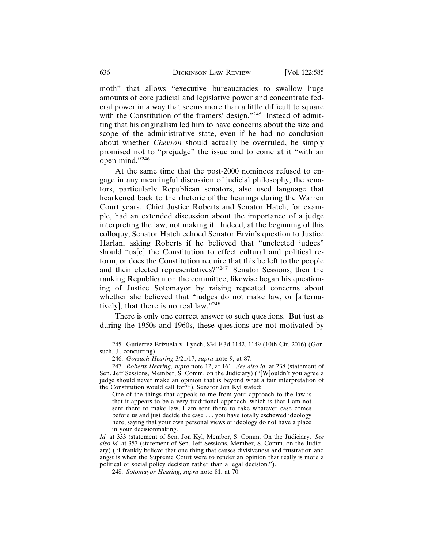moth" that allows "executive bureaucracies to swallow huge amounts of core judicial and legislative power and concentrate federal power in a way that seems more than a little difficult to square with the Constitution of the framers' design."<sup>245</sup> Instead of admitting that his originalism led him to have concerns about the size and scope of the administrative state, even if he had no conclusion about whether *Chevron* should actually be overruled, he simply promised not to "prejudge" the issue and to come at it "with an open mind."246

At the same time that the post-2000 nominees refused to engage in any meaningful discussion of judicial philosophy, the senators, particularly Republican senators, also used language that hearkened back to the rhetoric of the hearings during the Warren Court years. Chief Justice Roberts and Senator Hatch, for example, had an extended discussion about the importance of a judge interpreting the law, not making it. Indeed, at the beginning of this colloquy, Senator Hatch echoed Senator Ervin's question to Justice Harlan, asking Roberts if he believed that "unelected judges" should "us[e] the Constitution to effect cultural and political reform, or does the Constitution require that this be left to the people and their elected representatives?"247 Senator Sessions, then the ranking Republican on the committee, likewise began his questioning of Justice Sotomayor by raising repeated concerns about whether she believed that "judges do not make law, or [alternatively], that there is no real law."248

There is only one correct answer to such questions. But just as during the 1950s and 1960s, these questions are not motivated by

One of the things that appeals to me from your approach to the law is that it appears to be a very traditional approach, which is that I am not sent there to make law, I am sent there to take whatever case comes before us and just decide the case . . . you have totally eschewed ideology here, saying that your own personal views or ideology do not have a place in your decisionmaking.

*Id.* at 333 (statement of Sen. Jon Kyl, Member, S. Comm. On the Judiciary. *See also id.* at 353 (statement of Sen. Jeff Sessions, Member, S. Comm. on the Judiciary) ("I frankly believe that one thing that causes divisiveness and frustration and angst is when the Supreme Court were to render an opinion that really is more a political or social policy decision rather than a legal decision.").

<sup>245.</sup> Gutierrez-Brizuela v. Lynch, 834 F.3d 1142, 1149 (10th Cir. 2016) (Gorsuch, J., concurring).

<sup>246.</sup> *Gorsuch Hearing* 3/21/17, *supra* note 9, at 87.

<sup>247.</sup> *Roberts Hearing*, *supra* note 12, at 161. *See also id.* at 238 (statement of Sen. Jeff Sessions, Member, S. Comm. on the Judiciary) ("[W]ouldn't you agree a judge should never make an opinion that is beyond what a fair interpretation of the Constitution would call for?"). Senator Jon Kyl stated:

<sup>248.</sup> *Sotomayor Hearing*, *supra* note 81, at 70.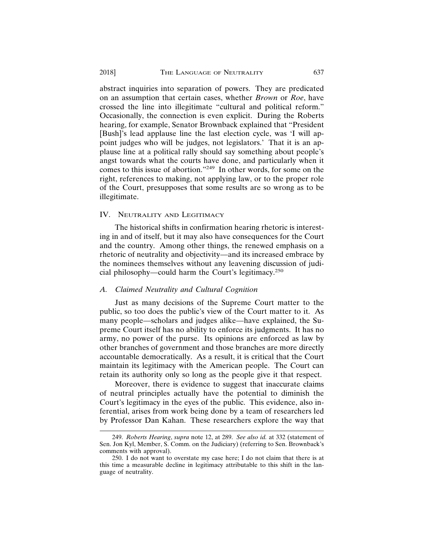abstract inquiries into separation of powers. They are predicated on an assumption that certain cases, whether *Brown* or *Roe*, have crossed the line into illegitimate "cultural and political reform." Occasionally, the connection is even explicit. During the Roberts hearing, for example, Senator Brownback explained that "President [Bush]'s lead applause line the last election cycle, was 'I will appoint judges who will be judges, not legislators.' That it is an applause line at a political rally should say something about people's angst towards what the courts have done, and particularly when it comes to this issue of abortion."249 In other words, for some on the right, references to making, not applying law, or to the proper role of the Court, presupposes that some results are so wrong as to be illegitimate.

#### IV. NEUTRALITY AND LEGITIMACY

The historical shifts in confirmation hearing rhetoric is interesting in and of itself, but it may also have consequences for the Court and the country. Among other things, the renewed emphasis on a rhetoric of neutrality and objectivity—and its increased embrace by the nominees themselves without any leavening discussion of judicial philosophy—could harm the Court's legitimacy.<sup>250</sup>

#### *A. Claimed Neutrality and Cultural Cognition*

Just as many decisions of the Supreme Court matter to the public, so too does the public's view of the Court matter to it. As many people—scholars and judges alike—have explained, the Supreme Court itself has no ability to enforce its judgments. It has no army, no power of the purse. Its opinions are enforced as law by other branches of government and those branches are more directly accountable democratically. As a result, it is critical that the Court maintain its legitimacy with the American people. The Court can retain its authority only so long as the people give it that respect.

Moreover, there is evidence to suggest that inaccurate claims of neutral principles actually have the potential to diminish the Court's legitimacy in the eyes of the public. This evidence, also inferential, arises from work being done by a team of researchers led by Professor Dan Kahan. These researchers explore the way that

<sup>249.</sup> *Roberts Hearing*, *supra* note 12, at 289. *See also id.* at 332 (statement of Sen. Jon Kyl, Member, S. Comm. on the Judiciary) (referring to Sen. Brownback's comments with approval).

<sup>250.</sup> I do not want to overstate my case here; I do not claim that there is at this time a measurable decline in legitimacy attributable to this shift in the language of neutrality.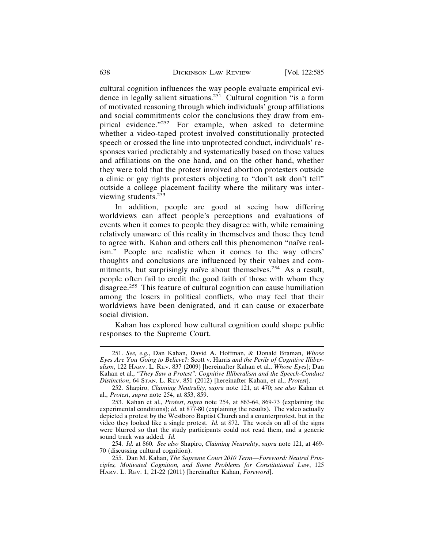cultural cognition influences the way people evaluate empirical evidence in legally salient situations.251 Cultural cognition "is a form of motivated reasoning through which individuals' group affiliations and social commitments color the conclusions they draw from empirical evidence."252 For example, when asked to determine whether a video-taped protest involved constitutionally protected speech or crossed the line into unprotected conduct, individuals' responses varied predictably and systematically based on those values and affiliations on the one hand, and on the other hand, whether they were told that the protest involved abortion protesters outside a clinic or gay rights protesters objecting to "don't ask don't tell" outside a college placement facility where the military was interviewing students.<sup>253</sup>

In addition, people are good at seeing how differing worldviews can affect people's perceptions and evaluations of events when it comes to people they disagree with, while remaining relatively unaware of this reality in themselves and those they tend to agree with. Kahan and others call this phenomenon "naïve realism." People are realistic when it comes to the way others' thoughts and conclusions are influenced by their values and commitments, but surprisingly naïve about themselves.<sup>254</sup> As a result, people often fail to credit the good faith of those with whom they disagree.255 This feature of cultural cognition can cause humiliation among the losers in political conflicts, who may feel that their worldviews have been denigrated, and it can cause or exacerbate social division.

Kahan has explored how cultural cognition could shape public responses to the Supreme Court.

<sup>251.</sup> *See, e.g.*, Dan Kahan, David A. Hoffman, & Donald Braman, *Whose Eyes Are You Going to Believe?:* Scott v. Harris *and the Perils of Cognitive Illiberalism*, 122 HARV. L. REV. 837 (2009) [hereinafter Kahan et al., *Whose Eyes*]; Dan Kahan et al., *"They Saw a Protest": Cognitive Illiberalism and the Speech-Conduct Distinction*, 64 STAN. L. REV. 851 (2012) [hereinafter Kahan, et al., *Protest*].

<sup>252.</sup> Shapiro, *Claiming Neutrality*, *supra* note 121, at 470; *see also* Kahan et al., *Protest*, *supra* note 254, at 853, 859.

<sup>253.</sup> Kahan et al., *Protest*, *supra* note 254, at 863-64, 869-73 (explaining the experimental conditions); *id.* at 877-80 (explaining the results). The video actually depicted a protest by the Westboro Baptist Church and a counterprotest, but in the video they looked like a single protest. *Id.* at 872. The words on all of the signs were blurred so that the study participants could not read them, and a generic sound track was added. *Id.*

<sup>254.</sup> *Id.* at 860. *See also* Shapiro, *Claiming Neutrality*, *supra* note 121, at 469- 70 (discussing cultural cognition).

<sup>255.</sup> Dan M. Kahan, *The Supreme Court 2010 Term—Foreword: Neutral Principles, Motivated Cognition, and Some Problems for Constitutional Law*, 125 HARV. L. REV. 1, 21-22 (2011) [hereinafter Kahan, *Foreword*].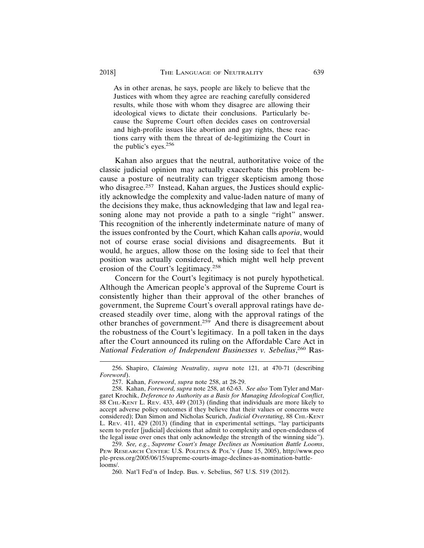As in other arenas, he says, people are likely to believe that the Justices with whom they agree are reaching carefully considered results, while those with whom they disagree are allowing their ideological views to dictate their conclusions. Particularly because the Supreme Court often decides cases on controversial and high-profile issues like abortion and gay rights, these reactions carry with them the threat of de-legitimizing the Court in the public's eyes.<sup>256</sup>

Kahan also argues that the neutral, authoritative voice of the classic judicial opinion may actually exacerbate this problem because a posture of neutrality can trigger skepticism among those who disagree.<sup>257</sup> Instead, Kahan argues, the Justices should explicitly acknowledge the complexity and value-laden nature of many of the decisions they make, thus acknowledging that law and legal reasoning alone may not provide a path to a single "right" answer. This recognition of the inherently indeterminate nature of many of the issues confronted by the Court, which Kahan calls *aporia*, would not of course erase social divisions and disagreements. But it would, he argues, allow those on the losing side to feel that their position was actually considered, which might well help prevent erosion of the Court's legitimacy.<sup>258</sup>

Concern for the Court's legitimacy is not purely hypothetical. Although the American people's approval of the Supreme Court is consistently higher than their approval of the other branches of government, the Supreme Court's overall approval ratings have decreased steadily over time, along with the approval ratings of the other branches of government.259 And there is disagreement about the robustness of the Court's legitimacy. In a poll taken in the days after the Court announced its ruling on the Affordable Care Act in *National Federation of Independent Businesses v. Sebelius*, 260 Ras-

<sup>256.</sup> Shapiro, *Claiming Neutrality*, *supra* note 121, at 470-71 (describing *Foreword*).

<sup>257.</sup> Kahan, *Foreword*, *supra* note 258, at 28-29.

<sup>258.</sup> Kahan, *Foreword, supra* note 258, at 62-63. *See also* Tom Tyler and Margaret Krochik, *Deference to Authority as a Basis for Managing Ideological Conflict*, 88 CHI.-KENT L. REV. 433, 449 (2013) (finding that individuals are more likely to accept adverse policy outcomes if they believe that their values or concerns were considered); Dan Simon and Nicholas Scurich, *Judicial Overstating*, 88 CHI.-KENT L. REV. 411, 429 (2013) (finding that in experimental settings, "lay participants seem to prefer [judicial] decisions that admit to complexity and open-endedness of the legal issue over ones that only acknowledge the strength of the winning side").

<sup>259.</sup> *See, e.g.*, *Supreme Court's Image Declines as Nomination Battle Looms*, PEW RESEARCH CENTER: U.S. POLITICS & POL'Y (June 15, 2005), http://www.peo ple-press.org/2005/06/15/supreme-courts-image-declines-as-nomination-battlelooms/.

<sup>260.</sup> Nat'l Fed'n of Indep. Bus. v. Sebelius, 567 U.S. 519 (2012).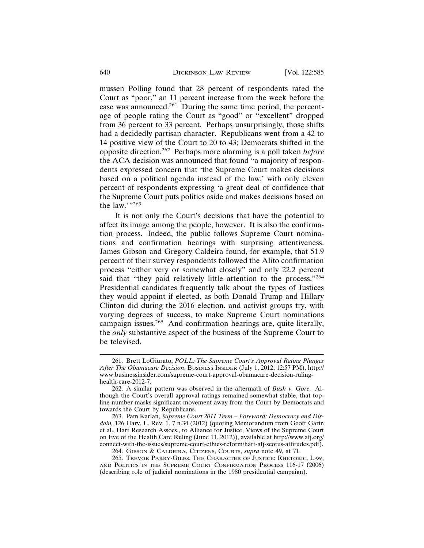mussen Polling found that 28 percent of respondents rated the Court as "poor," an 11 percent increase from the week before the case was announced.<sup>261</sup> During the same time period, the percentage of people rating the Court as "good" or "excellent" dropped from 36 percent to 33 percent. Perhaps unsurprisingly, those shifts had a decidedly partisan character. Republicans went from a 42 to 14 positive view of the Court to 20 to 43; Democrats shifted in the opposite direction.262 Perhaps more alarming is a poll taken *before* the ACA decision was announced that found "a majority of respondents expressed concern that 'the Supreme Court makes decisions based on a political agenda instead of the law,' with only eleven percent of respondents expressing 'a great deal of confidence that the Supreme Court puts politics aside and makes decisions based on the law."<sup>263</sup>

It is not only the Court's decisions that have the potential to affect its image among the people, however. It is also the confirmation process. Indeed, the public follows Supreme Court nominations and confirmation hearings with surprising attentiveness. James Gibson and Gregory Caldeira found, for example, that 51.9 percent of their survey respondents followed the Alito confirmation process "either very or somewhat closely" and only 22.2 percent said that "they paid relatively little attention to the process."<sup>264</sup> Presidential candidates frequently talk about the types of Justices they would appoint if elected, as both Donald Trump and Hillary Clinton did during the 2016 election, and activist groups try, with varying degrees of success, to make Supreme Court nominations campaign issues.<sup>265</sup> And confirmation hearings are, quite literally, the *only* substantive aspect of the business of the Supreme Court to be televised.

<sup>261.</sup> Brett LoGiurato, *POLL: The Supreme Court's Approval Rating Plunges After The Obamacare Decision*, BUSINESS INSIDER (July 1, 2012, 12:57 PM), http:// www.businessinsider.com/supreme-court-approval-obamacare-decision-rulinghealth-care-2012-7.

<sup>262.</sup> A similar pattern was observed in the aftermath of *Bush v. Gore*. Although the Court's overall approval ratings remained somewhat stable, that topline number masks significant movement away from the Court by Democrats and towards the Court by Republicans.

<sup>263.</sup> Pam Karlan, *Supreme Court 2011 Term – Foreword: Democracy and Disdain,* 126 Harv. L. Rev. 1, 7 n.34 (2012) (quoting Memorandum from Geoff Garin et al., Hart Research Assocs., to Alliance for Justice, Views of the Supreme Court on Eve of the Health Care Ruling (June 11, 2012)), available at http://www.afj.org/ connect-with-the-issues/supreme-court-ethics-reform/hart-afj-scotus-attitudes.pdf).

<sup>264.</sup> GIBSON & CALDEIRA, CITIZENS, COURTS, *supra* note 49, at 71.

<sup>265.</sup> TREVOR PARRY-GILES, THE CHARACTER OF JUSTICE: RHETORIC, LAW, AND POLITICS IN THE SUPREME COURT CONFIRMATION PROCESS 116-17 (2006) (describing role of judicial nominations in the 1980 presidential campaign).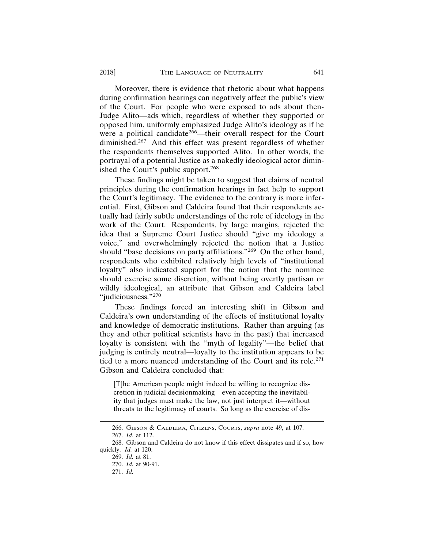Moreover, there is evidence that rhetoric about what happens during confirmation hearings can negatively affect the public's view of the Court. For people who were exposed to ads about then-Judge Alito—ads which, regardless of whether they supported or opposed him, uniformly emphasized Judge Alito's ideology as if he were a political candidate<sup>266</sup>—their overall respect for the Court diminished.267 And this effect was present regardless of whether the respondents themselves supported Alito. In other words, the portrayal of a potential Justice as a nakedly ideological actor diminished the Court's public support.<sup>268</sup>

These findings might be taken to suggest that claims of neutral principles during the confirmation hearings in fact help to support the Court's legitimacy. The evidence to the contrary is more inferential. First, Gibson and Caldeira found that their respondents actually had fairly subtle understandings of the role of ideology in the work of the Court. Respondents, by large margins, rejected the idea that a Supreme Court Justice should "give my ideology a voice," and overwhelmingly rejected the notion that a Justice should "base decisions on party affiliations."269 On the other hand, respondents who exhibited relatively high levels of "institutional loyalty" also indicated support for the notion that the nominee should exercise some discretion, without being overtly partisan or wildly ideological, an attribute that Gibson and Caldeira label "judiciousness."<sup>270</sup>

These findings forced an interesting shift in Gibson and Caldeira's own understanding of the effects of institutional loyalty and knowledge of democratic institutions. Rather than arguing (as they and other political scientists have in the past) that increased loyalty is consistent with the "myth of legality"—the belief that judging is entirely neutral—loyalty to the institution appears to be tied to a more nuanced understanding of the Court and its role.<sup>271</sup> Gibson and Caldeira concluded that:

[T]he American people might indeed be willing to recognize discretion in judicial decisionmaking—even accepting the inevitability that judges must make the law, not just interpret it—without threats to the legitimacy of courts. So long as the exercise of dis-

<sup>266.</sup> GIBSON & CALDEIRA, CITIZENS, COURTS, *supra* note 49, at 107.

<sup>267.</sup> *Id.* at 112.

<sup>268.</sup> Gibson and Caldeira do not know if this effect dissipates and if so, how quickly. *Id.* at 120.

<sup>269.</sup> *Id.* at 81.

<sup>270.</sup> *Id.* at 90-91.

<sup>271.</sup> *Id.*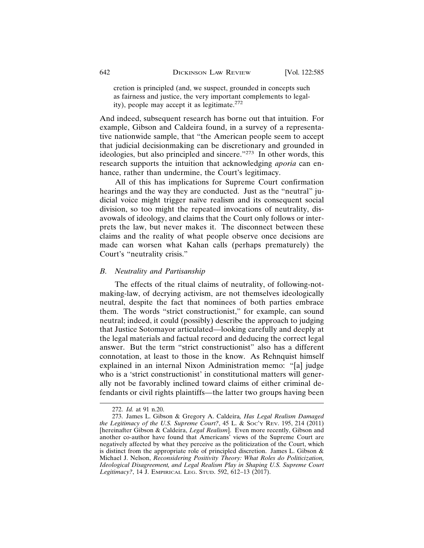cretion is principled (and, we suspect, grounded in concepts such as fairness and justice, the very important complements to legality), people may accept it as legitimate. $272$ 

And indeed, subsequent research has borne out that intuition. For example, Gibson and Caldeira found, in a survey of a representative nationwide sample, that "the American people seem to accept that judicial decisionmaking can be discretionary and grounded in ideologies, but also principled and sincere."273 In other words, this research supports the intuition that acknowledging *aporia* can enhance, rather than undermine, the Court's legitimacy.

All of this has implications for Supreme Court confirmation hearings and the way they are conducted. Just as the "neutral" judicial voice might trigger naïve realism and its consequent social division, so too might the repeated invocations of neutrality, disavowals of ideology, and claims that the Court only follows or interprets the law, but never makes it. The disconnect between these claims and the reality of what people observe once decisions are made can worsen what Kahan calls (perhaps prematurely) the Court's "neutrality crisis."

#### *B. Neutrality and Partisanship*

The effects of the ritual claims of neutrality, of following-notmaking-law, of decrying activism, are not themselves ideologically neutral, despite the fact that nominees of both parties embrace them. The words "strict constructionist," for example, can sound neutral; indeed, it could (possibly) describe the approach to judging that Justice Sotomayor articulated—looking carefully and deeply at the legal materials and factual record and deducing the correct legal answer. But the term "strict constructionist" also has a different connotation, at least to those in the know. As Rehnquist himself explained in an internal Nixon Administration memo: "[a] judge who is a 'strict constructionist' in constitutional matters will generally not be favorably inclined toward claims of either criminal defendants or civil rights plaintiffs—the latter two groups having been

<sup>272.</sup> *Id.* at 91 n.20.

<sup>273.</sup> James L. Gibson & Gregory A. Caldeira*, Has Legal Realism Damaged the Legitimacy of the U.S. Supreme Court?*, 45 L. & SOC'Y REV. 195, 214 (2011) [hereinafter Gibson & Caldeira, *Legal Realism*]. Even more recently, Gibson and another co-author have found that Americans' views of the Supreme Court are negatively affected by what they perceive as the politicization of the Court, which is distinct from the appropriate role of principled discretion. James L. Gibson  $\&$ Michael J. Nelson, *Reconsidering Positivity Theory: What Roles do Politicization, Ideological Disagreement, and Legal Realism Play in Shaping U.S. Supreme Court Legitimacy?*, 14 J. EMPIRICAL LEG. STUD. 592, 612–13 (2017).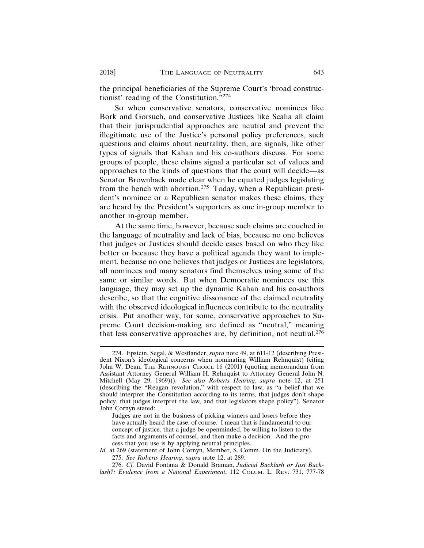the principal beneficiaries of the Supreme Court's 'broad constructionist' reading of the Constitution."274

So when conservative senators, conservative nominees like Bork and Gorsuch, and conservative Justices like Scalia all claim that their jurisprudential approaches are neutral and prevent the illegitimate use of the Justice's personal policy preferences, such questions and claims about neutrality, then, are signals, like other types of signals that Kahan and his co-authors discuss. For some groups of people, these claims signal a particular set of values and approaches to the kinds of questions that the court will decide—as Senator Brownback made clear when he equated judges legislating from the bench with abortion.<sup>275</sup> Today, when a Republican president's nominee or a Republican senator makes these claims, they are heard by the President's supporters as one in-group member to another in-group member.

At the same time, however, because such claims are couched in the language of neutrality and lack of bias, because no one believes that judges or Justices should decide cases based on who they like better or because they have a political agenda they want to implement, because no one believes that judges or Justices are legislators, all nominees and many senators find themselves using some of the same or similar words. But when Democratic nominees use this language, they may set up the dynamic Kahan and his co-authors describe, so that the cognitive dissonance of the claimed neutrality with the observed ideological influences contribute to the neutrality crisis. Put another way, for some, conservative approaches to Supreme Court decision-making are defined as "neutral," meaning that less conservative approaches are, by definition, not neutral.276

<sup>274.</sup> Epstein, Segal, & Westlander, *supra* note 49, at 611-12 (describing President Nixon's ideological concerns when nominating William Rehnquist) (citing John W. Dean, THE REHNQUIST CHOICE 16 (2001) (quoting memorandum from Assistant Attorney General William H. Rehnquist to Attorney General John N. Mitchell (May 29, 1969))). *See also Roberts Hearing*, *supra* note 12, at 251 (describing the "Reagan revolution," with respect to law, as "a belief that we should interpret the Constitution according to its terms, that judges don't shape policy, that judges interpret the law, and that legislators shape policy"). Senator John Cornyn stated:

Judges are not in the business of picking winners and losers before they have actually heard the case, of course. I mean that is fundamental to our concept of justice, that a judge be openminded, be willing to listen to the facts and arguments of counsel, and then make a decision. And the process that you use is by applying neutral principles.

*Id.* at 269 (statement of John Cornyn, Member, S. Comm. On the Judiciary).

<sup>275.</sup> *See Roberts Hearing*, *supra* note 12, at 289.

<sup>276.</sup> *Cf.* David Fontana & Donald Braman, *Judicial Backlash or Just Backlash?: Evidence from a National Experiment*, 112 COLUM. L. REV. 731, 777-78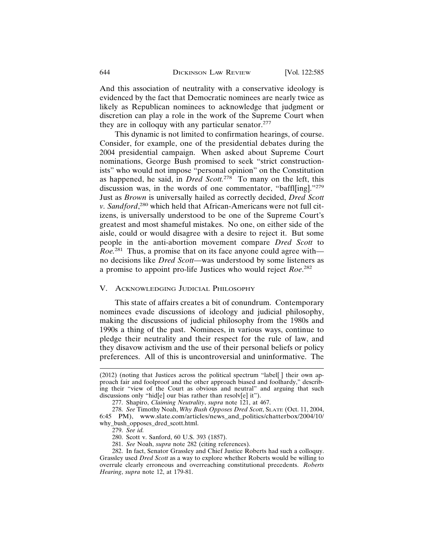And this association of neutrality with a conservative ideology is evidenced by the fact that Democratic nominees are nearly twice as likely as Republican nominees to acknowledge that judgment or discretion can play a role in the work of the Supreme Court when they are in colloquy with any particular senator.<sup>277</sup>

This dynamic is not limited to confirmation hearings, of course. Consider, for example, one of the presidential debates during the 2004 presidential campaign. When asked about Supreme Court nominations, George Bush promised to seek "strict constructionists" who would not impose "personal opinion" on the Constitution as happened, he said, in *Dred Scott.*278 To many on the left, this discussion was, in the words of one commentator, "baffl[ing]."279 Just as *Brown* is universally hailed as correctly decided, *Dred Scott v. Sandford*, 280 which held that African-Americans were not full citizens, is universally understood to be one of the Supreme Court's greatest and most shameful mistakes. No one, on either side of the aisle, could or would disagree with a desire to reject it. But some people in the anti-abortion movement compare *Dred Scott* to *Roe.*281 Thus, a promise that on its face anyone could agree with no decisions like *Dred Scott*—was understood by some listeners as a promise to appoint pro-life Justices who would reject *Roe*. 282

#### V. ACKNOWLEDGING JUDICIAL PHILOSOPHY

This state of affairs creates a bit of conundrum. Contemporary nominees evade discussions of ideology and judicial philosophy, making the discussions of judicial philosophy from the 1980s and 1990s a thing of the past. Nominees, in various ways, continue to pledge their neutrality and their respect for the rule of law, and they disavow activism and the use of their personal beliefs or policy preferences. All of this is uncontroversial and uninformative. The

<sup>(2012) (</sup>noting that Justices across the political spectrum "label[ ] their own approach fair and foolproof and the other approach biased and foolhardy," describing their "view of the Court as obvious and neutral" and arguing that such discussions only "hid[e] our bias rather than resolv[e] it").

<sup>277.</sup> Shapiro, *Claiming Neutrality*, *supra* note 121, at 467.

<sup>278.</sup> *See* Timothy Noah, *Why Bush Opposes Dred Scott*, SLATE (Oct. 11, 2004, 6:45 PM), www.slate.com/articles/news\_and\_politics/chatterbox/2004/10/ why\_bush\_opposes\_dred\_scott.html.

<sup>279.</sup> *See id.*

<sup>280.</sup> Scott v. Sanford, 60 U.S. 393 (1857).

<sup>281.</sup> *See* Noah, *supra* note 282 (citing references).

<sup>282.</sup> In fact, Senator Grassley and Chief Justice Roberts had such a colloquy. Grassley used *Dred Scott* as a way to explore whether Roberts would be willing to overrule clearly erroneous and overreaching constitutional precedents. *Roberts Hearing*, *supra* note 12, at 179-81.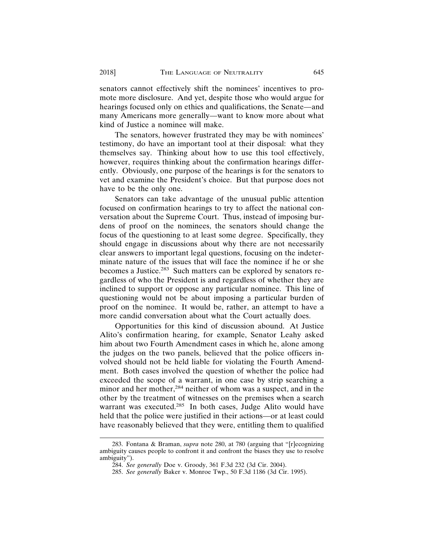senators cannot effectively shift the nominees' incentives to promote more disclosure. And yet, despite those who would argue for hearings focused only on ethics and qualifications, the Senate—and many Americans more generally—want to know more about what kind of Justice a nominee will make.

The senators, however frustrated they may be with nominees' testimony, do have an important tool at their disposal: what they themselves say. Thinking about how to use this tool effectively, however, requires thinking about the confirmation hearings differently. Obviously, one purpose of the hearings is for the senators to vet and examine the President's choice. But that purpose does not have to be the only one.

Senators can take advantage of the unusual public attention focused on confirmation hearings to try to affect the national conversation about the Supreme Court. Thus, instead of imposing burdens of proof on the nominees, the senators should change the focus of the questioning to at least some degree. Specifically, they should engage in discussions about why there are not necessarily clear answers to important legal questions, focusing on the indeterminate nature of the issues that will face the nominee if he or she becomes a Justice.283 Such matters can be explored by senators regardless of who the President is and regardless of whether they are inclined to support or oppose any particular nominee. This line of questioning would not be about imposing a particular burden of proof on the nominee. It would be, rather, an attempt to have a more candid conversation about what the Court actually does.

Opportunities for this kind of discussion abound. At Justice Alito's confirmation hearing, for example, Senator Leahy asked him about two Fourth Amendment cases in which he, alone among the judges on the two panels, believed that the police officers involved should not be held liable for violating the Fourth Amendment. Both cases involved the question of whether the police had exceeded the scope of a warrant, in one case by strip searching a minor and her mother,<sup>284</sup> neither of whom was a suspect, and in the other by the treatment of witnesses on the premises when a search warrant was executed.<sup>285</sup> In both cases, Judge Alito would have held that the police were justified in their actions—or at least could have reasonably believed that they were, entitling them to qualified

<sup>283.</sup> Fontana & Braman, *supra* note 280, at 780 (arguing that "[r]ecognizing ambiguity causes people to confront it and confront the biases they use to resolve ambiguity").

<sup>284.</sup> *See generally* Doe v. Groody, 361 F.3d 232 (3d Cir. 2004).

<sup>285.</sup> *See generally* Baker v. Monroe Twp., 50 F.3d 1186 (3d Cir. 1995).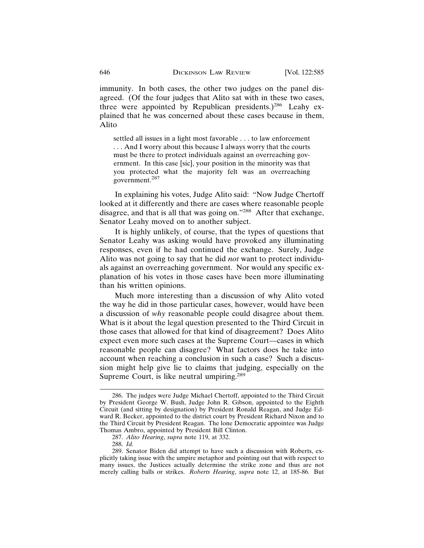immunity. In both cases, the other two judges on the panel disagreed. (Of the four judges that Alito sat with in these two cases, three were appointed by Republican presidents.)<sup>286</sup> Leahy explained that he was concerned about these cases because in them, Alito

settled all issues in a light most favorable . . . to law enforcement . . . And I worry about this because I always worry that the courts must be there to protect individuals against an overreaching government. In this case [sic], your position in the minority was that you protected what the majority felt was an overreaching government.<sup>287</sup>

In explaining his votes, Judge Alito said: "Now Judge Chertoff looked at it differently and there are cases where reasonable people disagree, and that is all that was going on."<sup>288</sup> After that exchange, Senator Leahy moved on to another subject.

It is highly unlikely, of course, that the types of questions that Senator Leahy was asking would have provoked any illuminating responses, even if he had continued the exchange. Surely, Judge Alito was not going to say that he did *not* want to protect individuals against an overreaching government. Nor would any specific explanation of his votes in those cases have been more illuminating than his written opinions.

Much more interesting than a discussion of why Alito voted the way he did in those particular cases, however, would have been a discussion of *why* reasonable people could disagree about them. What is it about the legal question presented to the Third Circuit in those cases that allowed for that kind of disagreement? Does Alito expect even more such cases at the Supreme Court—cases in which reasonable people can disagree? What factors does he take into account when reaching a conclusion in such a case? Such a discussion might help give lie to claims that judging, especially on the Supreme Court, is like neutral umpiring.<sup>289</sup>

<sup>286.</sup> The judges were Judge Michael Chertoff, appointed to the Third Circuit by President George W. Bush, Judge John R. Gibson, appointed to the Eighth Circuit (and sitting by designation) by President Ronald Reagan, and Judge Edward R. Becker, appointed to the district court by President Richard Nixon and to the Third Circuit by President Reagan. The lone Democratic appointee was Judge Thomas Ambro, appointed by President Bill Clinton.

<sup>287.</sup> *Alito Hearing*, *supra* note 119, at 332.

<sup>288.</sup> *Id.*

<sup>289.</sup> Senator Biden did attempt to have such a discussion with Roberts, explicitly taking issue with the umpire metaphor and pointing out that with respect to many issues, the Justices actually determine the strike zone and thus are not merely calling balls or strikes. *Roberts Hearing*, *supra* note 12, at 185-86. But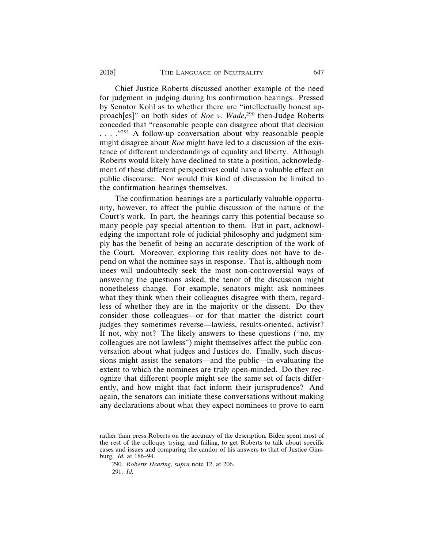Chief Justice Roberts discussed another example of the need for judgment in judging during his confirmation hearings. Pressed by Senator Kohl as to whether there are "intellectually honest approach[es]" on both sides of *Roe v. Wade*,<sup>290</sup> then-Judge Roberts conceded that "reasonable people can disagree about that decision ...."<sup>291</sup> A follow-up conversation about why reasonable people might disagree about *Roe* might have led to a discussion of the existence of different understandings of equality and liberty. Although Roberts would likely have declined to state a position, acknowledgment of these different perspectives could have a valuable effect on public discourse. Nor would this kind of discussion be limited to the confirmation hearings themselves.

The confirmation hearings are a particularly valuable opportunity, however, to affect the public discussion of the nature of the Court's work. In part, the hearings carry this potential because so many people pay special attention to them. But in part, acknowledging the important role of judicial philosophy and judgment simply has the benefit of being an accurate description of the work of the Court. Moreover, exploring this reality does not have to depend on what the nominee says in response. That is, although nominees will undoubtedly seek the most non-controversial ways of answering the questions asked, the tenor of the discussion might nonetheless change. For example, senators might ask nominees what they think when their colleagues disagree with them, regardless of whether they are in the majority or the dissent. Do they consider those colleagues—or for that matter the district court judges they sometimes reverse—lawless, results-oriented, activist? If not, why not? The likely answers to these questions ("no, my colleagues are not lawless") might themselves affect the public conversation about what judges and Justices do. Finally, such discussions might assist the senators—and the public—in evaluating the extent to which the nominees are truly open-minded. Do they recognize that different people might see the same set of facts differently, and how might that fact inform their jurisprudence? And again, the senators can initiate these conversations without making any declarations about what they expect nominees to prove to earn

rather than press Roberts on the accuracy of the description, Biden spent most of the rest of the colloquy trying, and failing, to get Roberts to talk about specific cases and issues and comparing the candor of his answers to that of Justice Ginsburg. *Id.* at 186–94.

<sup>290.</sup> *Roberts Hearing, supra* note 12, at 206.

<sup>291.</sup> *Id.*